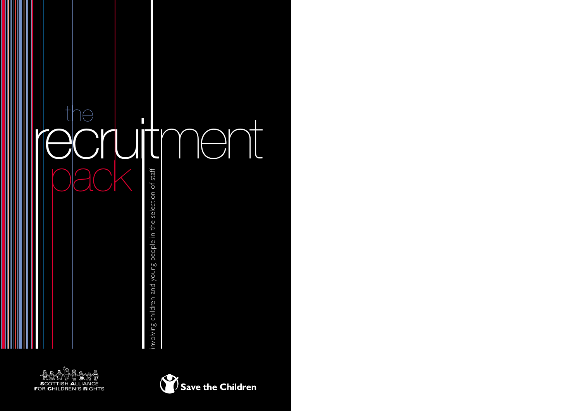



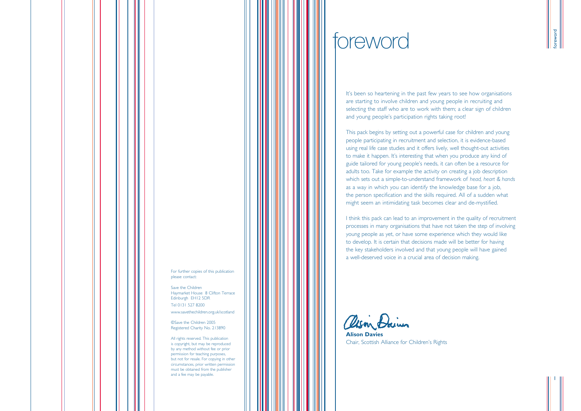It's been so heartening in the past few years to see how organisations are starting to involve children and young people in recruiting and selecting the staff who are to work with them; a clear sign of children and young people's participation rights taking root!

This pack begins by setting out a powerful case for children and young people participating in recruitment and selection, it is evidence-based using real life case studies and it offers lively, well thought-out activities to make it happen. It's interesting that when you produce any kind of guide tailored for young people's needs, it can often be a resource for adults too. Take for example the activity on creating a job description which sets out a simple-to-understand framework of *head, heart & hands* as a way in which you can identify the knowledge base for a job, the person specification and the skills required. All of a sudden what might seem an intimidating task becomes clear and de-mystified.

I think this pack can lead to an improvement in the quality of recruitment processes in many organisations that have not taken the step of involving young people as yet, or have some experience which they would like to develop. It is certain that decisions made will be better for having the key stakeholders involved and that young people will have gained a well-deserved voice in a crucial area of decision making.

alson Dains

**Alison Davies** Chair, Scottish Alliance for Children's Rights

foreword

1

# foreword

For further copies of this publication please contact:

Save the Children Haymarket House 8 Clifton Terrace Edinburgh EH12 5DR Tel 0131 527 8200

www.savethechildren.org.uk/scotland

©Save the Children 2005 Registered Charity No. 213890

All rights reserved. This publication is copyright, but may be reproduced by any method without fee or prior permission for teaching purposes, but not for resale. For copying in other circumstances, prior written permission must be obtained from the publisher and a fee may be payable.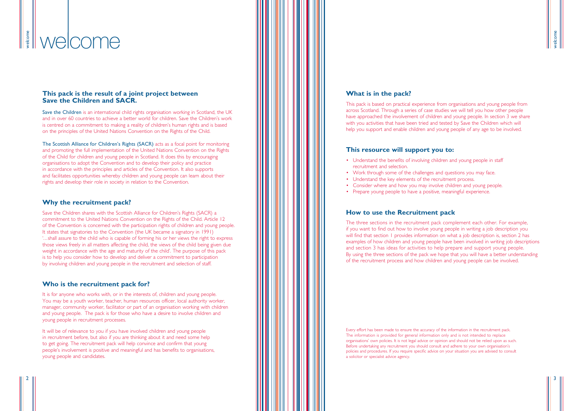### **What is in the pack?**

This pack is based on practical experience from organisations and young people from across Scotland. Through a series of case studies we will tell you how other people have approached the involvement of children and young people. In section 3 we share with you activities that have been tried and tested by Save the Children which will help you support and enable children and young people of any age to be involved.

- Understand the benefits of involving children and young people in staff recruitment and selection.
- Work through some of the challenges and questions you may face.
- Understand the key elements of the recruitment process.
- Consider where and how you may involve children and young people.
- Prepare young people to have a positive, meaningful experience.

### **This resource will support you to:**

### **How to use the Recruitment pack**

The three sections in the recruitment pack complement each other. For example, if you want to find out how to involve young people in writing a job description you will find that section 1 provides information on what a job description is, section 2 has examples of how children and young people have been involved in writing job descriptions and section 3 has ideas for activities to help prepare and support young people. By using the three sections of the pack we hope that you will have a better understanding of the recruitment process and how children and young people can be involved.

Every effort has been made to ensure the accuracy of the information in the recruitment pack. The information is provided for general information only and is not intended to replace organisations' own policies. It is not legal advice or opinion and should not be relied upon as such. Before undertaking any recruitment you should consult and adhere to your own organisation's policies and procedures. If you require specific advice on your situation you are advised to consult a solicitor or specialist advice agency.

welcome

### **This pack is the result of a joint project between Save the Children and SACR.**

It is for anyone who works with, or in the interests of, children and young people. You may be a youth worker, teacher, human resources officer, local authority worker, manager, community worker, facilitator or part of an organisation working with children and young people. The pack is for those who have a desire to involve children and young people in recruitment processes.

Save the Children is an international child rights organisation working in Scotland, the UK and in over 60 countries to achieve a better world for children. Save the Children's work is centred on a commitment to making a reality of children's human rights and is based on the principles of the United Nations Convention on the Rights of the Child.

It will be of relevance to you if you have involved children and young people in recruitment before, but also if you are thinking about it and need some help to get going. The recruitment pack will help convince and confirm that young people's involvement is positive and meaningful and has benefits to organisations, young people and candidates.

The Scottish Alliance for Children's Rights (SACR) acts as a focal point for monitoring and promoting the full implementation of the United Nations Convention on the Rights of the Child for children and young people in Scotland. It does this by encouraging organisations to adopt the Convention and to develop their policy and practice in accordance with the principles and articles of the Convention. It also supports and facilitates opportunities whereby children and young people can learn about their rights and develop their role in society in relation to the Convention.

### **Why the recruitment pack?**

Save the Children shares with the Scottish Alliance for Children's Rights (SACR) a commitment to the United Nations Convention on the Rights of the Child. Article 12 of the Convention is concerned with the participation rights of children and young people. It states that signatories to the Convention (the UK became a signatory in 1991) '...shall assure to the child who is capable of forming his or her views the right to express those views freely in all matters affecting the child, the views of the child being given due weight in accordance with the age and maturity of the child'. The purpose of this pack is to help you consider how to develop and deliver a commitment to participation by involving children and young people in the recruitment and selection of staff.

### **Who is the recruitment pack for?**

### welcome welcome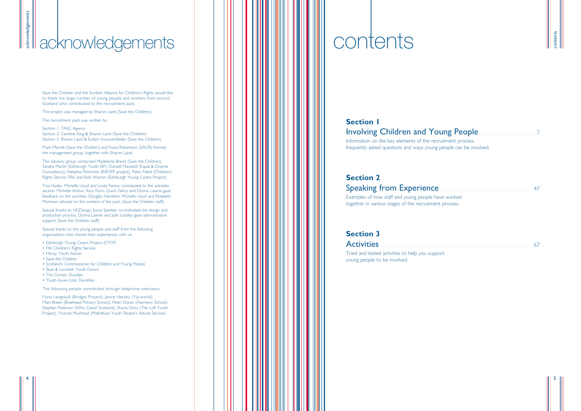Information on the key elements of the recruitment process, frequently asked questions and ways young people can be involved.

# **Section 2**

Speaking from Experience . . . . . . . . . . . . . . . . . . . . . . . . . . . . . . . . . . . . . . . . . . . . . . . . . . . . . . . . . . . . . . . . . . <sup>47</sup> Examples of how staff and young people have worked together in various stages of the recruitment process.

### **Section 3**

Activities . . . . . . . . . . . . . . . . . . . . . . . . . . . . . . . . . . . . . . . . . . . . . . . . . . . . . . . . . . . . . . . . . . . . . . . . . . . . . . . . . . . . . . . . . . . . . . . . . . . . . . . . . . . . <sup>67</sup>

Tried and tested activities to help you support young people to be involved.

| contents |  |
|----------|--|
|          |  |

5

Save the Children and the Scottish Alliance for Children's Rights would like to thank the large number of young people and workers from around Scotland who contributed to the recruitment pack.

The project was managed by Sharon Laird (Save the Children).

The recruitment pack was written by

Section 1: TASC Agency Section 2: Caroline King & Sharon Laird (Save the Children) Section 3: Sharon Laird & Evelyn Vrouwenfelder (Save the Children)

Mark Merrell (Save the Children) and Fiona Robertson (SACR) formed the management group, together with Sharon Laird.

The advisory group comprised Madeleine Brend (Save the Children), Sandra Martin (Edinburgh Youth SIP), Donald Macaskill (Equal & Diverse Consultancy), Natasha McInninie (INSTEP project), Peter Nield (Children's Rights Service Fife) and Rob Warren (Edinburgh Young Carers Project).

Tina Hyder, Michelle Lloyd and Linda Parton contributed to the activities section. Michelle Arthur, Amy Flynn, Grant Gilroy and Donna Lawrie gave feedback on the activities. Douglas Hamilton, Michelle Lloyd and Elizabeth Morrison advised on the content of the pack (Save the Children staff).

Special thanks to HGDesign. Joyce Sperber co-ordinated the design and production process. Donna Lawrie and Julie Lockley gave administrative support (Save the Children staff).

Special thanks to the young people and staff from the following organisations who shared their experiences with us:

- Edinburgh Young Carers Project (EYCP)
- Fife Children's Rights Service
- Moray Youth Action
- Save the Children
- Scotland's Commissioner for Children and Young People
- Skye & Lochalsh Youth Forum
- The Corner, Dundee
- Youth Issues Unit, Dumfries

The following people contributed through telephone interviews:

Fiona Langskaill (Bridges Project), Janice Hendry (Yip.world), Mairi Breen (Braehead Primary School), Peter Doran (Harmeny School), Stephen Paterson (Who Cares? Scotland), Shuna Dicks (The Loft Youth Project), Yvonne Muirhead (Midlothian Youth People's Advice Service).

### **Section 1** Involving Children and Young People.

# **acknowledgements contents**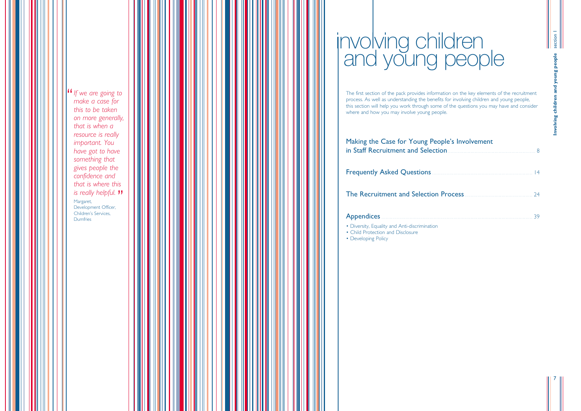The first section of the pack provides information on the key elements of the recruitment process. As well as understanding the benefits for involving children and young people, this section will help you work through some of the questions you may have and consider where and how you may involve young people.

### Making the Case for Young People 's Involvement in Staff Recruitment and Selection

Frequently Asked Questions

The Recruitment and Selection

### **Appendices**

| on |  |                |
|----|--|----------------|
|    |  | $\overline{4}$ |
|    |  |                |
|    |  |                |

- Diversity, Equality and Anti-discrimination
- Child Protection and Disclosure
- Developing Policy

7

**If** we are going to<br>
make a case for *make a case for this to be taken on more generally, that is when a resource is really important. You have got to have something that gives people the confidence and that is where this is really helpful.* **"'**<br><sup>Margaret,<br>Development Officer</sup> Margaret, Development Officer, Children 's Services, **Dumfries** 

# involving children and young people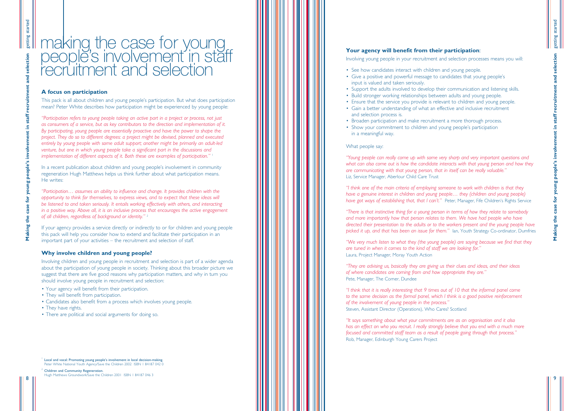### **Your agency will benefit from their participation** :

Involving young people in your recruitment and selection processes means you will:

• Support the adults involved to develop their communication and listening skills. • Ensure that the service you provide is relevant to children and young people.

- See how candidates interact with children and young people.
- Give a positive and powerful message to candidates that young people's input is valued and taken seriously.
- 
- Build stronger working relationships between adults and young people.
- 
- Gain a better understanding of what an effective and inclusive recruitment and selection process is.
- Broaden participation and make recruitment a more thorough process.
- Show your commitment to children and young people's participation in a meaningful way.

### What people say:

*"Young people can really come up with some very sharp and very important questions and what can also come out is how the candidate interacts with that young person and how they are communicating with that young person, that in itself can be really valuable."* Liz, Service Manager, Aberlour Child Care Trust

*"I think one of the main criteria of employing someone to work with children is that they have a genuine interest in children and young people … they (children and young people) have got ways of establishing that, that I can 't. "* Peter, Manager, Fife Children 's Rights Service

# getting started getting started Making the case for young people's involvement in staff recruitment and selection **Making the case for young people's involvement in staff recruitment and selection**

*"There is that instinctive thing for a young person in terms of how they relate to somebody and more importantly how that person relates to them. We have had people who have directed their presentation to the adults or to the workers present and the young people have picked it up, and that has been an issue for them. "* Ian, Youth Strategy Co-ordinator, Dumfries

*"We very much listen to what they (the young people) are saying because we find that they are tuned in when it comes to the kind of staff we are looking for. "* Laura, Project Manager, Moray Youth Action

*"They are advising us, basically they are giving us their clues and ideas, and their ideas of where candidates are coming from and how appropriate they are. "* Pete, Manager, The Corner, Dundee

*"I think that it is really interesting that 9 times out of 10 that the informal panel come to the same decision as the formal panel, which I think is a good positive reinforcement of the involvement of young people in the process. "* Steven, Assistant Director (Operations), Who Cares? Scotland

*"It says something about what your commitments are as an organisation and it also has an effect on who you recruit. I really strongly believe that you end with a much more focused and committed staff team as a result of people going through that process. "* Rob, Manager, Edinburgh Young Carers Project

<sup>1</sup> Local and vocal: Promoting young people's involvement in local decision-making. Peter White National Youth Agency/Save the Children 2002 ISBN 1 84187 042 0

 $2^2$  Children and Community Regeneration. Hugh Matthews Groundwork/Save the Children 2001 ISBN 1 84187 046 3

9

### **A focus on participation**

This pack is all about children and young people 's participation. But what does participation mean? Peter White describes how participation might be experienced by young people:

*"Participation refers to young people taking an active part in a project or process, not just as consumers of a service, but as key contributors to the direction and implementation of it. By participating, young people are essentially proactive and have the power to shape the project. They do so to different degrees: a project might be devised, planned and executed entirely by young people with some adult support; another might be primarily an adult-led venture, but one in which young people take a significant part in the discussions and implementation of different aspects of it. Both these are examples of participation. "* 1

In a recent publication about children and young people 's involvement in community regeneration Hugh Matthews helps us think further about what participation means. He writes:

*"Participation … assumes an ability to influence and change. It provides children with the opportunity to think for themselves, to express views, and to expect that these ideas will be listened to and taken seriously. It entails working effectively with others, and interacting in a positive way. Above all, it is an inclusive process that encourages the active engagement of all children, regardless of background or identity. "* 2

If your agency provides a service directly or indirectly to or for children and young people this pack will help you consider how to extend and facilitate their participation in an important part of your activities – the recruitment and selection of staff.

### **Why involve children and young people?**

Involving children and young people in recruitment and selection is part of a wider agenda about the participation of young people in society. Thinking about this broader picture we suggest that there are five good reasons why participation matters, and why in turn you should involve young people in recruitment and selection:

- Your agency will benefit from their participation.
- They will benefit from participation.
- Candidates also benefit from a process which involves young people.
- They have rights.
- There are political and social arguments for doing so.

8

# making the case for young people's involvement in staff recruitment and selection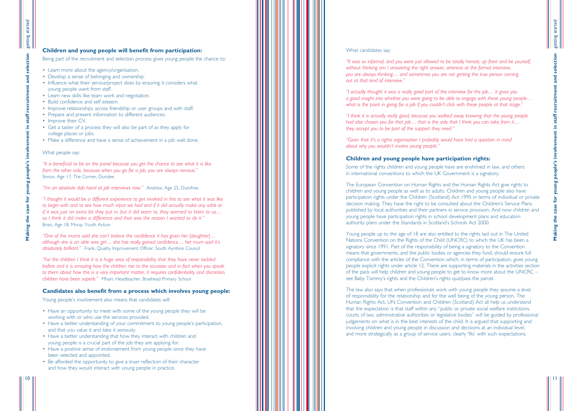### What candidates say:

*"It was so informal, and you were just allowed to be totally honest, up front and be yourself, without thinking am I answering the right answer, whereas at the formal interview, you are always thinking … and sometimes you are not getting the true person coming out at that kind of interview. "*

*"I actually thought it was a really good part of the interview for the job … it gives you a good insight into whether you were going to be able to engage with these young people … what is the point in going for a job if you couldn 't click with these people at that stage. "*

"Given that it's a rights organisation I probably would have had a question in mind *about why you wouldn 't involve young people. "*

*"I think it is actually really good, because you walked away knowing that the young people had also chosen you for that job … that is the side that I think you can take from it … they accept you to be part of the support they need. "*

### **Children and young people have participation rights:**

Some of the rights children and young people have are enshrined in law, and others in international conventions to which the UK Government is a signatory.

The European Convention on Human Rights and the Human Rights Act give rights to children and young people as well as to adults. Children and young people also have participation rights under the Children (Scotland) Act 1995 in terms of individual or private decision making. They have the right to be consulted about the Children 's Service Plans published by local authorities and their partners in service provision. And now children and young people have participation rights in school development plans and education authority plans under the Standards in Scotland 's Schools Act 2000.

Young people up to the age of 18 are also entitled to the rights laid out in The United Nations Convention on the Rights of the Child (UNCRC) to which the UK has been a signatory since 1991. Part of the responsibility of being a signatory to the Convention means that governments, and the public bodies or agencies they fund, should ensure full compliance with the articles of the Convention which, in terms of participation, gives young people explicit rights under article 12. There are supporting materials in the activities section of the pack will help children and young people to get to know more about the UNCRC – see Baby Tommy 's rights and the Children 's rights quiz/pass the parcel.

The law also says that when professionals work with young people they assume a level of responsibility for the relationship and for the well being of the young person. The Human Rights Act, UN Convention and Children (Scotland) Act all help us understand that the expectation is that staff within any "public or private social welfare institutions, courts of law, administrative authorities or legislative bodies " will be guided by professional judgements on what is in the best interests of the child. It is argued that supporting and involving children and young people in discussion and decisions at an individual level, and more strategically as a group of service users, clearly 'fits ' with such expectations.

selection

recruitment and

staff Ë.

11

### **Children and young people will benefit from participation:**

Being part of the recruitment and selection process gives young people the chance to:

- Learn more about the agency/organisation.
- Develop a sense of belonging and ownership.
- Influence what their service/project does by ensuring it considers what young people want from staff.
- Learn new skills like team work and negotiation.
- Build confidence and self esteem.
- Improve relationships across friendship or user groups and with staff.
- Prepare and present information to different audiences.
- Improve their CV.
- Get a taster of a process they will also be part of as they apply for college places or jobs.
- Make a difference and have a sense of achievement in a job well done.

### What people say:

*"It is beneficial to be on the panel because you get the chance to see what it is like from the other side, because when you go for a job, you are always nervous. "* Simon, Age 17, The Corner, Dundee

*"I'm an absolute dab hand at job interviews now. "* Andrew, Age 25, Dumfries

*"I thought it would be a different experience to get involved in this to see what it was like to begin with and to see how much input we had and if it did actually make any odds or if it was just an extra bit they put in, but it did seem to, they seemed to listen to us … so I think it did make a difference and that was the reason I wanted to do it. "* Brian, Age 18, Moray Youth Action

*"One of the mums said she can't believe the confidence it has given her (daughter) … although she is an able wee girl … she has really gained confidence … her mum said it s ' absolutely brilliant. "* Frank, Quality Improvement Officer, South Ayrshire Council

*"For the children I think it is a huge area of responsibility that they have never tackled before and it is amazing how the children rise to the occasion and in fact when you speak to them about how this is a very important matter, it requires confidentiality and discretion, children have been superb. "* Mhairi, Headteacher, Braehead Primary School

### **Candidates also benefit from a process which involves young people:**

Young people 's involvement also means that candidates will:

- Have an opportunity to meet with some of the young people they will be working with or who use the services provided.
- Have a better understanding of your commitment to young people's participation, and that you value it and take it seriously.
- Have a better understanding that how they interact with children and young people is a crucial part of the job they are applying for.
- Have a positive sense of endorsement from young people once they have been selected and appointed.
- Be afforded the opportunity to give a truer reflection of their character and how they would interact with young people in practice.

**Making the case for young people's involvement in staff recruitment and selection**

people's i

**Suno** 

for;

case<sup>-</sup>

the

Making

involvement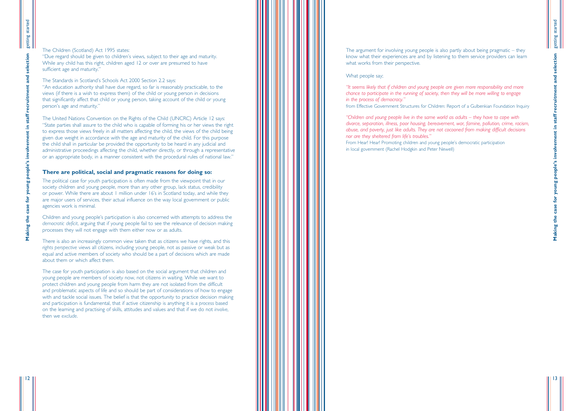### What people say;

*"It seems likely that if children and young people are given more responsibility and more chance to participate in the running of society, then they will be more willing to engage in the process of democracy. "* from Effective Government Structures for Children: Report of a Gulbenkian Foundation Inquiry

*"Children and young people live in the same world as adults – they have to cope with divorce, separation, illness, poor housing, bereavement, war, famine, pollution, crime, racism, abuse, and poverty, just like adults. They are not cocooned from making difficult decisions nor are they sheltered from life 's troubles. "* From Hear! Hear! Promoting children and young people 's democratic participation in local government (Rachel Hodgkin and Peter Newell)

13

### The Children (Scotland) Act 1995 states:

"Due regard should be given to children's views, subject to their age and maturity. While any child has this right, children aged 12 or over are presumed to have sufficient age and maturity. "

The Standards in Scotland 's Schools Act 2000 Section 2.2 says: "An education authority shall have due regard, so far is reasonably practicable, to the views (if there is a wish to express them) of the child or young person in decisions that significantly affect that child or young person, taking account of the child or young person 's age and maturity. "

lection

 $\overline{9}$ 

recruitment and

staff

The United Nations Convention on the Rights of the Child (UNCRC) Article 12 says: "State parties shall assure to the child who is capable of forming his or her views the right to express those views freely in all matters affecting the child, the views of the child being given due weight in accordance with the age and maturity of the child. For this purpose the child shall in particular be provided the opportunity to be heard in any judicial and administrative proceedings affecting the child, whether directly, or through a representative or an appropriate body, in a manner consistent with the procedural rules of national law. "

### **There are political, social and pragmatic reasons for doing so:**

The political case for youth participation is often made from the viewpoint that in our society children and young people, more than any other group, lack status, credibility or power. While there are about 1 million under 16 's in Scotland today, and while they are major users of services, their actual influence on the way local government or public agencies work is minimal.

Children and young people 's participation is also concerned with attempts to address the *democratic deficit*, arguing that if young people fail to see the relevance of decision making processes they will not engage with them either now or as adults.

There is also an increasingly common view taken that as citizens we have rights, and this *rights perspective* views all citizens, including young people, not as passive or weak but as equal and active members of society who should be a part of decisions which are made about them or which affect them.

The case for youth participation is also based on the social argument that children and young people are members of society now, not citizens in waiting. While we want to protect children and young people from harm they are not isolated from the difficult and problematic aspects of life and so should be part of considerations of how to engage with and tackle social issues. The belief is that the opportunity to practice decision making and participation is fundamental, that if active citizenship is anything it is a *process* based on the learning and practising of skills, attitudes and values and that if we do not *involve* , then we *exclude* .

The argument for involving young people is also partly about being pragmatic – they know what their experiences are and by listening to them service providers can learn what works from their perspective.

**Making the case for young people's involvement in staff recruitment and selection**

people's i

for young

case<sup>-</sup>

the

Making

involvement in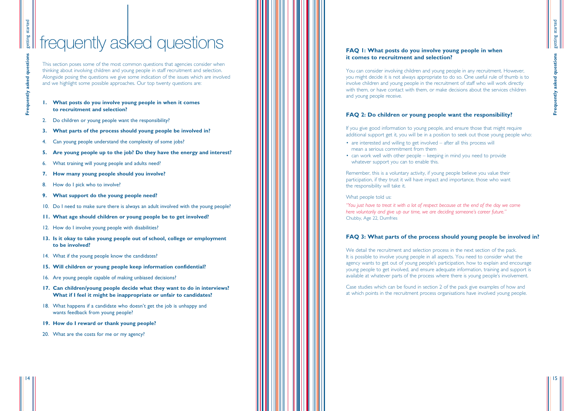### **FAQ 1: What posts do you involve young people in when it comes to recruitment and selection?**

If you give good information to young people, and ensure those that might require additional support get it, you will be in a position to seek out those young people who: • are interested and willing to get involved – after all this process will

You can consider involving children and young people in any recruitment. However, you might decide it is not always appropriate to do so. One useful rule of thumb is to involve children and young people in the recruitment of staff who will work directly with them, or have contact with them, or make decisions about the services children and young people receive.

### **FAQ 2: Do children or young people want the responsibility?**

- mean a serious commitment from them
- can work well with other people keeping in mind you need to provide whatever support you can to enable this.

We detail the recruitment and selection process in the next section of the pack. It is possible to involve young people in all aspects. You need to consider what the agency wants to get out of young people's participation, how to explain and encourage young people to get involved, and ensure adequate information, training and support is available at whatever parts of the process where there is young people's involvement.

Remember, this is a voluntary activity, if young people believe you value their participation, if they trust it will have impact and importance, those who want the responsibility will take it.

getting started getting started Frequently asked questions **Frequently asked questions**

### What people told us:

*"You just have to treat it with a lot of respect because at the end of the day we come here voluntarily and give up our time, we are deciding someone's career future."* Chubby, Age 22, Dumfries

### **FAQ 3: What parts of the process should young people be involved in?**

Case studies which can be found in section 2 of the pack give examples of how and at which points in the recruitment process organisations have involved young people.

15

This section poses some of the most common questions that agencies consider when thinking about involving children and young people in staff recruitment and selection. Alongside posing the questions we give some indication of the issues which are involved and we highlight some possible approaches. Our top twenty questions are:

### **1. What posts do you involve young people in when it comes to recruitment and selection?**

- 2. Do children or young people want the responsibility?
- **3. What parts of the process should young people be involved in?**
- 4. Can young people understand the complexity of some jobs?
- **5. Are young people up to the job? Do they have the energy and interest?**
- 6. What training will young people and adults need?
- **7. How many young people should you involve?**
- 8. How do I pick who to involve?
- **9. What support do the young people need?**
- 10. Do I need to make sure there is always an adult involved with the young people?
- **11. What age should children or young people be to get involved?**
- 12. How do I involve young people with disabilities?
- **13. Is it okay to take young people out of school, college or employment to be involved?**
- 14. What if the young people know the candidates?
- **15. Will children or young people keep information confidential?**
- 16. Are young people capable of making unbiased decisions?
- **17. Can children/young people decide what they want to do in interviews? What if I feel it might be inappropriate or unfair to candidates?**
- 18. What happens if a candidate who doesn't get the job is unhappy and wants feedback from young people?
- **19. How do I reward or thank young people?**
- 20. What are the costs for me or my agency?

# frequently asked questions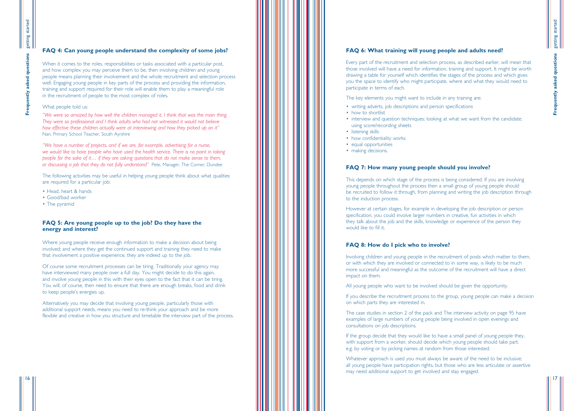### **FAQ 6: What training will young people and adults need?**

Every part of the recruitment and selection process, as described earlier, will mean that those involved will have a need for information, training and support. It might be worth drawing a table for yourself which identifies the stages of the process and which gives you the space to identify who might participate, where and what they would need to participate in terms of each.

- writing adverts, job descriptions and person specifications
- how to shortlist
- interview and question techniques; looking at what we want from the candidate; using score/recording sheets
- listening skills
- how confidentiality works
- equal opportunities
- making decisions.

The key elements you might want to include in any training are:

### **FAQ 7: How many young people should you involve?**

This depends on which stage of the process is being considered. If you are involving young people throughout the process then a small group of young people should be recruited to follow it through, from planning and writing the job description through to the induction process.

However at certain stages, for example in developing the job description or person specification, you could involve larger numbers in creative, fun activities in which they talk about the job and the skills, knowledge or experience of the person they would like to fill it.

Whatever approach is used you must always be aware of the need to be inclusive; all young people have participation rights, but those who are less articulate or assertive may need additional support to get involved and stay engaged.

### **FAQ 8: How do I pick who to involve?**

Involving children and young people in the recruitment of posts which matter to them, or with which they are involved or connected to in some way, is likely to be much more successful and meaningful as the outcome of the recruitment will have a direct impact on them.

When it comes to the roles, responsibilities or tasks associated with a particular post, and how complex you may perceive them to be, then involving children and young people means planning their involvement and the whole recruitment and selection process well. Engaging young people in key parts of the process and providing the information, training and support required for their role will enable them to play a meaningful role in the recruitment of people to the most complex of roles.

All young people who want to be involved should be given the opportunity.

If you describe the recruitment process to the group, young people can make a decision on which parts they are interested in.

The case studies in section 2 of the pack and The interview activity on page 95 have examples of large numbers of young people being involved in open evenings and consultations on job descriptions.

If the group decide that they would like to have a small panel of young people they, with support from a worker, should decide which young people should take part. e.g. by voting or by picking names at random from those interested.

### **FAQ 4: Can young people understand the complexity of some jobs?**

### What people told us:

*"We were so amazed by how well the children managed it, I think that was the main thing. They were so professional and I think adults who had not witnessed it would not believe how effective these children actually were at interviewing and how they picked up on it "* Nan, Primary School Teacher, South Ayrshire

*"We have a number of projects, and if we are, for example, advertising for a nurse, we would like to have people who have used the health service. There is no point in taking people for the sake of it … if they are asking questions that do not make sense to them, or discussing a job that they do not fully understand "* Pete, Manager, The Corner, Dundee

The following activities may be useful in helping young people think about what qualities are required for a particular job:

- Head, heart & hands
- Good/bad worker
- The pyramid

### **FAQ 5: Are young people up to the job? Do they have the energy and interest?**

Where young people receive enough information to make a decision about being involved; and where they get the continued support and training they need to make that involvement a positive experience, they are indeed up to the job.

Of course some recruitment processes can be tiring. Traditionally your agency may have interviewed many people over a full day. You might decide to do this again, and involve young people in this with their eyes open to the fact that it can be tiring. You will, of course, then need to ensure that there are enough breaks, food and drink to keep people 's energies up.

Alternatively you may decide that involving young people, particularly those with additional support needs, means you need to re-think your approach and be more flexible and creative in how you structure and timetable the interview part of the process.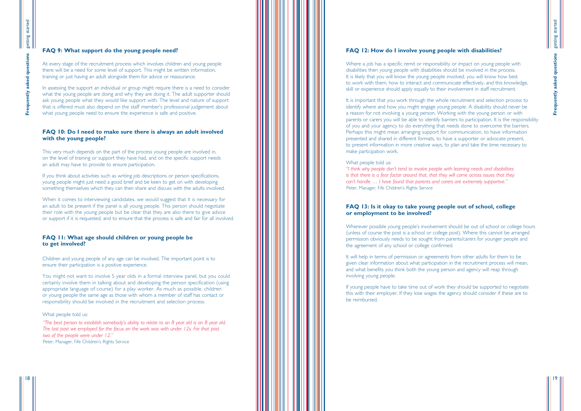### **FAQ 12: How do I involve young people with disabilities?**

Where a job has a specific remit or responsibility or impact on young people with disabilities then young people with disabilities should be involved in the process. It is likely that you will know the young people involved, you will know how best to work with them, how to interact and communicate effectively, and this knowledge, skill or experience should apply equally to their involvement in staff recruitment.

It is important that you work through the whole recruitment and selection process to identify where and how you might engage young people. A disability should never be a reason for not involving a young person. Working with the young person or with parents or carers you will be able to identify barriers to participation. It is the responsibility of you and your agency to do everything that needs done to overcome the barriers. Perhaps this might mean arranging support for communication, to have information presented and shared in different formats, to have a supporter or advocate present, to present information in more creative ways, to plan and take the time necessary to make participation work.

### What people told us:

"I think why people don't tend to involve people with learning needs and disabilities *is that there is a fear factor around that, that they will come across issues that they can 't handle … I have found that parents and carers are extremely supportive. "* Peter, Manager, Fife Children 's Rights Service

It will help in terms of permission or agreements from other adults for them to be given clear information about what participation in the recruitment process will mean, and what benefits you think both the young person and agency will reap through involving young people.

getting started getting started Frequently asked questions **Frequently asked questions**

### **FAQ 13: Is it okay to take young people out of school, college or employment to be involved?**

Wherever possible young people 's involvement should be out of school or college hours (unless of course the post is a school or college post). Where this cannot be arranged permission obviously needs to be sought from parents/carers for younger people and the agreement of any school or college confirmed.

When it comes to interviewing candidates, we would suggest that it is necessary for an adult to be present if the panel is all young people. This person should negotiate their role with the young people but be clear that they are also there to give advice or support if it is requested, and to ensure that the process is safe and fair for all involved.

> If young people have to take time out of work they should be supported to negotiate this with their employer. If they lose wages the agency should consider if these are to be reimbursed.

> > 19

### **FAQ 9: What support do the young people need?**

"The best person to establish somebody's ability to relate to an 8 year old is an 8 year old. *The last post we employed for the focus on the work was with under 12s. For that post two of the people were under 12. "* Peter, Manager, Fife Children 's Rights Service

At every stage of the recruitment process which involves children and young people there will be a need for some level of support. This might be written information, training or just having an adult alongside them for advice or reassurance.

In assessing the support an individual or group might require there is a need to consider what the young people are doing and why they are doing it. The adult supporter should ask young people what they would like support with. The level and nature of support that is offered must also depend on the staff member 's professional judgement about what young people need to ensure the experience is safe and positive.

### **FAQ 10: Do I need to make sure there is always an adult involved with the young people?**

This very much depends on the part of the process young people are involved in, on the level of training or support they have had, and on the specific support needs an adult may have to provide to ensure participation.

If you think about activities such as writing job descriptions or person specifications, young people might just need a good brief and be keen to get on with developing something themselves which they can then share and discuss with the adults involved.

### **FAQ 11: What age should children or young people be to get involved?**

Children and young people of any age can be involved. The important point is to ensure their participation is a positive experience.

You might not want to involve 5 year olds in a formal interview panel, but you could certainly involve them in talking about and developing the person specification (using appropriate language of course) for a play worker. As much as possible, children or young people the same age as those with whom a member of staff has contact or responsibility should be involved in the recruitment and selection process.

### What people told us: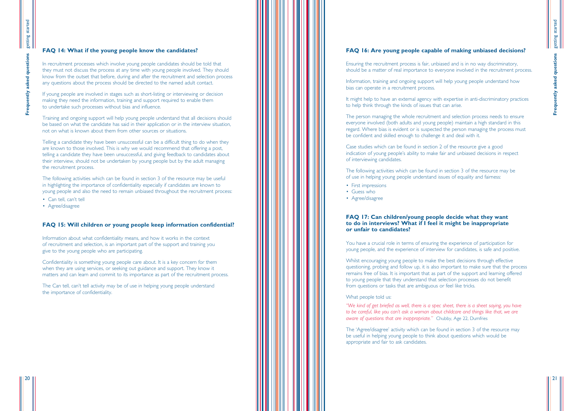### **FAQ 16: Are young people capable of making unbiased decisions?**

- should be a matter of real importance to everyone involved in the recruitment process.
	-
- It might help to have an external agency with expertise in anti-discriminatory practices
	-
	-
	-

- 
- 
- 
- 

Ensuring the recruitment process is fair, unbiased and is in no way discriminatory,

Information, training and ongoing support will help young people understand how bias can operate in a recruitment process.

to help think through the kinds of issues that can arise.

The person managing the whole recruitment and selection process needs to ensure everyone involved (both adults and young people) maintain a high standard in this regard. Where bias is evident or is suspected the person managing the process must be confident and skilled enough to challenge it and deal with it.

Case studies which can be found in section 2 of the resource give a good indication of young people 's ability to make fair and unbiased decisions in respect of interviewing candidates.

The following activities which can be found in section 3 of the resource may be of use in helping young people understand issues of equality and fairness:

- First impressions
- Guess who
- Agree/disagree

The 'Agree/disagree' activity which can be found in section 3 of the resource may be useful in helping young people to think about questions which would be appropriate and fair to ask candidates.

getting started getting started Frequently asked questions **Frequently asked questions**

### **FAQ 17: Can children/young people decide what they want to do in interviews? What if I feel it might be inappropriate or unfair to candidates?**

You have a crucial role in terms of ensuring the experience of participation for young people, and the experience of interview for candidates, is safe and positive.

Whilst encouraging young people to make the best decisions through effective questioning, probing and follow up, it is also important to make sure that the process remains free of bias. It is important that as part of the support and learning offered to young people that they understand that selection processes do not benefit from questions or tasks that are ambiguous or feel like tricks.

### What people told us:

*"We kind of get briefed as well, there is a spec sheet, there is a sheet saying, you have to be careful, like you can 't ask a woman about childcare and things like that, we are aware of questions that are inappropriate. "* Chubby, Age 22, Dumfries

21

### **FAQ 14: What if the young people know the candidates?**

In recruitment processes which involve young people candidates should be told that they must not discuss the process at any time with young people involved. They should know from the outset that before, during and after the recruitment and selection process any questions about the process should be directed to the named adult contact.

If young people are involved in stages such as short-listing or interviewing or decision making they need the information, training and support required to enable them to undertake such processes without bias and influence.

Training and ongoing support will help young people understand that all decisions should be based on what the candidate has said in their application or in the interview situation, not on what is known about them from other sources or situations.

Telling a candidate they have been unsuccessful can be a difficult thing to do when they are known to those involved. This is why we would recommend that offering a post, telling a candidate they have been unsuccessful, and giving feedback to candidates about their interview, should not be undertaken by young people but by the adult managing the recruitment process.

The following activities which can be found in section 3 of the resource may be useful in highlighting the importance of confidentiality especially if candidates are known to young people and also the need to remain unbiased throughout the recruitment process:

- Can tell, can't tell
- Agree/disagree

### **FAQ 15: Will children or young people keep information confidential?**

Information about what confidentiality means, and how it works in the context of recruitment and selection, is an important part of the support and training you give to the young people who are participating.

Confidentiality is something young people care about. It is a key concern for them when they are using services, or seeking out guidance and support. They know it matters and can learn and commit to its importance as part of the recruitment process.

The Can tell, can 't tell activity may be of use in helping young people understand the importance of confidentiality.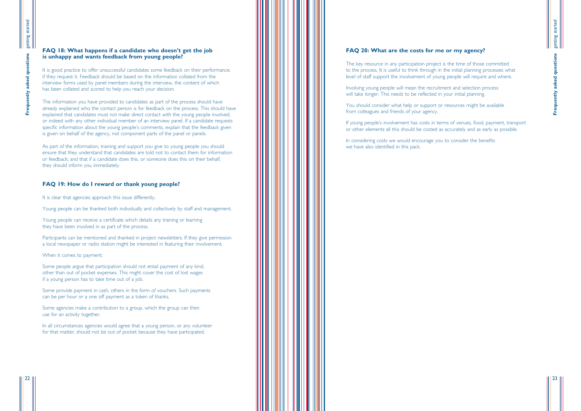### **FAQ 20: What are the costs for me or my agency?**

Involving young people will mean the recruitment and selection process will take longer. This needs to be reflected in your initial planning.

The key resource in any participation project is the time of those committed to the process. It is useful to think through in the initial planning processes what level of staff support the involvement of young people will require and where.

# getting started getting started Frequently asked questions **Frequently asked questions**

You should consider what help or support or resources might be available from colleagues and friends of your agency.

If young people's involvement has costs in terms of venues, food, payment, transport or other elements all this should be costed as accurately and as early as possible.

It is good practice to offer unsuccessful candidates some feedback on their performance, if they request it. Feedback should be based on the information collated from the interview forms used by panel members during the interview, the content of which has been collated and scored to help you reach your decision.

> In considering costs we would encourage you to consider the benefits we have also identified in this pack.

23

### **FAQ 18: What happens if a candidate who doesn't get the job is unhappy and wants feedback from young people?**

The information you have provided to candidates as part of the process should have already explained who the contact person is for feedback on the process. This should have explained that candidates must not make direct contact with the young people involved, or indeed with any other individual member of an interview panel. If a candidate requests specific information about the young people's comments, explain that the feedback given is given on behalf of the agency, not component parts of the panel or panels.

As part of the information, training and support you give to young people you should ensure that they understand that candidates are told not to contact them for information or feedback; and that if a candidate does this, or someone does this on their behalf, they should inform you immediately.

### **FAQ 19: How do I reward or thank young people?**

It is clear that agencies approach this issue differently.

Young people can be thanked both individually and collectively by staff and management.

Young people can receive a certificate which details any training or learning they have been involved in as part of the process.

Participants can be mentioned and thanked in project newsletters. If they give permission a local newspaper or radio station might be interested in featuring their involvement.

When it comes to payment:

Some people argue that participation should not entail payment of any kind, other than out of pocket expenses. This might cover the cost of lost wages if a young person has to take time out of a job.

Some provide payment in cash, others in the form of vouchers. Such payments can be per hour or a one off payment as a token of thanks.

Some agencies make a contribution to a group, which the group can then use for an activity together.

In all circumstances agencies would agree that a young person, or any volunteer for that matter, should not be out of pocket because they have participated.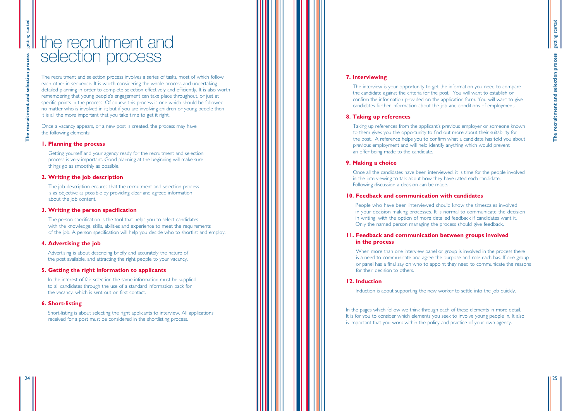### **7. Interviewing**

The interview is your opportunity to get the information you need to compare the candidate against the criteria for the post. You will want to establish or confirm the information provided on the application form. You will want to give candidates further information about the job and conditions of employment.

### **8. Taking up references**

Taking up references from the applicant 's previous employer or someone known to them gives you the opportunity to find out more about their suitability for the post. A reference helps you to confirm what a candidate has told you about previous employment and will help identify anything which would prevent an offer being made to the candidate.

### **9. Making a choice**

When more than one interview panel or group is involved in the process there is a need to communicate and agree the purpose and role each has. If one group or panel has a final say on who to appoint they need to communicate the reasons for their decision to others.

Once all the candidates have been interviewed, it is time for the people involved in the interviewing to talk about how they have rated each candidate. Following discussion a decision can be made.

### **10. Feedback and communication with candidates**

In the pages which follow we think through each of these elements in more detail. It is for you to consider which elements you seek to involve young people in. It also is important that you work within the policy and practice of your own agency.

People who have been interviewed should know the timescales involved in your decision making processes. It is normal to communicate the decision in writing, with the option of more detailed feedback if candidates want it. Only the named person managing the process should give feedback.

### **11. Feedback and communication between groups involved in the process**

### **12. Induction**

Induction is about supporting the new worker to settle into the job quickly.

In the interest of fair selection the same information must be supplied to all candidates through the use of a standard information pack for the vacancy, which is sent out on first contact.

25

# the recruitment and selection process

The recruitment and selection process involves a series of tasks, most of which follow each other in sequence. It is worth considering the whole process and undertaking detailed planning in order to complete selection effectively and efficiently. It is also worth remembering that young people 's engagement can take place throughout, or just at specific points in the process. Of course this process is one which should be followed no matter who is involved in it; but if you are involving children or young people then it is all the more important that you take time to get it right.

Once a vacancy appears, or a new post is created, the process may have the following elements:

### **1. Planning the process**

Getting yourself and your agency ready for the recruitment and selection process is very important. Good planning at the beginning will make sure things go as smoothly as possible.

### **2. Writing the job description**

The job description ensures that the recruitment and selection process is as objective as possible by providing clear and agreed information about the job content.

### **3. Writing the person specification**

The person specification is the tool that helps you to select candidates with the knowledge, skills, abilities and experience to meet the requirements of the job. A person specification will help you decide who to shortlist and employ.

### **4. Advertising the job**

Advertising is about describing briefly and accurately the nature of the post available, and attracting the right people to your vacancy.

### **5. Getting the right information to applicants**

### **6. Short-listing**

Short-listing is about selecting the right applicants to interview. All applications received for a post must be considered in the shortlisting process.

setting started getting started recruitment and selection process **The recruitment and selection process The**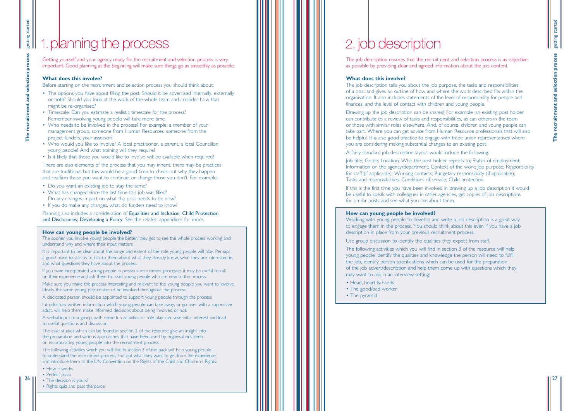The job description ensures that the recruitment and selection process is as objective as possible by providing clear and agreed information about the job content.

### **What does this involve?**

The job description tells you about the job purpose, the tasks and responsibilities of a post and gives an outline of how and where the work described fits within the organisation. It also includes statements of the level of responsibility for people and finances, and the level of contact with children and young people.

Drawing up the job description can be shared. For example, an existing post holder can contribute to a review of tasks and responsibilities, as can others in the team or those with similar roles elsewhere. And, of course, children and young people can take part. Where you can get advice from Human Resource professionals that will also be helpful. It is also good practice to engage with trade union representatives where you are considering making substantial changes to an existing post.

A fairly standard job description layout would include the following:

- 
- Information on the agency/department; Context of the work; Job purpose; Responsibility
	-
	-
	-

# getting started getting started recruitment and selection process **The recruitment and selection process**

Job title; Grade; Location; Who the post holder reports to; Status of employment; for staff (if applicable); Working contacts; Budgetary responsibility (if applicable); Tasks and responsibilities; Conditions of service; Child protection.

If this is the first time you have been involved in drawing up a job description it would be useful to speak with colleagues in other agencies, get copies of job descriptions for similar posts and see what you like about them.

### **How can young people be involved?**

- The options you have about filling the post. Should it be advertised internally, externally or both? Should you look at the work of the whole team and consider how that might be re-organised?
- Timescale. Can you estimate a realistic timescale for the process? Remember involving young people will take more time.
- Who needs to be involved in the process? For example, a member of your management group, someone from Human Resources, someone from the project funders, your assessor?
- Who would you like to involve? A local practitioner, a parent, a local Councillor, young people? And what training will they require?
- Is it likely that those you would like to involve will be available when required?

Working with young people to develop and write a job description is a great way to engage them in the process. You should think about this even if you have a job description in place from your previous recruitment process.

Use group discussion to identify the qualities they expect from staff.

The following activities which you will find in section 3 of the resource will help young people identify the qualities and knowledge the person will need to fulfil the job, identify person specifications which can be used for the preparation of the job advert/description and help them come up with questions which they may want to ask in an interview setting:

- Head, heart & hands
- The good/bad worker
- The pyramid

 $|26$ 

27

Getting yourself and your agency ready for the recruitment and selection process is very important. Good planning at the beginning will make sure things go as smoothly as possible.

### **What does this involve?**

Before starting on the recruitment and selection process you should think about:

- How it works
- Perfect pizza
- The decision is yours?
- Rights quiz and pass the parcel

There are also elements of the process that you may inherit, there may be practices that are traditional but this would be a good time to check out why they happen and reaffirm those you want to continue, or change those you don 't. For example:

- 
- Do you want an existing job to stay the same? What has changed since the last time this job was filled? Do any changes impact on what the post needs to be now?
- If you do make any changes, what do funders need to know?

Planning also includes a consideration of Equalities and Inclusion; Child Protection and Disclosures; Developing a Policy. See the related appendices for more.

### **How can young people be involved?**

The sooner you involve young people the better, they get to see the whole process working and understand why and where their input matters.

It is important to be clear about the range and extent of the role young people will play. Perhaps a good place to start is to talk to them about what they already know, what they are interested in, and what questions they have about the process.

If you have incorporated young people in previous recruitment processes it may be useful to call on their experience and ask them to assist young people who are new to the process.

Make sure you make the process interesting and relevant to the young people you want to involve. Ideally the same young people should be involved throughout the process.

A dedicated person should be appointed to support young people through the process.

Introductory written information which young people can take away, or go over with a supportive adult, will help them make informed decisions about being involved or not.

A verbal input to a group, with some fun activities or role play can raise initial interest and lead to useful questions and discussion.

The case studies which can be found in section 2 of the resource give an insight into the preparation and various approaches that have been used by organisations keen on incorporating young people into the recruitment process.

The following activities which you will find in section 3 of the pack will help young people to understand the recruitment process, find out what they want to get from the experience, and introduce them to the UN Convention on the Rights of the Child and Children 's Rights:

# 1.planning the process 2. job description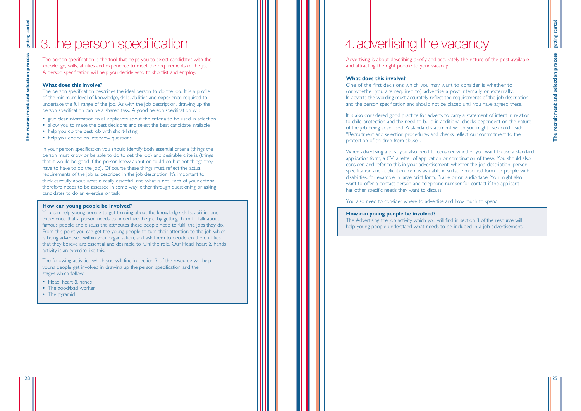Advertising is about describing briefly and accurately the nature of the post available and attracting the right people to your vacancy.

### **What does this involve?**

One of the first decisions which you may want to consider is whether to (or whether you are required to) advertise a post internally or externally. In adverts the wording must accurately reflect the requirements of the job description and the person specification and should not be placed until you have agreed these.

It is also considered good practice for adverts to carry a statement of intent in relation to child protection and the need to build in additional checks dependent on the nature of the job being advertised. A standard statement which you might use could read: "Recruitment and selection procedures and checks reflect our commitment to the protection of children from abuse".

getting started getting started recruitment and selection process **The recruitment and selection process**

When advertising a post you also need to consider whether you want to use a standard application form, a CV, a letter of application or combination of these. You should also consider, and refer to this in your advertisement, whether the job description, person specification and application form is available in suitable modified form for people with disabilities, for example in large print form, Braille or on audio tape. You might also want to offer a contact person and telephone number for contact if the applicant has other specific needs they want to discuss.

- give clear information to all applicants about the criteria to be used in selection
- allow you to make the best decisions and select the best candidate available
- help you do the best job with short-listing
- help you decide on interview questions.

You also need to consider where to advertise and how much to spend.

### **How can young people be involved?**

The Advertising the job activity which you will find in section 3 of the resource will help young people understand what needs to be included in a job advertisement.

29

# 3. the person specification  $\| \|\| \|\| \|\| \|\| \|\| \|\|$  4. advertising the vacancy

The person specification is the tool that helps you to select candidates with the knowledge, skills, abilities and experience to meet the requirements of the job. A person specification will help you decide who to shortlist and employ.

- Head, heart & hands
- The good/bad worker
- The pyramid

### **What does this involve?**

The person specification describes the ideal person to do the job. It is a profile of the minimum level of knowledge, skills, abilities and experience required to undertake the full range of the job. As with the job description, drawing up the person specification can be a shared task. A good person specification will:

In your person specification you should identify both essential criteria (things the person must know or be able to do to get the job) and desirable criteria (things that it would be good if the person knew about or could do but not things they have to have to do the job). Of course these things must reflect the actual requirements of the job as described in the job description. It's important to think carefully about what is really essential, and what is not. Each of your criteria therefore needs to be assessed in some way, either through questioning or asking candidates to do an exercise or task.

### **How can young people be involved?**

You can help young people to get thinking about the knowledge, skills, abilities and experience that a person needs to undertake the job by getting them to talk about famous people and discuss the attributes these people need to fulfil the jobs they do. From this point you can get the young people to turn their attention to the job which is being advertised within your organisation, and ask them to decide on the qualities that they believe are essential and desirable to fulfil the role. Our Head, heart & hands activity is an exercise like this.

The following activities which you will find in section 3 of the resource will help young people get involved in drawing up the person specification and the stages which follow: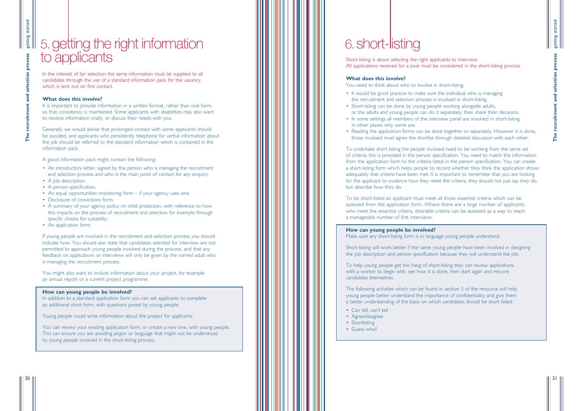Short-listing is about selecting the right applicants to interview. All applications received for a post must be considered in the short-listing process.

### **What does this involve?**

You need to think about who to involve in short-listing:

- It would be good practice to make sure the individual who is managing the recruitment and selection process is involved in short-listing.
- Short-listing can be done by young people working alongside adults, or the adults and young people can do it separately; then share their decisions.
- In some settings all members of the interview panel are involved in short-listing, in other places only some are.
- Reading the application forms can be done together or separately. However it is done,

those involved must agree the shortlist through detailed discussion with each other.

- 
- 
- 

To undertake short-listing the people involved need to be working from the same set of criteria; this is provided in the person specification. You need to match the information from the application form to the criteria listed in the person specification. You can create a short-listing form which helps people to record whether they think the application shows adequately that criteria have been met. It is important to remember that you are looking for the applicant to evidence how they meet the criteria; they should not just say they do, but describe how they do.

- Can tell, can't tell
- Agree/disagree
- Shortlisting
- Guess who?

In the interest of fair selection the same information must be supplied to all candidates through the use of a standard information pack for the vacancy, which is sent out on first contact.

It is important to provide information in a written format, rather than oral form. so that consistency is maintained. Some applicants with disabilities may also want to receive information orally, or discuss their needs with you.

> To be short-listed an applicant must meet all those essential criteria which can be assessed from the application form. Where there are a large number of applicants who meet the essential criteria, desirable criteria can be assessed as a way to reach a manageable number of first interviews.

### **How can young people be involved?**

Make sure any short-listing form is in language young people understand.

Short-listing will work better if the same young people have been involved in designing the job description and person specification because they will understand the job.

To help young people get the hang of short-listing they can review applications with a worker to begin with, see how it is done, then start again and rescore candidates themselves.

The following activities which can be found in section 3 of the resource will help young people better understand the importance of confidentiality and give them a better understanding of the basis on which candidates should be short listed:

31

### **What does this involve?**

Generally we would advise that prolonged contact with some applicants should be avoided, and applicants who persistently telephone for verbal information about the job should be referred to the standard information which is contained in the information pack.

A good information pack might contain the following:

- An introductory letter, signed by the person who is managing the recruitment and selection process and who is the main point of contact for any enquiry.
- A job description.
- A person specification.
- An equal opportunities monitoring form if your agency uses one.
- Disclosure of convictions form.
- A summary of your agency policy on child protection, with reference to how this impacts on the process of recruitment and selection for example through specific checks for suitability.
- An application form.

If young people are involved in the recruitment and selection process you should indicate how. You should also state that candidates selected for interview are not permitted to approach young people involved during the process, and that any feedback on applications or interviews will only be given by the named adult who is managing the recruitment process.

You might also want to include information about your project, for example an annual report or a current project programme.

### **How can young people be involved?**

In addition to a standard application form you can ask applicants to complete an additional short form, with questions posed by young people.

Young people could write information about the project for applicants.

You can review your existing application form, or create a new one, with young people. This can ensure you are avoiding jargon or language that might not be understood by young people involved in the short-listing process.

getting started getting started **The recruitment and selection process** recruitment and selection

# 5.getting the right information to applicants

# 6.short-listing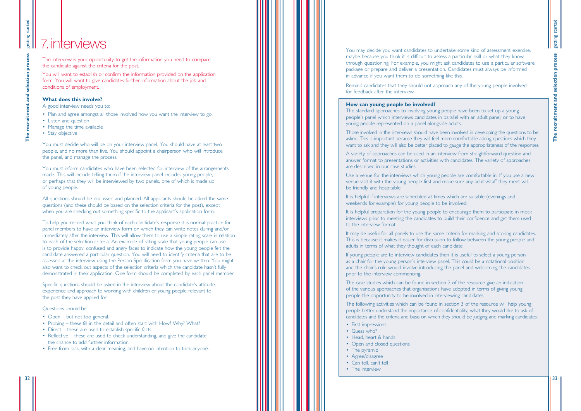You may decide you want candidates to undertake some kind of assessment exercise, maybe because you think it is difficult to assess a particular skill or what they know through questioning. For example, you might ask candidates to use a particular software package or prepare and deliver a presentation. Candidates must always be informed in advance if you want them to do something like this.

Remind candidates that they should not approach any of the young people involved for feedback after the interview.

### **How can young people be involved?**

The standard approaches to involving young people have been to set up a young people 's panel which interviews candidates in parallel with an adult panel; or to have young people represented on a panel alongside adults.

answer format to presentations or activities with candidates. The variety of approaches are described in our case studies.

venue visit it with the young people first and make sure any adults/staff they meet will be friendly and hospitable.

- First impressions
- Guess who?
- Head, heart & hands
- Open and closed questions
- The pyramid
- Agree/disagree
- Can tell, can't tell
- The interview

It is helpful if interviews are scheduled at times which are suitable (evenings and weekends for example) for young people to be involved.

- Plan and agree amongst all those involved how you want the interview to go
- Listen and question
- Manage the time available
- Stay objective

interviews prior to meeting the candidates to build their confidence and get them used to the interview format.

- 
- Those involved in the interviews should have been involved in developing the questions to be asked. This is important because they will feel more comfortable asking questions which they want to ask and they will also be better placed to gauge the appropriateness of the responses.
- A variety of approaches can be used in an interview from straightforward question and
- Use a venue for the interviews which young people are comfortable in. If you use a new
	-
- It is helpful preparation for the young people to encourage them to participate in mock
- It may be useful for all panels to use the same criteria for marking and scoring candidates. This is because it makes it easier for discussion to follow between the young people and
	-
- The case studies which can be found in section 2 of the resource give an indication
- people better understand the importance of confidentiality, what they would like to ask of candidates and the criteria and basis on which they should be judging and marking candidates:

adults in terms of what they thought of each candidate.

If young people are to interview candidates then it is useful to select a young person as a chair for the young person 's interview panel. This could be a rotational position and the chair 's role would involve introducing the panel and welcoming the candidates prior to the interview commencing.

of the various approaches that organisations have adopted in terms of giving young people the opportunity to be involved in interviewing candidates.

The following activities which can be found in section 3 of the resource will help young

- Open but not too general.
- Probing these fill in the detail and often start with How? Why? What?
- Direct these are used to establish specific facts.
- Reflective these are used to check understanding, and give the candidate the chance to add further information.
- Free from bias, with a clear meaning, and have no intention to trick anyone.

The interview is your opportunity to get the information you need to compare the candidate against the criteria for the post.

You will want to establish or confirm the information provided on the application form. You will want to give candidates further information about the job and conditions of employment.

### **What does this involve?**

A good interview needs you to:

You must decide who will be on your interview panel. You should have at least two people, and no more than five. You should appoint a chairperson who will introduce the panel, and manage the process.

You must inform candidates who have been selected for interview of the arrangements made. This will include telling them if the interview panel includes young people, or perhaps that they will be interviewed by two panels, one of which is made up of young people.

All questions should be discussed and planned. All applicants should be asked the same questions (and these should be based on the selection criteria for the post), except when you are checking out something specific to the applicant 's application form.

To help you record what you think of each candidate 's response it is normal practice for panel members to have an interview form on which they can write notes during and/or immediately after the interview. This will allow them to use a simple rating scale in relation to each of the selection criteria. An example of rating scale that young people can use is to provide happy, confused and angry faces to indicate how the young people felt the candidate answered a particular question. You will need to identify criteria that are to be assessed at the interview using the Person Specification form you have written. You might also want to check out aspects of the selection criteria which the candidate hasn 't fully demonstrated in their application. One form should be completed by each panel member.

Specific questions should be asked in the interview about the candidate 's attitude, experience and approach to working with children or young people relevant to the post they have applied for.

### Questions should be:

## 7.interviews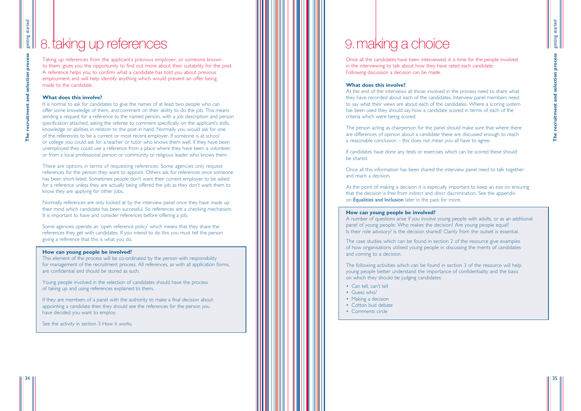Once all the candidates have been interviewed, it is time for the people involved in the interviewing to talk about how they have rated each candidate. Following discussion a decision can be made.

### **What does this involve?**

At the end of the interviews all those involved in the process need to share what they have recorded about each of the candidates. Interview panel members need to say what their views are about each of the candidates. Where a scoring system has been used they should say how a candidate scored in terms of each of the criteria which were being scored.

The person acting as chairperson for the panel should make sure that where there are differences of opinion about a candidate these are discussed enough to reach a reasonable conclusion – this does not mean you all have to agree.

If candidates have done any tests or exercises which can be scored these should be shared.

Once all this information has been shared the interview panel need to talk together and reach a decision.

# getting started getting started recruitment and selection process **The recruitment and selection process**

At the point of making a decision it is especially important to keep an eye on ensuring that the decision is free from *indirect* and *direct* discrimination. See the appendix on Equalities and Inclusion later in the pack for more.

### **How can young people be involved?**

A number of questions arise if you involve young people with adults, or as an additional panel of young people: Who makes the decision? Are young people equal? Is their role advisory? Is the decision shared? Clarity from the outset is essential.

The case studies which can be found in section 2 of the resource give examples of how organisations utilised young people in discussing the merits of candidates and coming to a decision.

Normally references are only looked at by the interview panel once they have made up their mind which candidate has been successful. So references are a checking mechanism. It is important to have and consider references before offering a job.

> The following activities which can be found in section 3 of the resource will help young people better understand the importance of confidentiality and the basis on which they should be judging candidates:

- Can tell, can't tell
- Guess who?
- Making a decision
- Cotton bud debate
- Comments circle

35

# 8. taking up references **1.a. III A. III A. IIII A.** IIIIII **9. making a choice**

Taking up references from the applicant 's previous employer, or someone known to them, gives you the opportunity to find out more about their suitability for the post. A reference helps you to confirm what a candidate has told you about previous employment and will help identify anything which would prevent an offer being made to the candidate.

### **What does this involve?**

It is normal to ask for candidates to give the names of at least two people who can offer some knowledge of them, and comment on their ability to do the job. This means sending a request for a reference to the named person, with a job description and person specification attached; asking the referee to comment specifically on the applicant 's skills, knowledge or abilities in relation to the post in hand. Normally you would ask for one of the references to be a current or most recent employer. If someone is at school or college you could ask for a teacher or tutor who knows them well. If they have been unemployed they could use a reference from a place where they have been a volunteer, or from a local professional person or community or religious leader who knows them.

There are options in terms of requesting references. Some agencies only request references for the person they want to appoint. Others ask for references once someone has been short-listed. Sometimes people don 't want their current employer to be asked for a reference unless they are actually being offered the job as they don 't want them to know they are applying for other jobs.

Some agencies operate an 'open reference policy ' which means that they share the references they get with candidates. If you intend to do this you must tell the person giving a reference that this is what you do.

### **How can young people be involved?**

This element of the process will be co-ordinated by the person with responsibility for management of the recruitment process. All references, as with all application forms, are confidential and should be stored as such.

Young people involved in the selection of candidates should have the process of taking up and using references explained to them.

If they are members of a panel with the authority to make a final decision about appointing a candidate then they should see the references for the person you have decided you want to employ.

See the activity in section 3 How it works.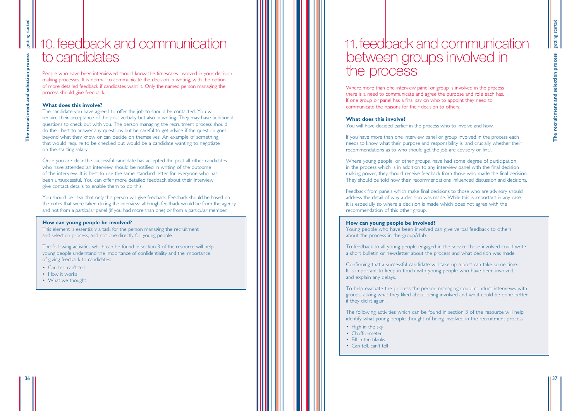Where more than one interview panel or group is involved in the process there is a need to communicate and agree the purpose and role each has. If one group or panel has a final say on who to appoint they need to communicate the reasons for their decision to others.

### **What does this involve?**

You will have decided earlier in the process who to involve and how.

If you have more than one interview panel or group involved in the process each needs to know what their purpose and responsibility is, and crucially whether their recommendations as to who should get the job are advisory or final.

Where young people, or other groups, have had some degree of participation in the process which is in addition to any interview panel with the final decision making power, they should receive feedback from those who made the final decision. They should be told how their recommendations influenced discussion and decisions.

- High in the sky
- Chuff-o-meter
- Fill in the blanks
- Can tell, can't tell

Feedback from panels which make final decisions to those who are advisory should address the detail of why a decision was made. While this is important in any case, it is especially so where a decision is made which does not agree with the recommendation of this other group.

### **How can young people be involved?**

Young people who have been involved can give verbal feedback to others about the process in the group/club.

To feedback to all young people engaged in the service those involved could write a short bulletin or newsletter about the process and what decision was made.

Confirming that a successful candidate will take up a post can take some time. It is important to keep in touch with young people who have been involved, and explain any delays.

To help evaluate the process the person managing could conduct interviews with groups, asking what they liked about being involved and what could be done better if they did it again.

The following activities which can be found in section 3 of the resource will help identify what young people thought of being involved in the recruitment process:

37

People who have been interviewed should know the timescales involved in your decision making processes. It is normal to communicate the decision in writing, with the option of more detailed feedback if candidates want it. Only the named person managing the process should give feedback.

### **What does this involve?**

The candidate you have agreed to offer the job to should be contacted. You will require their acceptance of the post verbally but also in writing. They may have additional questions to check out with you. The person managing the recruitment process should do their best to answer any questions but be careful to get advice if the question goes beyond what they know or can decide on themselves. An example of something that would require to be checked out would be a candidate wanting to negotiate on the starting salary.

Once you are clear the successful candidate has accepted the post all other candidates who have attended an interview should be notified in writing of the outcome of the interview. It is best to use the same standard letter for everyone who has been unsuccessful. You can offer more detailed feedback about their interview; give contact details to enable them to do this.

You should be clear that only this person will give feedback. Feedback should be based on the notes that were taken during the interview, although feedback would be from the agency and not from a particular panel (if you had more than one) or from a particular member.

### **How can young people be involved?**

This element is essentially a task for the person managing the recruitment and selection process, and not one directly for young people.

The following activities which can be found in section 3 of the resource will help young people understand the importance of confidentiality and the importance of giving feedback to candidates:

- Can tell, can't tell
- How it works
- What we thought

# 10.feedback and communication to candidates

# 11.feedback and communication between groups involved in the process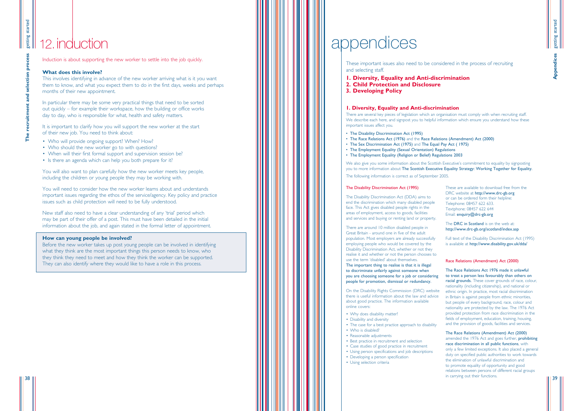These important issues also need to be considered in the process of recruiting and selecting staff.

setting started getting started indices **Appendices**

- **1. Diversity, Equality and Anti-discrimination**
- **2. Child Protection and Disclosure**
- **3. Developing Policy**

Induction is about supporting the new worker to settle into the job quickly.

### **What does this involve?**

This involves identifying in advance of the new worker arriving what is it you want them to know, and what you expect them to do in the first days, weeks and perhaps months of their new appointment.

It is important to clarify how you will support the new worker at the start of their new job. You need to think about:

In particular there may be some very practical things that need to be sorted out quickly – for example their workspace, how the building or office works day to day, who is responsible for what, health and safety matters.

- Who will provide ongoing support? When? How?
- Who should the new worker go to with questions?
- When will their first formal support and supervision session be?
- Is there an agenda which can help you both prepare for it?

You will also want to plan carefully how the new worker meets key people, including the children or young people they may be working with.

> The DRC in Scotland is on the web at: http://www.drc-gb.org/scotland/index.asp

You will need to consider how the new worker learns about and understands important issues regarding the ethos of the service/agency. Key policy and practice issues such as child protection will need to be fully understood.

New staff also need to have a clear understanding of any 'trial ' period which may be part of their offer of a post. This must have been detailed in the initial information about the job, and again stated in the formal letter of appointment.

### **How can young people be involved?**

Before the new worker takes up post young people can be involved in identifying what they think are the most important things this person needs to know, who they think they need to meet and how they think the worker can be supported. They can also identify where they would like to have a role in this process.

# 12. induction **and interest appendices**

These are available to download free from the DRC website at http://www.drc-gb.org or can be ordered form their helpline: Telephone: 08457 622 633. Textphone: 08457 622 644 Email: enquiry@drc-gb.org

Full text of the Disability Discrimination Act (1995) is available at http://www.disability.gov.uk/dda/

- Why does disability matter?
- Disability and diversity
- The case for a best practice approach to disability • Who is disabled?
- Reasonable adjustments
- Best practice in recruitment and selection
- Case studies of good practice in recruitment
- Using person specifications and job descriptions
- Developing a person specification
- Using selection criteria

getting started getting started **The recruitment and selection process** proce selection recruitment and **The** 

### Race Relations (Amendment) Act (2000)

The Race Relations Act 1976 made it unlawful to treat a person less favourably than others on racial grounds. These cover grounds of race, colour, nationality (including citizenship), and national or ethnic origin. In practice, most racial discrimination in Britain is against people from ethnic minorities, but people of every background, race, colour and nationality are protected by the law. The 1976 Act provided protection from race discrimination in the fields of employment, education, training, housing, and the provision of goods, facilities and services.

The Race Relations (Amendment) Act (2000) amended the 1976 Act and goes further, prohibiting race discrimination in all public functions, with only a few limited exceptions. It also placed a general duty on specified public authorities to work towards the elimination of unlawful discrimination and to promote equality of opportunity and good relations between persons of different racial groups in carrying out their functions.

### The Disability Discrimination Act (1995)

The Disability Discrimination Act (DDA) aims to end the discrimination which many disabled people face. This Act gives disabled people rights in the areas of employment, access to goods, facilities and services and buying or renting land or property.

There are around 10 million disabled people in Great Britain - around one in five of the adult population. Most employers are already successfully employing people who would be covered by the Disability Discrimination Act, whether or not they realise it and whether or not the person chooses to use the term 'disabled ' about themselves.

The important thing to realise is that it is illegal to discriminate unfairly against someone when you are choosing someone for a job or considering people for promotion, dismissal or redundancy.

On the Disability Rights Commission (DRC) website there is useful information about the law and advice about good practice. The information available online covers:

### **1. Diversity, Equality and Anti-discrimination**

There are several key pieces of legislation which an organisation must comply with when recruiting staff. We describe each here, and signpost you to helpful information which ensure you understand how these important issues affect you.

- The Disability Discrimination Act (1995)
- The Race Relations Act (1976) and the Race Relations (Amendment) Act (2000)
- The Sex Discrimination Act (1975) and The Equal Pay Act ( 1975)
- The Employment Equality (Sexual Orientation) Regulations
- The Employment Equality (Religion or Belief) Regulations 2003

We also give you some information about the Scottish Executive 's commitment to equality by signposting you to more information about The Scottish Executive Equality Strategy: Working Together for Equality.

The following information is correct as of September 2005.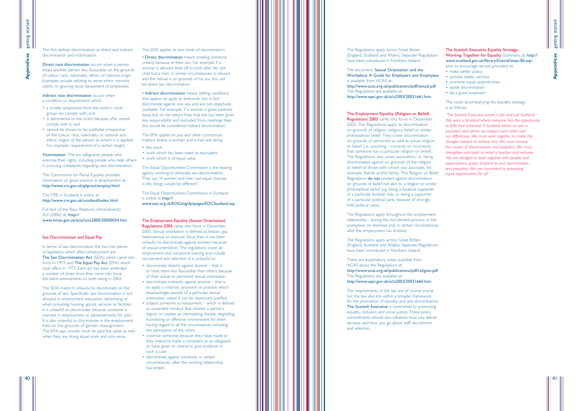getting started

getting started

**Appendices**

**Appendices** 

41

The Act defines discrimination as direct and indirect discrimination and victimisation.

Direct race discrimination occurs when a person treats another person less favourably on the grounds of colour, race, nationality, ethnic or national origin. Examples include refusing to serve ethnic minority clients or ignoring racial harassment of employees.

Indirect race discrimination occurs when a condition or requirement which:

- a smaller proportion from the victim 's racial group can comply with, and
- is detrimental to the victim because s/he cannot comply with it, and
- cannot be shown to be justifiable irrespective of the colour, race, nationality or national and ethnic origins of the person to whom it is applied. For example, requirement of a certain height.

Victimisation: The act safeguards people who exercise their rights, including people who help others in pursuing complaints regarding race discrimination.

The Commission for Racial Equality provides information on good practice in employment at: http://www.cre.gov.uk/gdpract/employ.html

The CRE in Scotland is online at: http://www.cre.gov.uk/scotland/index.html

Full text of the Race Relations (Amendment) Act (2000) at: http:// www.hmso.gov.uk/acts/acts2000/20000034.htm

### Sex Discrimination and Equal Pay

• Indirect discrimination means setting conditions that appear to apply to everyone, but in fact discriminate against one sex and are not objectively justifiable. For example, if a woman is given parental leave but on her return finds that she has been given less responsibility and excluded from meetings then this would be considered indirect discrimination.

- like work
- work which has been rated as equivalent
- work which is of equal value.

In terms of sex discrimination the two key pieces of legislation which affect employment are The Sex Discrimination Act (SDA) which came into force in 1975 and The Equal Pay Act (EPA) which took effect in 1975. Each act has been amended a number of times since they came into force, the latest amendments to both being in 2003.

The SDA makes it unlawful to discriminate on the grounds of sex. Specifically, sex discrimination is not allowed in employment, education, advertising or when providing housing, goods, services or facilities. It is unlawful to discriminate because someone is married, in employment or advertisements for jobs. It is also unlawful to discriminate in the employment field on the grounds of gender reassignment. The EPA says women must be paid the same as men when they are doing equal work and vice-versa.

### The SDA applies to two kinds of discrimination:

• Direct discrimination means treating someone unfairly because of their sex. For example if a woman is allowed time off to look after her sick child but a man, in similar circumstances, is refused and the refusal is on grounds of his sex, this will be direct sex discrimination.

The EPA applies to pay and other contractual matters where a women and a man are doing

The Equal Opportunities Commission is the leading agency working to eliminate sex discrimination. They say "if women and men had equal chances in life, things would be different " .

The Equal Opportunities Commission in Scotland is online at http://

www.eoc.org.uk/EOCeng/dynpages/EOCScotland.asp

The Employment Equality (Sexual Orientation) Regulations 2003 came into force in December 2003. Sexual orientation is defined as lesbian, gay, heterosexual or bisexual. Since then it has been unlawful to discriminate against workers because of sexual orientation. The regulations cover all employment and vocational training and include recruitment and selection. It is unlawful to:

- discriminate directly against anyone that is to treat them less favourably than others because of their actual or perceived sexual orientation
- discriminate indirectly against anyone that is to apply a criterion, provision or practice which disadvantages people of a particular sexual orientation unless it can be objectively justified
- subject someone to harassment which is defined as unwanted conduct that violates a person s ' dignity or creates an intimidating, hostile, degrading, humiliating or offensive environment for them having regard to all the circumstances including the perception of the victim
- victimise someone because they have made or they intend to make a complaint or an allegation or have given or intend to give evidence in such a case
- discriminate against someone, in certain circumstances, after the working relationship has ended.

### The Scottish Executive Equality Strategy: Working Together for Equality (Summary at: http:// www.scotland.gov.uk/library3/social/wtes-00.asp )

- aims to encourage service providers to
- 
- make better policy provide better services promote equal opportunities tackle discrimination
- 
- be a good employer.

The vision accompanying this equality strategy is as follows:

*"The Scottish Executive wants a fair and just Scotland. We want a Scotland where everyone has the opportunity to fulfil their potential. A Scotland where no one is excluded, and where we respect each other and our differences. We must work together to make the changes needed to achieve this. We must remove the causes of discrimination and prejudice. We must strengthen and build on what is positive and inclusive. We are pledged to work together with people and organisations across Scotland to end discrimination and prejudice. We are committed to promoting equal opportunities for all ".*

### The Regulations apply across Great Britain (England, Scotland and Wales). Separate Regulations have been introduced in Northern Ireland.

The document: Sexual Orientation and the Workplace: A Guide for Employers and Employees is available from ACAS at: http://www.acas.org.uk/publications/pdf/sexual.pdf The Regulations are available at: http://www.opsi.gov.uk/si/si2003/20031661.htm

### The Employment Equality (Religion or Belief)

Regulations 2003 came into force in December 2003. The Regulations apply to discrimination on grounds of religion, religious belief or similar philosophical belief. They cover discrimination on grounds of perceived as well as actual religion or belief (i.e. assuming - correctly or incorrectly that someone has a particular religion or belief). The Regulations also cover association, i.e. being discriminated against on grounds of the religion or belief of those with whom you associate, for example, friends and/or family. The Religion or Belief Regulations do not protect against discrimination on grounds of belief not akin to a religion or similar philosophical belief, e.g. being a fanatical supporter of a particular football club, or being a supporter of a particular political party because of strongly held political views.

The Regulations apply throughout the employment relationship - during the recruitment process, in the workplace, on dismissal and, in certain circumstances, after the employment has finished.

The Regulations apply across Great Britain (England, Scotland and Wales). Separate Regulations have been introduced in Northern Ireland.

There are explanatory notes available from ACAS about the Regulations at: http://www.acas.org.uk/publications/pdf/religion.pdf The Regulations are available at: http://www.opsi.gov.uk/si/si2003/20031660.htm

The requirements of the law are of course crucial, but the law also sits within a broader framework for the promotion of equality and anti-discrimination. The Scottish Executive is committed to promoting equality, inclusion and social justice. These policy commitments should also influence how you deliver services, and how you go about staff recruitment and selection.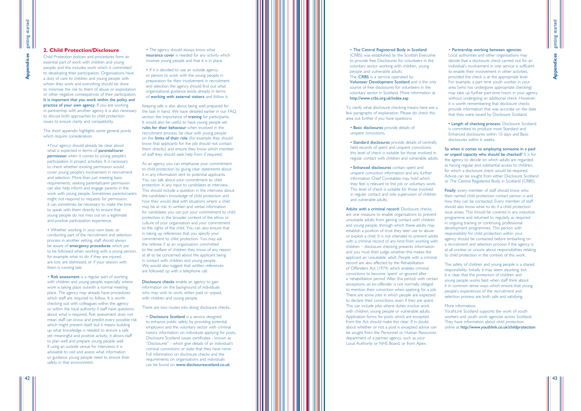• The agency should always know what insurance cover is needed for any activity which involves young people and that it is in place.

• If it is decided to use an outside agency or person to work with the young people in preparation for their involvement in recruitment and selection the agency should find out what organisational guidance exists already in terms of working with external visitors and follow it.

Keeping safe is also about being well prepared for the task in hand. We have detailed earlier in our FAQ section the importance of **training** for participants. It would also be useful to have young people set rules for their behaviour when involved in the recruitment process, be clear with young people on the limits of their role (for example they should know that applicants for the job should not contact them directly) and ensure they know which member of staff they should seek help from if required.

Disclosure checks enable an agency to gain information on the background of individuals who may wish to work, either paid or unpaid, with children and young people.

As an agency you can emphasise your commitment to child protection by giving clear statements about it in any information sent to potential applicants. You can talk about your commitment to child protection in any input to candidates at interview. This should include a question in the interview about the candidate 's knowledge of child protection and how they would deal with situations where a child may be at risk. In written and verbal information for candidates you can put your commitment to child protection in the broader context of the ethos or culture of your organisation and your commitment to the rights of the child. You can also ensure that in taking up references that you specify your commitment to child protection. You may ask the referee if as an organisation committed to the welfare of children they know of any reason at all to be concerned about the applicant being in contact with children and young people. We would also suggest that written references are followed up with a telephone call.

This short appendix highlights some general points which require consideration:

There are two routes into doing disclosure checks.

• Disclosure Scotland is a service designed to enhance public safety by providing potential employers and the voluntary sector with criminal history information on individuals applying for posts. Disclosure Scotland issues certificates - known as "Disclosures" - which give details of an individual' s criminal convictions or state that they have none. Full information on disclosure checks and the requirements on organisations and individuals can be found on www.disclosurescotland.co.uk

### **2. Child Protection/Disclosure**

Child Protection policies and procedures form an essential part of work with children and young people; and this includes work which is committed to developing their participation. Organisations have a duty of care to children and young people with whom they work and everything should be done to minimise the risk to them of abuse or exploitation or other negative consequences of their participation. It is important that you work within the policy and practice of your own agency. If you are working in partnership with another agency it is also necessary to discuss both approaches to child protection issues to ensure clarity and compatibility.

> Finally, every member of staff should know who their named child protection contact person is and how they can be contacted. Every member of staff should also know what to do if a child protection issue arises. This should be covered in any induction programme and returned to regularly as required in ongoing training or continuing professional development programmes. This person with responsibility for child protection within your agency should be contacted before embarking on a recruitment and selection process if the agency is at all unclear or unsure about responsibilities relating to child protection in the context of this work.

•Your agency should already be clear about what is expected in terms of **parental/carer** permission when it comes to young people's ' participation in project activities. It is necessary to check whether existing permission would cover young people 's involvement in recruitment and selection. More than just meeting basic requirements, seeking parental/carer permission can also help inform and engage parents in the work with young people. Sometimes parents/carers might not respond to requests for permission, it can sometimes be necessary to make the time to speak with them directly to ensure that young people do not miss out on a legitimate and positive participation experience. • Whether working in your own base, or

conducting part of the recruitment and selection process in another setting, staff should always be aware of **emergency procedures** which are to be followed when working with a young person, for example what to do if they are injured, are lost, are distressed, or if your session with them is running late.

• Risk assessment is a regular part of working with children and young people, especially where work is taking place outwith a normal meeting place. The agency may already have procedures which staff are required to follow. It is worth checking out with colleagues within the agency or within the local authority if staff have questions about what is required. Risk assessment does not mean staff can know and predict every possible risk which might present itself; but it means building up what knowledge is needed to ensure a safe yet meaningful and positive activity, it allows staff to plan well and prepare young people well. If using an outside venue for interviews it is advisable to visit and assess what information or guidance young people need to ensure their safety in that environment.

Adults with a criminal record: Disclosure checks are one measure to enable organisations to prevent unsuitable adults from gaining contact with children and young people, through which these adults may establish a position of trust they later use to abuse or exploit a child. It is not intended to prevent adults with a criminal record of any kind from working with children – disclosure checking presents information and you must then judge whether this makes the applicant an 'unsuitable ' adult. People with a criminal record are also affected by the Rehabilitation of Offenders Act (1974) which enables criminal convictions to become 'spent ' or ignored after a 'rehabilitation period ' After this period, with certain exceptions, an ex-offender is not normally obliged to mention their conviction when applying for a job. There are some jobs in which people are expected to declare their convictions, even if they are spent. This can include jobs where duties involve work with children, young people or vulnerable adults. Application forms for posts which are excepted from the Act should make this clear. If in doubt about whether or not a post is excepted advice can be sought from the Personnel or Human Resources department of a partner agency, such as your Local Authority or NHS Board, or from Apex.

• Partnership working between agencies: Local authorities and other organisations may decide that a disclosure check carried out for an individual 's involvement in one service is sufficient to enable their involvement in other activities, provided the check is at the appropriate level. For example, a part time youth worker in your area (who has undergone appropriate checking) may take up further part-time hours in your agency without undergoing an additional check. However, it is worth remembering that disclosure checks provide information that was accurate on the date that they were issued by Disclosure Scotland.

• Length of checking process: Disclosure Scotland is committed to produce most Standard and Enhanced disclosures within 10 days and Basic disclosures within 6 weeks.

So when it comes to employing someone in a paid or unpaid capacity who should be checked? It is for the agency to decide on which adults are regarded as having regular and substantial access to children, for which a disclosure check would be required. Advice can be sought from either Disclosure Scotland or The Central Registered Body in Scotland (CRBS).

The safety of children and young people is a shared responsibility. Initially it may seem daunting, but it is clear that the protection of children and young people works best when staff think about it in common sense ways which ensure that young people 's experiences of the recruitment and selection process are both safe and satisfying.

### More information:

YouthLink Scotland supports the work of youth workers and youth work agencies across Scotland. They have information about child protection online at http://www.youthlink.co.uk/childprotection

• The Central Registered Body in Scotland (CRBS) was established by the Scottish Executive to provide free Disclosures for volunteers in the voluntary sector working with children, young people and vulnerable adults. The CRBS is a service operated by Volunteer Development Scotland and is the only source of free disclosures for volunteers in the voluntary sector in Scotland. More information at http://www.crbs.org.uk/index.asp To clarify what disclosure checking means here are a few paragraphs of explanation. Please do check this area out further if you have questions. • Basic disclosures provide details of

unspent convictions.

• Standard disclosures provide details of centrally held records of spent and unspent convictions; this level of check is suitable for those involved in regular contact with children and vulnerable adults.

• Enhanced disclosures contain spent and unspent conviction information and any further information Chief Constables may hold which they feel is relevant to the job or voluntary work. This level of check is suitable for those involved in regular contact and sole supervision of children and vulnerable adults.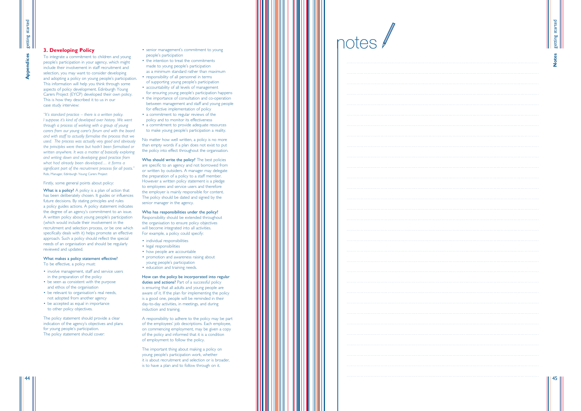| والمتمام والمتمار             |
|-------------------------------|
|                               |
|                               |
| $\alpha$ is a second control. |
| $\alpha$ is a second control. |
|                               |
|                               |

setting started getting started **Notes**

Who should write the policy? The best policies are specific to an agency and not borrowed from or written by outsiders. A manager may delegate the preparation of a policy to a staff member. However a written policy statement is a pledge to employees and service users and therefore the employer is mainly responsible for content. The policy should be dated and signed by the senior manager in the agency.

### Who has responsibilities under the policy?

What is a policy? A policy is a plan of action that has been deliberately chosen. It guides or influences future decisions. By stating principles and rules a policy guides actions. A policy statement indicates the degree of an agency 's commitment to an issue. A written policy about young people 's participation (which would include their involvement in the recruitment and selection process, or be one which specifically deals with it) helps promote an effective approach. Such a policy should reflect the special needs of an organisation and should be regularly reviewed and updated.

- To be effective, a policy must:<br>• involve management, staff and service users in the preparation of the policy
- be seen as consistent with the purpose and ethos of the organisation
- be relevant to organisation's real needs, not adopted from another agency
- be accepted as equal in importance to other policy objectives.

45

- senior management 's commitment to young people 's participation
- the intention to treat the commitments made to young people 's participation as a minimum standard rather than maximum
- responsibility of all personnel in terms of supporting young people 's participation
- accountability of all levels of management for ensuring young people 's participation happens
- the importance of consultation and co-operation between management and staff and young people for effective implementation of policy
- a commitment to regular reviews of the policy and to monitor its effectiveness
- a commitment to provide adequate resources to make young people 's participation a reality.

No matter how well written, a policy is no more than empty words if a plan does not exist to put the policy into effect throughout the organisation.

Responsibility should be extended throughout the organisation to ensure policy objectives will become integrated into all activities. For example, a policy could specify:

- 
- individual responsibilities<br>• legal responsibilities
- how people are accountable
- promotion and awareness raising about young people 's participation
- education and training needs.

### How can the policy be incorporated into regular duties and actions? Part of a successful policy is ensuring that all adults and young people are aware of it. If the plan for implementing the policy is a good one, people will be reminded in their

day-to-day activities, in meetings, and during induction and training.

A responsibility to adhere to the policy may be part of the employees ' job descriptions. Each employee, on commencing employment, may be given a copy of the policy and informed that it is a condition of employment to follow the policy.

The important thing about making a policy on young people 's participation work, whether it is about recruitment and selection or is broader, is to have a plan and to follow through on it.

### **3. Developing Policy**

To integrate a commitment to children and young people 's participation in your agency, which might include their involvement in staff recruitment and selection, you may want to consider developing and adopting a policy on young people 's participation. This information will help you think through some aspects of policy development. Edinburgh Young Carers Project (EYCP) developed their own policy. This is how they described it to us in our case study interview:

*"It's standard practice – there is a written policy. I suppose it 's kind of developed over history. We went through a process of working with a group of young carers from our young carer 's forum and with the board and with staff to actually formalise the process that we used. The process was actually very good and obviously the principles were there but hadn 't been formalised or written anywhere. It was a matter of basically exploring and writing down and developing good practice from what had already been developed … it forms a significant part of the recruitment process for all posts. "* Rob, Manager, Edinburgh Young Carers Project

### Firstly, some general points about policy:

### What makes a policy statement effective?

The policy statement should provide a clear indication of the agency 's objectives and plans for young people 's participation. The policy statement should cover:

notes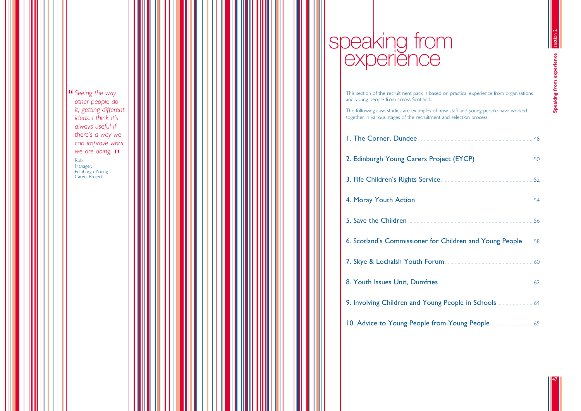**Seeing the way**<br>other people do *other people do it, getting different ideas. I think it's always useful if there's a way we can improve what* **we are doing. ")**<br><sup>Rob,</sup><br><sup>Manager,</sup> Rob, Manager, Edinburgh Young Carers Project



| $\frac{1}{2}$                                        |  |
|------------------------------------------------------|--|
| 54                                                   |  |
| 56                                                   |  |
| <b>Children and Young People 2006</b>                |  |
|                                                      |  |
| $\frac{1}{2}$ . 62                                   |  |
| <b>g People in Schools</b> 2008 1944                 |  |
| om Young People <b>Committee Committee Committee</b> |  |



# speaking from experience

This section of the recruitment pack is based on practical experience from organisations and young people from across Scotland. The following case studies are examples of how staff and young people have worked together in various stages of the recruitment and selection process. 1. The Corner, Dundee 2. Edinburgh Young Carers Proj 3. Fife Children's Rights Service 4. Moray Youth Action ............... 5. Save the Children 6. Scotland's Commissioner for 7. Skye & Lochalsh Youth Forur 8. Youth Issues Unit, Dumfries 9. Involving Children and Young 10. Advice to Young People from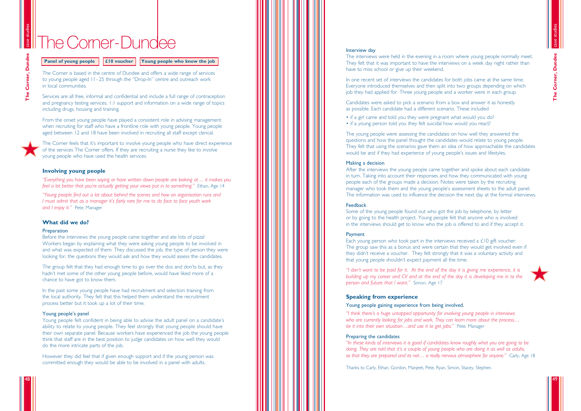### Interview day

In one recent set of interviews the candidates for both jobs came at the same time. Everyone introduced themselves and then split into two groups depending on which job they had applied for. Three young people and a worker were in each group.

The interviews were held in the evening in a room where young people normally meet. They felt that it was important to have the interviews on a week day night rather than have to miss school or give up their weekend.

Candidates were asked to pick a scenario from a box and answer it as honestly as possible. Each candidate had a different scenario. These included

• if a girl came and told you they were pregnant what would you do? • if a young person told you they felt suicidal how would you react?

The young people were assessing the candidates on how well they answered the questions and how the panel thought the candidates would relate to young people. They felt that using the scenarios gave them an idea of how approachable the candidates would be and if they had experience of young people 's issues and lifestyles.

### Making a decision

After the interviews the young people came together and spoke about each candidate in turn. Taking into account their responses and how they communicated with young people each of the groups made a decision. Notes were taken by the recruiting manager who took them and the young people 's assessment sheets to the adult panel. The information was used to influence the decision the next day at the formal interviews.

### Feedback

Some of the young people found out who got the job by telephone, by letter or by going to the health project. Young people felt that anyone who is involved in the interviews should get to know who the job is offered to and if they accept it.

### Payment

Each young person who took part in the interviews received a £10 gift voucher. The group saw this as a bonus and were certain that they would get involved even if they didn 't receive a voucher. They felt strongly that it was a voluntary activity and that young people shouldn 't expect payment all the time.

*"I don 't want to be paid for it. At the end of the day it is giving me experience, it is building up my career and CV and at the end of the day it is developing me in to the person and future that I want. "* Simon, Age 17

### **Speaking from experience**

### Young people gaining experience from being involved.

*"I think there's a huge untapped opportunity for involving young people in interviews who are currently looking for jobs and work. They can learn more about the process … tie it into their own situation …and use it to get jobs. "* Pete, Manager

### Preparing the candidates

*"In these kinds of interviews it is good if candidates know roughly what you are going to be doing. They are told that it 's a couple of young people who are doing it as well as adults, so that they are prepared and its not … a really nervous atmosphere for anyone. "* Carly, Age 18

case studies Corner, Dundee **The Corner, Dundee**  $\frac{1}{2}$ 

Thanks to Carly, Ethan, Gordon, Manjeet, Pete, Ryan, Simon, Stacey, Stephen.

The Corner is based in the centre of Dundee and offers a wide range of services to young people aged 11- 25 through the "Drop-In " centre and outreach work in local communities.

Services are all free, informal and confidential and include a full range of contraception and pregnancy testing services, 1:1 support and information on a wide range of topics including drugs, housing and training.

From the onset young people have played a consistent role in advising management when recruiting for staff who have a frontline role with young people. Young people aged between 12 and 18 have been involved in recruiting all staff except clerical.

The Corner feels that it 's important to involve young people who have direct experience of the services The Corner offers. If they are recruiting a nurse they like to involve young people who have used the health services.

### **Involving young people**

*"Everything you have been saying or have written down people are looking at … it makes you feel a lot better that you 're actually getting your views put in to something. "* Ethan, Age 14

*"Young people find out a lot about behind the scenes and how an organisation runs and I must admit that as a manager it 's fairly rare for me to do face to face youth work and I enjoy it. "* Pete, Manager

### **What did we do?**

### **Preparation**

Before the interviews the young people came together and ate lots of pizza! Workers began by explaining what they were asking young people to be involved in and what was expected of them. They discussed the job, the type of person they were looking for, the questions they would ask and how they would assess the candidates.

The group felt that they had enough time to go over the dos and don 'ts but, as they hadn 't met some of the other young people before, would have liked more of a chance to have got to know them.

In the past some young people have had recruitment and selection training from the local authority. They felt that this helped them understand the recruitment process better but it took up a lot of their time.

### Young people 's panel

Young people felt confident in being able to advise the adult panel on a candidate s ' ability to relate to young people. They feel strongly that young people should have their own separate panel. Because workers have experienced the job the young people think that staff are in the best position to judge candidates on how well they would do the more intricate parts of the job.

However they did feel that if given enough support and if the young person was committed enough they would be able to be involved in a panel with adults.

case studies

# TheCorner-Dundee

**Panel of young people | £10 voucher | Young people who know the job** 

# 49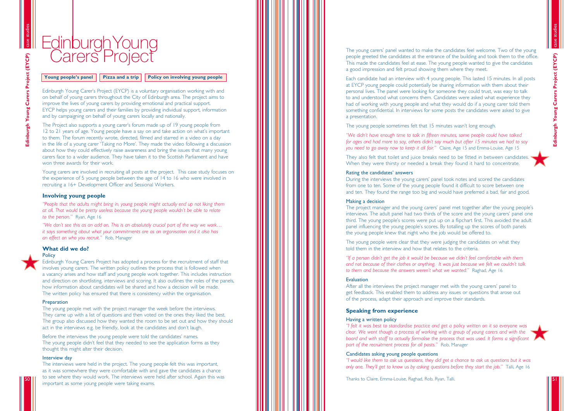The young carers ' panel wanted to make the candidates feel welcome. Two of the young people greeted the candidates at the entrance of the building and took them to the office. This made the candidates feel at ease. The young people wanted to give the candidates a good impression and felt proud showing them where they meet.

Each candidate had an interview with 4 young people. This lasted 15 minutes. In all posts at EYCP young people could potentially be sharing information with them about their personal lives. The panel were looking for someone they could trust, was easy to talk to and understood what concerns them. Candidates were asked what experience they had of working with young people and what they would do if a young carer told them something confidential. In interviews for some posts the candidates were asked to give a presentation.

The young people sometimes felt that 15 minutes wasn 't long enough.

*"We didn 't have enough time to talk in fifteen minutes, some people could have talked for ages and had more to say, others didn 't say much but after 15 minutes we had to say you need to go away now to keep it all fair. "* Claire, Age 15 and Emma-Louise, Age 15

They also felt that toilet and juice breaks need to be fitted in between candidates. When they were thirsty or needed a break they found it hard to concentrate.

### Rating the candidates ' answers

During the interviews the young carers ' panel took notes and scored the candidates from one to ten. Some of the young people found it difficult to score between one and ten. They found the range too big and would have preferred a bad, fair and good.

### Making a decision

The project manager and the young carers ' panel met together after the young people s ' interviews. The adult panel had two thirds of the score and the young carers ' panel one third. The young people 's scores were put up on a flipchart first. This avoided the adult panel influencing the young people 's scores. By totalling up the scores of both panels the young people knew that night who the job would be offered to.

The Project also supports a young carer 's forum made up of 19 young people from 12 to 21 years of age. Young people have a say on and take action on what 's important to them. The forum recently wrote, directed, filmed and starred in a video on a day in the life of a young carer 'Taking no More'. They made the video following a discussion about how they could effectively raise awareness and bring the issues that many young carers face to a wider audience. They have taken it to the Scottish Parliament and have won three awards for their work.

> The young people were clear that they were judging the candidates on what they told them in the interview and how that relates to the criteria.

*"If a person didn't get the job it would be because we didn't feel comfortable with them and not because of their clothes or anything. It was just because we felt we couldn 't talk to them and because the answers weren 't what we wanted. "* Raghad, Age 16

### Evaluation

After all the interviews the project manager met with the young carers ' panel to get feedback. This enabled them to address any issues or questions that arose out of the process, adapt their approach and improve their standards.

### **Speaking from experience**

### Having a written policy

*"I felt it was best to standardise practice and get a policy written on it so everyone was clear. We went though a process of working with a group of young carers and with the board and with staff to actually formalise the process that was used. It forms a significant part of the recruitment process for all posts. "* Rob, Manager

### Candidates asking young people questions *"I would like them to ask us questions, they did get a chance to ask us questions but it was*

*only one. They 'll get to know us by asking questions before they start the job. "* Talli, Age 16



Edinburgh Young Carers Project (EYCP) **Edinburgh Young Carers Project (EYCP)**

Thanks to Claire, Emma-Louise, Raghad, Rob, Ryan, Talli.

Edinburgh Young Carer 's Project (EYCP) is a voluntary organisation working with and on behalf of young carers throughout the City of Edinburgh area. The project aims to improve the lives of young carers by providing emotional and practical support. EYCP helps young carers and their families by providing individual support, information and by campaigning on behalf of young carers locally and nationally.

Young carers are involved in recruiting all posts at the project. This case study focuses on the experience of 5 young people between the age of 14 to 16 who were involved in recruiting a 16+ Development Officer and Sessional Workers.

### **Involving young people**

*"People that the adults might bring in, young people might actually end up not liking them at all. That would be pretty useless because the young people wouldn 't be able to relate to the person. "* Ryan, Age 16

*"We don 't see this as an add on. This is an absolutely crucial part of the way we work … it says something about what your commitments are as an organisation and it also has an effect on who you recruit. "* Rob, Manager

### **What did we do?**



### **Policy**

Edinburgh Young Carers Project has adopted a process for the recruitment of staff that involves young carers. The written policy outlines the process that is followed when a vacancy arises and how staff and young people work together. This includes instruction and direction on shortlisting, interviews and scoring. It also outlines the roles of the panels, how information about candidates will be shared and how a decision will be made. The written policy has ensured that there is consistency within the organisation.

### **Preparation**

The young people met with the project manager the week before the interviews. They came up with a list of questions and then voted on the ones they liked the best. The group also discussed how they wanted the room to be set out and how they should act in the interviews e.g. be friendly, look at the candidates and don 't laugh.

Before the interviews the young people were told the candidates ' names. The young people didn 't feel that they needed to see the application forms as they thought this might alter their decision.

### Interview day

The interviews were held in the project. The young people felt this was important, as it was somewhere they were comfortable with and gave the candidates a chance to see where they would work. The interviews were held after school. Again this was important as some young people were taking exams.

case studies

51

# Edinburgh Young<br>Carers Project

**Young people**

**Pizza and a trip | Policy on involving young people**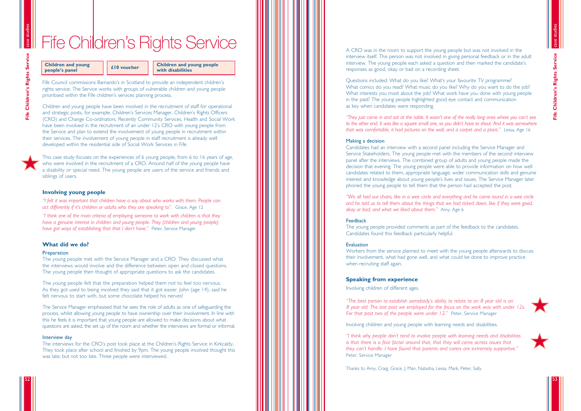A CRO was in the room to support the young people but was not involved in the interview itself. This person was not involved in giving personal feedback or in the adult interview. The young people each asked a question and then marked the candidate s ' responses as good, okay or bad on a recording sheet.

Questions included: What do you like? What 's your favourite TV programme? What comics do you read? What music do you like? Why do you want to do the job? What interests you most about the job? What work have you done with young people in the past? The young people highlighted good eye contact and communication as key when candidates were responding.

*"They just came in and sat at the table. It wasn 't one of the really long ones where you can 't see to the other end. It was like a square small one, so you didn 't have to shout. And it was somewhere that was comfortable, it had pictures on the wall, and a carpet and a plant. "* Lessa, Age 16

### Making a decision

Workers from the service planned to meet with the young people afterwards to discuss their involvement, what had gone well, and what could be done to improve practice when recruiting staff again.

Candidates had an interview with a second panel including the Service Manager and Service Stakeholders. The young people met with the members of the second interview panel after the interviews. The combined group of adults and young people made the decision that evening. The young people were able to provide information on how well candidates related to them, appropriate language, wider communication skills and genuine interest and knowledge about young people 's lives and issues. The Service Manager later phoned the young people to tell them that the person had accepted the post.

*"We all had our chairs, like in a wee circle and everything and he came round in a wee circle and he told us to tell them about the things that we had ticked down, like if they were good, okay or bad, and what we liked about them. "* Amy, Age 6

### Feedback

The young people provided comments as part of the feedback to the candidates. Candidates found this feedback particularly helpful.

### Evaluation

### **Speaking from experience**

Involving children of different ages.

*"The best person to establish somebody 's ability to relate to an 8 year old is an 8 year old. The last post we employed for the focus on the work was with under 12s. For that post two of the people were under 12. "* Peter, Service Manager

The Service Manager emphasised that he sees the role of adults as one of safeguarding the process, whilst allowing young people to have ownership over their involvement. In line with this he feels it is important that young people are allowed to make decisions about what questions are asked, the set up of the room and whether the interviews are formal or informal.

Involving children and young people with learning needs and disabilities.

*"I think why people don't tend to involve people with learning needs and disabilities is that there is a fear factor around that, that they will come across issues that they can 't handle. I have found that parents and carers are extremely supportive. "* Peter, Service Manager

case studies **Children's Rights Service Fife Children's Rights Service** Eife





Thanks to Amy, Craig, Grace, J. Man, Natasha, Lessa, Mark, Peter, Sally.

Fife Council commissions Barnardo 's in Scotland to provide an independent children s ' rights service. The Service works with groups of vulnerable children and young people prioritised within the Fife children 's services planning process.

Children and young people have been involved in the recruitment of staff for operational and strategic posts, for example, Children 's Services Manager, Children 's Rights Officers (CRO) and Change Co-ordinators. Recently Community Services, Health and Social Work have been involved in the recruitment of an under 12 's CRO with young people from the Service and plan to extend the involvement of young people in recruitment within their services. The involvement of young people in staff recruitment is already well developed within the residential side of Social Work Services in Fife.

This case study focuses on the experiences of 6 young people, from 6 to 16 years of age, who were involved in the recruitment of a CRO. Around half of the young people have a disability or special need. The young people are users of the service and friends and siblings of users.

### **Involving young people**

*"I felt it was important that children have a say about who works with them. People can act differently if it 's children or adults who they are speaking to ".* Grace, Age 12

*"I think one of the main criteria of employing someone to work with children is that they have a genuine interest in children and young people. They (children and young people) have got ways of establishing that that I don 't have. "* Peter, Service Manager

### **What did we do?**

### **Preparation**

The young people met with the Service Manager and a CRO. They discussed what the interviews would involve and the difference between open and closed questions. The young people then thought of appropriate questions to ask the candidates.

The young people felt that the preparation helped them not to feel too nervous. As they got used to being involved they said that it got easier. John (age 14), said he felt nervous to start with, but some chocolate helped his nerves!

### Interview day

The interviews for the CRO 's post took place at the Children 's Rights Service in Kirkcaldy. They took place after school and finished by 9pm. The young people involved thought this was late, but not too late. Three people were interviewed.

case studies

52

53

# Fife Children 's Rights Service

### **Children and young people**

**'s panel £10 voucher Children and young people with disabilities**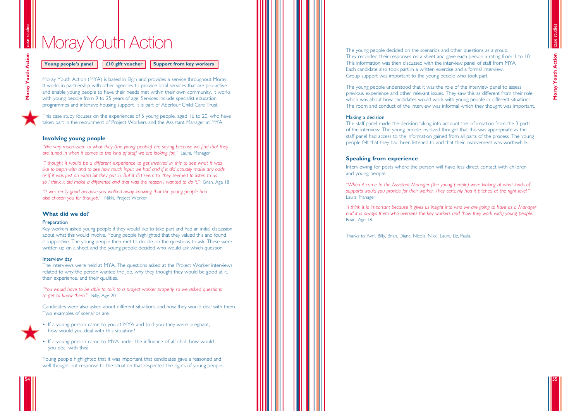The young people decided on the scenarios and other questions as a group. They recorded their responses on a sheet and gave each person a rating from 1 to 10. This information was then discussed with the interview panel of staff from MYA. Each candidate also took part in a written exercise and a formal interview. Group support was important to the young people who took part.

The young people understood that it was the role of the interview panel to assess previous experience and other relevant issues. They saw this as different from their role which was about how candidates would work with young people in different situations. The room and conduct of the interview was informal which they thought was important.

### Making a decision

The staff panel made the decision taking into account the information from the 3 parts of the interview. The young people involved thought that this was appropriate as the staff panel had access to the information gained from all parts of the process. The young people felt that they had been listened to and that their involvement was worthwhile.

### **Speaking from experience**

Interviewing for posts where the person will have less direct contact with children and young people.

*"When it came to the Assistant Manager (the young people) were looking at what kinds of supports would you provide for their worker. They certainly had it pitched at the right level. "* Laura, Manager

*"I think it is important because it gives us insight into who we are going to have as a Manager and it is always them who oversees the key workers and (how they work with) young people. "* Brian, Age 18

Thanks to Avril, Billy, Brian, Diane, Nicola, Nikki, Laura, Liz, Paula.

Moray Youth Action (MYA) is based in Elgin and provides a service throughout Moray. It works in partnership with other agencies to provide local services that are pro-active and enable young people to have their needs met within their own community. It works with young people from 9 to 25 years of age. Services include specialist education programmes and intensive housing support. It is part of Aberlour Child Care Trust.

Moray Youth Action **Moray Youth Action**

This case study focuses on the experiences of 5 young people, aged 16 to 20, who have taken part in the recruitment of Project Workers and the Assistant Manager at MYA.

### **Involving young people**

*"We very much listen to what they (the young people) are saying because we find that they are tuned in when it comes to the kind of staff we are looking for. "* Laura, Manager

*"I thought it would be a different experience to get involved in this to see what it was like to begin with and to see how much input we had and if it did actually make any odds or if it was just an extra bit they put in. But it did seem to, they seemed to listen to us, so I think it did make a difference and that was the reason I wanted to do it. "* Brian, Age 18

*"It was really good because you walked away knowing that the young people had also chosen you for that job. "* Nikki, Project Worker

### **What did we do?**

### **Preparation**

Key workers asked young people if they would like to take part and had an initial discussion about what this would involve. Young people highlighted that they valued this and found it supportive. The young people then met to decide on the questions to ask. These were written up on a sheet and the young people decided who would ask which question.

### Interview day

The interviews were held at MYA. The questions asked at the Project Worker interviews related to why the person wanted the job, why they thought they would be good at it, their experience, and their qualities.

*"You would have to be able to talk to a project worker properly so we asked questions to get to know them. "* Billy, Age 20

Candidates were also asked about different situations and how they would deal with them. Two examples of scenarios are:



• If a young person came to you at MYA and told you they were pregnant, how would you deal with this situation?

• If a young person came to MYA under the influence of alcohol, how would you deal with this?

Young people highlighted that it was important that candidates gave a reasoned and well thought out response to the situation that respected the rights of young people.

case studies

case studies

55

# **Moray Youth Action**

**Young people**

**El0 gift voucher Support from key workers**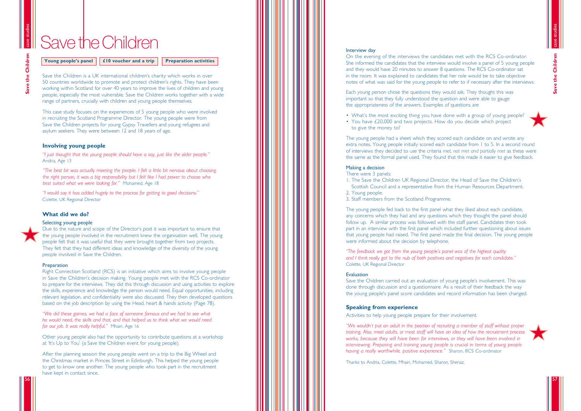### Interview day

On the evening of the interviews the candidates met with the RCS Co-ordinator. She informed the candidates that the interview would involve a panel of 5 young people and they would have 20 minutes to answer 8 questions. The RCS Co-ordinator sat in the room. It was explained to candidates that her role would be to take objective notes of what was said for the young people to refer to if necessary after the interviews.

- What's the most exciting thing you have done with a group of young people?
- You have £20,000 and two projects. How do you decide which project to give the money to?

Each young person chose the questions they would ask. They thought this was important so that they fully understood the question and were able to gauge the appropriateness of the answers. Examples of questions are

The young people had a sheet which they scored each candidate on and wrote any extra notes. Young people initially scored each candidate from 1 to 5. In a second round of interviews they decided to use the criteria *met, not met and partially met* as these were the same as the formal panel used. They found that this made it easier to give feedback.

### Making a decision

There were 3 panels:

- 1. The Save the Children UK Regional Director, the Head of Save the Children s
- 2. Young people.
- 3. Staff members from the Scotland Programme.

' Scottish Council and a representative from the Human Resources Department.



The young people fed back to the first panel what they liked about each candidate, any concerns which they had and any questions which they thought the panel should follow up. A similar process was followed with the staff panel. Candidates then took part in an interview with the first panel which included further questioning about issues that young people had raised. The first panel made the final decision. The young people were informed about the decision by telephone.

*"The feedback we got from the young people's panel was of the highest quality and I think really got to the nub of both positives and negatives for each candidate. "* Colette, UK Regional Director

### Evaluation

Save the Children carried out an evaluation of young people 's involvement. This was done through discussion and a questionnaire. As a result of their feedback the way the young people 's panel score candidates and record information has been changed.

### **Speaking from experience**

Activities to help young people prepare for their involvement.

*"We wouldn't put an adult in the position of recruiting a member of staff without proper training. Also, most adults, or most staff will have an idea of how the recruitment process works, because they will have been for interviews, or they will have been involved in interviewing. Preparing and training young people is crucial in terms of young people having a really worthwhile, positive experience. "* Sharon, RCS Co-ordinator

Thanks to Andria, Colette, Mhairi, Mohamed, Sharon, Shenaz.

Save the Children is a UK international children 's charity which works in over 50 countries worldwide to promote and protect children 's rights. They have been working within Scotland for over 40 years to improve the lives of children and young people, especially the most vulnerable. Save the Children works together with a wide range of partners, crucially with children and young people themselves.

This case study focuses on the experiences of 5 young people who were involved in recruiting the Scotland Programme Director. The young people were from Save the Children projects for young Gypsy Travellers and young refugees and asylum seekers. They were between 12 and 18 years of age.

### **Involving young people**

*"I just thought that the young people should have a say, just like the older people. "* Andria, Age 13

*"The best bit was actually meeting the people. I felt a little bit nervous about choosing the right person, it was a big responsibility but I felt like I had power to choose who best suited what we were looking for. "* Mohamed, Age 18

*"I would say it has added hugely to the process for getting to good decisions. "* Colette, UK Regional Director

### **What did we do?**

### Selecting young people

Due to the nature and scope of the Director 's post it was important to ensure that the young people involved in the recruitment knew the organisation well. The young people felt that it was useful that they were brought together from two projects. They felt that they had different ideas and knowledge of the diversity of the young people involved in Save the Children.

### Preparation

Right Connection Scotland (RCS) is an initiative which aims to involve young people in Save the Children 's decision making. Young people met with the RCS Co-ordinator to prepare for the interviews. They did this through discussion and using activities to explore the skills, experience and knowledge the person would need. Equal opportunities, including relevant legislation, and confidentiality were also discussed. They then developed questions based on the job description by using the Head, heart & hands activity (Page 78).

*"We did these games, we had a face of someone famous and we had to see what he would need, the skills and that, and that helped us to think what we would need for our job. It was really helpful. "* Mhairi, Age 16

Other young people also had the opportunity to contribute questions at a workshop at 'It 's Up to You ' (a Save the Children event for young people).

After the planning session the young people went on a trip to the Big Wheel and the Christmas market in Princes Street in Edinburgh. This helped the young people to get to know one another. The young people who took part in the recruitment have kept in contact since.

case studies

case studies

**Save the Children**

57



# SavetheChildren

**Young people**

**E £10** voucher and a trip **Preparation activities**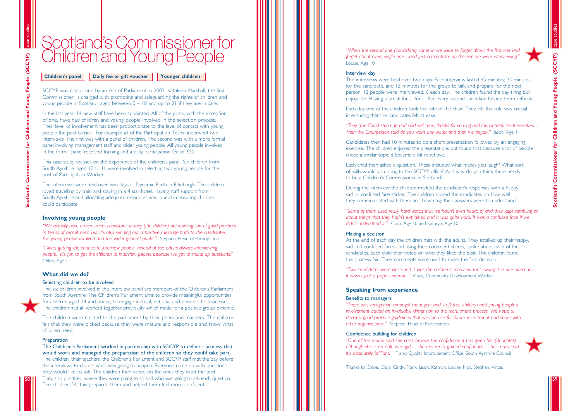*"When the second one (candidate) came in we were to forget about the first one and forget about every single one …and just concentrate on the one we were interviewing. "* Louise, Age 10

### Interview day

The interviews were held over two days. Each interview lasted 45 minutes; 30 minutes for the candidate, and 15 minutes for the group to talk and prepare for the next person. 12 people were interviewed, 6 each day. The children found the day tiring but enjoyable. Having a break for a drink after every second candidate helped them refocus.

Each day one of the children took the role of the chair. They felt this role was crucial in ensuring that the candidates felt at ease.

*"They (the Chair) stood up and said welcome, thanks for coming and then introduced themselves … Then the Chairperson said do you want any water and then we began. "* Jason, Age 11

Candidates then had 10 minutes to do a short presentation followed by an engaging exercise. The children enjoyed the presentations but found that because a lot of people chose a similar topic it became a bit repetitive.

Each child then asked a question. These included what makes you laugh? What sort of skills would you bring to the SCCYP office? And why do you think there needs to be a Children 's Commissioner in Scotland?

*"One of the mums said she can't believe the confidence it has given her (daughter) … although she is an able wee girl … she has really gained confidence … her mum said* it's absolutely brilliant." Frank, Quality Improvement Office, South Ayrshire Council

During the interview the children marked the candidate 's responses with a happy, sad or confused face sticker. The children scored the candidates on how well they communicated with them and how easy their answers were to understand.

*"Some of them used really hard words that we hadn't even heard of and they kept rambling on about things that they hadn 't explained and it was quite hard. It was a confused face if we didn 't understand it. "* Ciara, Age 10 and Kathryn, Age 10

### Making a decision

At the end of each day the children met with the adults. They totalled up their happy, sad and confused faces and using their comment sheets, spoke about each of the candidates. Each child then voted on who they liked the best. The children found this process fair. Their comments were used to make the final decision.

*"Two candidates were close and it was the children's interview that swung it in one direction … it wasn 't just a paper exercise. "* Vince, Community Development Worker

### **Speaking from experience**

### Benefits to managers

*"There was recognition amongst managers and staff that children and young people s ' involvement added an invaluable dimension to the recruitment process. We hope to develop good practice guidelines that we can use for future recruitment and share with other organisations. "* Stephen, Head of Participation

### Confidence building for children

Thanks to Chloe, Ciara, Cindy, Frank, Jason, Kathryn, Louise, Nan, Stephen, Vince.





59

# Scotland 'sCommissionerfor Children and Young People

SCCYP was established by an Act of Parliament in 2003. Kathleen Marshall, the first Commissioner, is charged with promoting and safeguarding the rights of children and young people in Scotland, aged between 0 – 18 and up to 21 if they are in care.

In the last year, 14 new staff have been appointed. All of the posts, with the exception of one, have had children and young people involved in the selection process. Their level of involvement has been proportionate to the level of contact with young people the post carries. For example all of the Participation Team underwent two interviews. The first was with a panel of children. The second was with a more formal panel involving management staff and older young people. All young people involved in the formal panel received training and a daily participation fee of £50.

This case study focuses on the experience of the children 's panel. Six children from South Ayrshire, aged 10 to 11, were involved in selecting two young people for the post of Participation Worker.

The interviews were held over two days at Dynamic Earth in Edinburgh. The children loved travelling by train and staying in a 4 star hotel. Having staff support from South Ayrshire and allocating adequate resources was crucial in ensuring children could participate.

### **Involving young people**

*"We actually have a recruitment consultant so they (the children) are learning sort of good practices in terms of recruitment, but it 's also sending out a positive message both to the candidates, the young people involved and the wider general public. "* Stephen, Head of Participation

*"I liked getting the chance to interview people instead of the adults always interviewing people. It 's fun to get the children to interview people because we got to make up questions. "* Chloe, Age 11

### **What did we do?**

### Selecting children to be involved

The six children involved in the interview panel are members of the Children 's Parliament from South Ayrshire. The Children 's Parliament aims to provide meaningful opportunities for children aged 14 and under, to engage in local, national and democratic processes. The children had all worked together previously which made for a positive group dynamic.

The children were elected to the parliament by their peers and teachers. The children felt that they were picked because they were mature and responsible and know what children need.

### **Preparation**

The Children 's Parliament worked in partnership with SCCYP to define a process that would work and managed the preparation of the children so they could take part. The children, their teachers, the Children 's Parliament and SCCYP staff met the day before the interviews to discuss what was going to happen. Everyone came up with questions they would like to ask. The children then voted on the ones they liked the best. They also practised where they were going to sit and who was going to ask each question. The children felt this prepared them and helped them feel more confident.

58

59

**Children**

**Daily fee or gift voucher | Younger children**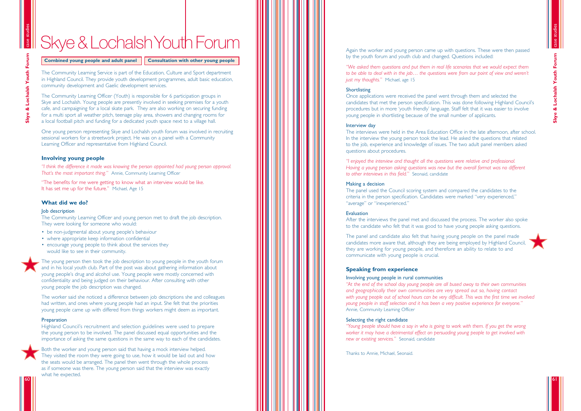# Skye & Lochalsh Youth Forum

**Combined young people and adult panel | Consultation with other young people** 

Again the worker and young person came up with questions. These were then passed by the youth forum and youth club and changed. Questions included:

*"We asked them questions and put them in real life scenarios that we would expect them to be able to deal with in the job … the questions were from our point of view and weren t ' just my thoughts. "* Michael, age 15

### Shortlisting

Once applications were received the panel went through them and selected the candidates that met the person specification. This was done following Highland Council s ' procedures but in more 'youth friendly' language. Staff felt that it was easier to involve young people in shortlisting because of the small number of applicants.

### Interview day

The interviews were held in the Area Education Office in the late afternoon, after school. In the interview the young person took the lead. He asked the questions that related to the job, experience and knowledge of issues. The two adult panel members asked questions about procedures.

*"I enjoyed the interview and thought all the questions were relative and professional. Having a young person asking questions was new but the overall format was no different to other interviews in this field. "* Seonaid, candidate

### Making a decision

The panel used the Council scoring system and compared the candidates to the criteria in the person specification. Candidates were marked "very experienced, " "average " or "inexperienced. "

### Evaluation

After the interviews the panel met and discussed the process. The worker also spoke to the candidate who felt that it was good to have young people asking questions.

The panel and candidate also felt that having young people on the panel made candidates more aware that, although they are being employed by Highland Council, they are working for young people, and therefore an ability to relate to and communicate with young people is crucial.

### **Speaking from experience**

### Involving young people in rural communities

*"At the end of the school day young people are all bused away to their own communities and geographically their own communities are very spread out so, having contact with young people out of school hours can be very difficult. This was the first time we involved young people in staff selection and it has been a very positive experience for everyone. "* Annie, Community Learning Officer

### Selecting the right candidate

*"Young people should have a say in who is going to work with them. If you get the wrong worker it may have a detrimental effect on persuading young people to get involved with new or existing services. "* Seonaid, candidate

Thanks to Annie, Michael, Seonaid.

The Community Learning Service is part of the Education, Culture and Sport department in Highland Council. They provide youth development programmes, adult basic education, community development and Gaelic development services.

The Community Learning Officer (Youth) is responsible for 6 participation groups in Skye and Lochalsh. Young people are presently involved in seeking premises for a youth cafe, and campaigning for a local skate park. They are also working on securing funding for a multi sport all weather pitch, teenage play area, showers and changing rooms for a local football pitch and funding for a dedicated youth space next to a village hall.

One young person representing Skye and Lochalsh youth forum was involved in recruiting sessional workers for a streetwork project. He was on a panel with a Community Learning Officer and representative from Highland Council.

### **Involving young people**

*"I think the difference it made was knowing the person appointed had young person approval. That 's the most important thing. "* Annie, Community Learning Officer

"The benefits for me were getting to know what an interview would be like. It has set me up for the future. " Michael, Age 15

### **What did we do?**

### Job description

The Community Learning Officer and young person met to draft the job description. They were looking for someone who would:

- be non-judgmental about young people's behaviour
- 
- where appropriate keep information confidential encourage young people to think about the services they would like to see in their community.



The young person then took the job description to young people in the youth forum and in his local youth club. Part of the post was about gathering information about young people 's drug and alcohol use. Young people were mostly concerned with confidentiality and being judged on their behaviour. After consulting with other young people the job description was changed.

The worker said she noticed a difference between job descriptions she and colleagues had written, and ones where young people had an input. She felt that the priorities young people came up with differed from things workers might deem as important.

### Preparation

Highland Council 's recruitment and selection guidelines were used to prepare the young person to be involved. The panel discussed equal opportunities and the importance of asking the same questions in the same way to each of the candidates.



Both the worker and young person said that having a mock interview helped. They visited the room they were going to use, how it would be laid out and how the seats would be arranged. The panel then went through the whole process as if someone was there. The young person said that the interview was exactly what he expected.

60

case studies & Lochalsh Youth Forum **Skye & Lochalsh Youth Forum**



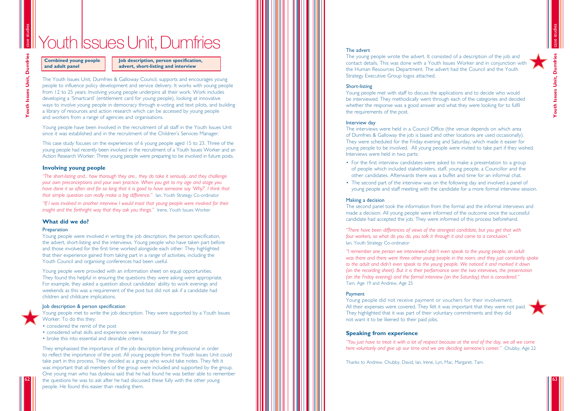### The advert

The young people wrote the advert. It consisted of a description of the job and contact details. This was done with a Youth Issues Worker and in conjunction with the Human Resources Department. The advert had the Council and the Youth Strategy Executive Group logos attached.

### Short-listing

Young people met with staff to discuss the applications and to decide who would be interviewed. They methodically went through each of the categories and decided whether the response was a good answer and what they were looking for to fulfil the requirements of the post.

### Interview day

The interviews were held in a Council Office (the venue depends on which area of Dumfries & Galloway the job is based and other locations are used occasionally). They were scheduled for the Friday evening and Saturday, which made it easier for young people to be involved. All young people were invited to take part if they wished. Interviews were held in two parts:

- For the first interview candidates were asked to make a presentation to a group of people which included stakeholders, staff, young people, a Councillor and the other candidates. Afterwards there was a buffet and time for an informal chat.
- The second part of the interview was on the following day and involved a panel of

"I remember one person we interviewed didn't even speak to the young people, an adult *was there and there were three other young people in the room, and they just constantly spoke to the adult and didn 't even speak to the young people. We noticed it and marked it down (on the recording sheet). But it is their performance over the two interviews, the presentation (on the Friday evening) and the formal interview (on the Saturday) that is considered. "* Tam, Age 19 and Andrew, Age 25

### **Payment**

young people and staff meeting with the candidate for a more formal interview session.



### Making a decision

The second panel took the information from the formal and the informal interviews and made a decision. All young people were informed of the outcome once the successful candidate had accepted the job. They were informed of this process beforehand.

*"There have been differences of views of the strongest candidate, but you get that with four workers, so what do you do, you talk it through it and come to a conclusion. "* Ian, Youth Strategy Co-ordinator

Young people did not receive payment or vouchers for their involvement. All their expenses were covered. They felt it was important that they were not paid. They highlighted that it was part of their voluntary commitments and they did not want it to be likened to their paid jobs.

### **Speaking from experience**

*"You just have to treat it with a lot of respect because at the end of the day, we all we come here voluntarily and give up our time and we are deciding someone 's career. "* Chubby, Age 22

Thanks to Andrew, Chubby, David, Ian, Irene, Lyn, Mac, Margaret, Tam.

The Youth Issues Unit, Dumfries & Galloway Council, supports and encourages young people to influence policy development and service delivery. It works with young people from 12 to 25 years. Involving young people underpins all their work. Work includes developing a 'Smartcard ' (entitlement card for young people), looking at innovative ways to involve young people in democracy through e-voting and text pilots, and building a library of resources and action research which can be accessed by young people and workers from a range of agencies and organisations.

Young people have been involved in the recruitment of all staff in the Youth Issues Unit since it was established and in the recruitment of the Children 's Services Manager.

This case study focuses on the experiences of 6 young people aged 15 to 23. Three of the young people had recently been involved in the recruitment of a Youth Issues Worker and an Action Research Worker. Three young people were preparing to be involved in future posts.

### **Involving young people**

*"The short-listing and... how thorough they are... they do take it seriously...and they challenge your own preconceptions and your own practice. When you get to my age and stage you have done it so often and for so long that it is good to have someone say 'Why? '. I think that that simple question can really make a big difference. "* Ian, Youth Strategy Co-ordinator

*"If I was involved in another interview I would insist that young people were involved for their insight and the forthright way that they ask you things. "* Irene, Youth Issues Worker

### **What did we do?**

### **Preparation**

Young people were involved in writing the job description, the person specification, the advert, short-listing and the interviews. Young people who have taken part before and those involved for the first time worked alongside each other. They highlighted that their experience gained from taking part in a range of activities, including the Youth Council and organising conferences had been useful.

Young people were provided with an information sheet on equal opportunities. They found this helpful in ensuring the questions they were asking were appropriate. For example, they asked a question about candidates ' ability to work evenings and weekends as this was a requirement of the post but did not ask if a candidate had children and childcare implications.

### Job description & person specification

Young people met to write the job description. They were supported by a Youth Issues Worker. To do this they:

- considered the remit of the post
- considered what skills and experience were necessary for the post
- broke this into essential and desirable criteria.

They emphasised the importance of the job description being professional in order to reflect the importance of the post. All young people from the Youth Issues Unit could take part in this process. They decided as a group who would take notes. They felt it was important that all members of the group were included and supported by the group. One young man who has dyslexia said that he had found he was better able to remember the questions he was to ask after he had discussed these fully with the other young people. He found this easier than reading them.

62



case studies

**Youth Issues Unit, Dumfries**

Couth Issues Unit, Dumfrie

# Youth *Issues Unit, Dumfries*

**Combined young people and adult panel**

### **Job description, person specification, advert, short-listing and interview**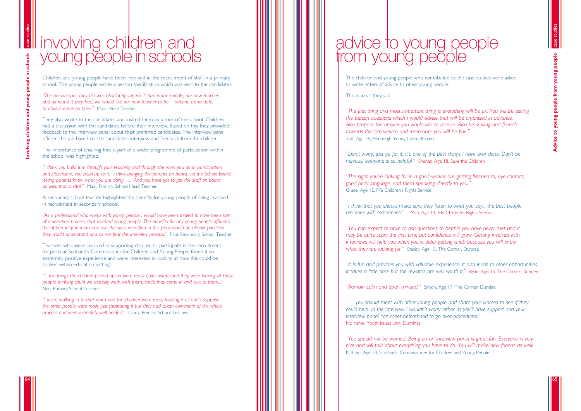The children and young people who contributed to the case studies were asked to write letters of advice to other young people.

This is what they said …

*"The first thing and most important thing is everything will be ok. You will be asking the person questions which I would advise that will be organised in advance. Also prepare the answer you would like to receive. Also be smiling and friendly towards the interviewee and remember you will be fine. "* Talli, Age 16, Edinburgh Young Carers Project

*"Don't worry, just go for it. It's one of the best things I have ever done. Don 't be nervous, everyone is so helpful. "* Shenaz, Age 18, Save the Children

*"The signs you 're looking for in a good worker are getting listened to, eye contact, good body language, and them speaking directly to you. "* Grace, Age 12, Fife Children 's Rights Service

*"I think that you should make sure they listen to what you say... the best people are ones with experience. "* J. Man, Age 14, Fife Children 's Rights Service

*"You can expect to have to ask questions to people you have never met and it may be quite scary the first time but confidence will grow. Getting involved with interviews will help you when you 're older getting a job because you will know what they are looking for. "* Stacey, Age 15, The Corner, Dundee

*"It is fun and provides you with valuable experience. It also leads to other opportunities. It takes a little time but the rewards are well worth it. "* Ryan, Age 15, The Corner, Dundee

"Remain calm and open minded." Simon, Age 17, The Corner, Dundee

*"… you should meet with other young people and share your worries to see if they could help. In the interview I wouldn 't worry either as you 'll have support and your interview panel can meet beforehand to go over procedures. "* No name, Youth Issues Unit, Dumfries

*"You should not be worried. Being on an interview panel is great fun. Everyone is very nice and will talk about everything you have to do. You will make new friends as well! "* Kathryn, Age 10, Scotland 's Commissioner for Children and Young People

Children and young people have been involved in the recruitment of staff in a primary school. The young people wrote a person specification which was sent to the candidates.

# involving children and young people in schools

*"The person spec they did was absolutely superb. It had in the middle, our new teacher and all round it they had, we would like our new teacher to be – patient, up to date, to always arrive on time. "* Mairi, Head Teacher

They also wrote to the candidates and invited them to a tour of the school. Children had a discussion with the candidates before their interview. Based on this they provided feedback to the interview panel about their preferred candidates. The interview panel offered the job based on the candidate 's interview and feedback from the children.

The importance of ensuring that is part of a wider programme of participation within the school was highlighted.

*"I think you build it in through your teaching and through the work you do in participation and citizenship, you build up to it. I think bringing the parents on board, via the School Board, letting parents know what you are doing … And you have got to get the staff on board as well, that is vital. "* Mairi, Primary School Head Teacher

A secondary school teacher highlighted the benefits for young people of being involved in recruitment in secondary schools.

*"As a professional who works with young people I would have been thrilled to have been part of a selection process that involved young people. The benefits for any young people afforded the opportunity to learn and use the skills identified in this pack would be almost priceless... they would understand and so not fear the interview process. "* Paul, Secondary School Teacher

Teachers who were involved in supporting children to participate in the recruitment for posts at Scotland 's Commissioner for Children and Young People found it an extremely positive experience and were interested in looking at how this could be applied within education settings.

*"... the things the children picked up on were really quite astute and they were looking at these people thinking could we actually work with them, could they come in and talk to them... "* Nan, Primary School Teacher

*"I loved walking in to that room and the children were really leading it all and I suppose the other people were really just facilitating it but they had taken ownership of the whole process and were incredibly well briefed. "* Cindy, Primary School Teacher

people **Advice to young people from young people** Advice to young people from young

case studies

65

# advice to young people from young people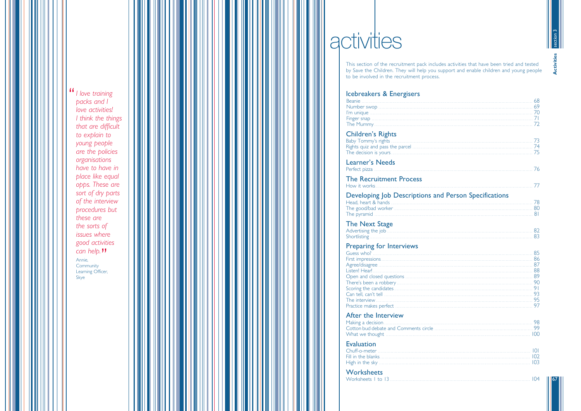" I love training packs and I love activities! I think the things that are difficult to explain to young people are the policies organisations have to have in place like equal opps. These are sort of dry parts of the interview procedures but these are the sorts of issues where good activities  $can$  help.  $\Pi$ Annie,

Community Learning Officer, Skye

# activities

This section of the recruitment pack includes activities that have been tried and tested by Save the Children. They will help you support and enable children and young people to be involved in the recruitment process.

### Icebreakers & Energisers

### **Children's Rights**

### The Recruitment Process How it works.......

Developing Job Descriptions and Head, heart & hands

### Preparing for Interviews

### After the Interview

Cotton bud debate and Comments circle .... 

### Evaluation

Worksheets



|                         | 68<br>71<br>72       |
|-------------------------|----------------------|
|                         | 73                   |
|                         |                      |
|                         |                      |
| d Person Specifications | 78                   |
|                         |                      |
|                         | 90<br>91<br>93<br>95 |
| 100                     |                      |
|                         | 0 <br>102<br>103     |
|                         | 104                  |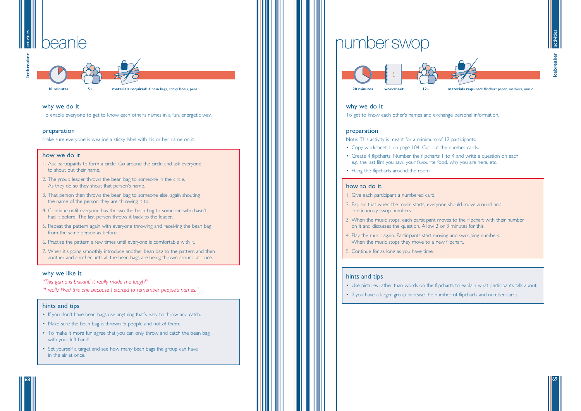### why we do it

To get to know each other's names and exchange personal information.

### preparation

Note: This activity is meant for a minimum of 12 participants.

- Copy worksheet I on page 104. Cut out the number cards.
- e.g. the last film you saw, your favourite food, why you are here, etc.
- Hang the flipcharts around the room.

### how to do it

1. Give each participant a numbered card.

### activiti beanie

- 2. Explain that when the music starts, everyone should move around and continuously swop numbers.
- 3. When the music stops, each participant moves to the flipchart with their number on it and discusses the question. Allow 2 or 3 minutes for this.
- 4. Play the music again. Participants start moving and swopping numbers. When the music stops they move to a new flipchart.
- 5. Continue for as long as you have time.

### hints and tips

• Use pictures rather than words on the flipcharts to explain what participants talk about.

- 
- If you have a larger group increase the number of flipcharts and number cards.



69



• Create 4 flipcharts. Number the flipcharts 1 to 4 and write a question on each

activities



10 minutes 5+ materials required: 4 bean bags, sticky labels, pens

### why we do it

To enable everyone to get to know each other's names in a fun, energetic way.

### preparation

Make sure everyone is wearing a sticky label with his or her name on it.

### how we do it

- 1. Ask participants to form a circle. Go around the circle and ask everyone to shout out their name.
- 2. The group leader throws the bean bag to someone in the circle. As they do so they shout that person's name.
- 3. That person then throws the bean bag to someone else, again shouting the name of the person they are throwing it to.
- 4. Continue until everyone has thrown the bean bag to someone who hasn't had it before. The last person throws it back to the leader.
- 5. Repeat the pattern again with everyone throwing and receiving the bean bag from the same person as before.
- 6. Practise the pattern a few times until everyone is comfortable with it.
- 7. When it's going smoothly introduce another bean bag to the pattern and then another and another until all the bean bags are being thrown around at once.

### why we like it

*"This game is brilliant! It really made me laugh!"*

*"I really liked this one because I started to remember people's names."*

### hints and tips

- If you don't have bean bags use anything that's easy to throw and catch.
- Make sure the bean bag is thrown *to* people and not *at* them.
- To make it more fun agree that you can only throw and catch the bean bag with your left hand!
- Set yourself a target and see how many bean bags the group can have in the air at once.



# numberswop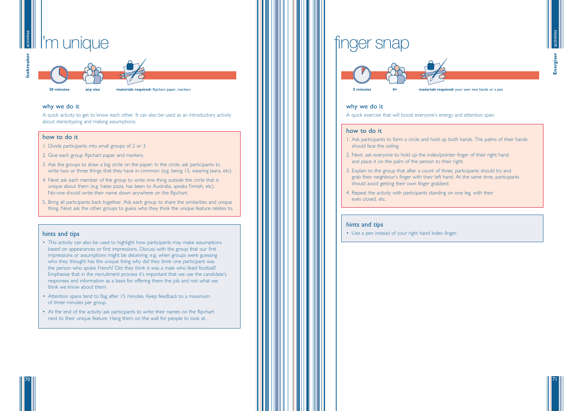**20 minutes any size materials required:** flipchart paper, markers

### why we do it

A quick activity to get to know each other. It can also be used as an introductory activity about stereotyping and making assumptions.

### how to do it

- 1. Divide participants into small groups of 2 or 3.
- 2. Give each group flipchart paper and markers.
- 3. Ask the groups to draw a big circle on the paper. In the circle, ask participants to write two or three things that they have in common (e.g. being 15, wearing jeans, etc).
- 4. Next ask each member of the group to write one thing outside the circle that is unique about them (e.g. hates pizza, has been to Australia, speaks Finnish, etc). No-one should write their name down anywhere on the flipchart.
- 5. Bring all participants back together. Ask each group to share the similarities and unique thing. Next ask the other groups to guess who they think the unique feature relates to.

- This activity can also be used to highlight how participants may make assumptions based on appearances or first impressions. Discuss with the group that our first impressions or assumptions might be deceiving. e.g. when groups were guessing who they thought has the unique thing why did they think one participant was the person who spoke French? Did they think it was a male who liked football? Emphasise that in the recruitment process it's important that we use the candidate's responses and information as a basis for offering them the job and not what we think we know about them.
- Attention spans tend to flag after 15 minutes. Keep feedback to a maximum of three minutes per group.
- At the end of the activity ask participants to write their names on the flipchart next to their unique feature. Hang them on the wall for people to look at.

### activities activities I'm unique

### hints and tips







71

70



### why we do it

A quick exercise that will boost everyone's energy and attention span.

### how to do it

- 1. Ask participants to form a circle and hold up both hands. The palms of their hands should face the ceiling.
- 2. Next, ask everyone to hold up the index/pointer finger of their right hand and place it on the palm of the person to their right.
- 3. Explain to the group that after a count of three, participants should try and grab their neighbour's finger with their left hand. At the same time, participants should avoid getting their own finger grabbed.
- 4. Repeat the activity with participants standing on one leg, with their eyes closed, etc.

### hints and tips

• Use a pen instead of your right hand index finger.

# finger snap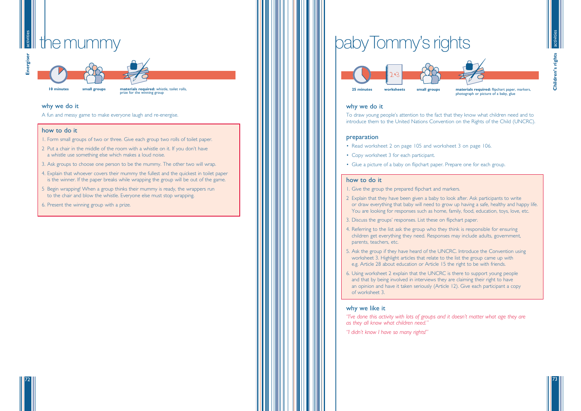

prize for the winning group

### why we do it

A fun and messy game to make everyone laugh and re-energise.

### how to do it

### activities activiti

- 1. Form small groups of two or three. Give each group two rolls of toilet paper.
- 2 Put a chair in the middle of the room with a whistle on it. If you don't have a whistle use something else which makes a loud noise.
- 3. Ask groups to choose one person to be the mummy. The other two will wrap.
- 4. Explain that whoever covers their mummy the fullest and the quickest in toilet paper is the winner. If the paper breaks while wrapping the group will be out of the game.
- 5 Begin wrapping! When a group thinks their mummy is ready, the wrappers run to the chair and blow the whistle. Everyone else must stop wrapping.
- 6. Present the winning group with a prize.

73



72

### why we do it

To draw young people's attention to the fact that they know what children need and to introduce them to the United Nations Convention on the Rights of the Child (UNCRC).

### preparation

- Read worksheet 2 on page 105 and worksheet 3 on page 106.
- Copy worksheet 3 for each participant.
- Glue a picture of a baby on flipchart paper. Prepare one for each group.

### how to do it

or draw everything that baby will need to grow up having a safe, healthy and happy life. You are looking for responses such as home, family, food, education, toys, love, etc.



- 1. Give the group the prepared flipchart and markers.
- 2 Explain that they have been given a baby to look after. Ask participants to write
- 3. Discuss the groups' responses. List these on flipchart paper.
- 4. Referring to the list ask the group who they think is responsible for ensuring children get everything they need. Responses may include adults, government, parents, teachers, etc.
- 5. Ask the group if they have heard of the UNCRC. Introduce the Convention using worksheet 3. Highlight articles that relate to the list the group came up with e.g. Article 28 about education or Article 15 the right to be with friends.
- 6. Using worksheet 2 explain that the UNCRC is there to support young people and that by being involved in interviews they are claiming their right to have an opinion and have it taken seriously (Article 12). Give each participant a copy of worksheet 3.

### why we like it

*"I've done this activity with lots of groups and it doesn't matter what age they are as they all know what children need."*

*"I didn't know I have so many rights!"*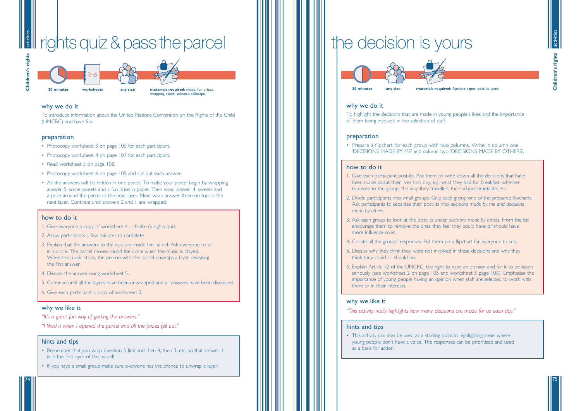### activities rights quiz & pass the parcel activiti

75



74



**20 minutes worksheets any size materials required:** music, fun prizes, wrapping paper, scissors, sellotape



### why we do it

To introduce information about the United Nations Convention on the Rights of the Child (UNCRC) and have fun.

### preparation

- Photocopy worksheet 3 on page 106 for each participant.
- Photocopy worksheet 4 on page 107 for each participant.
- Read worksheet 5 on page 108.
- Photocopy worksheet 6 on page 109 and cut out each answer.
- All the answers will be hidden in one parcel. To make your parcel begin by wrapping answer 5, some sweets and a fun prize in paper. Then wrap answer 4, sweets and a prize around the parcel as the next layer. Next wrap answer three on top as the next layer. Continue until answers 2 and 1 are wrapped.

### how to do it

• Prepare a flipchart for each group with two columns. Write in column one 'DECISIONS MADE BY ME' and column two 'DECISIONS MADE BY OTHERS

- 1. Give everyone a copy of worksheet 4 children 's rights quiz.
- 2. Allow participants a few minutes to complete.
- 3. Explain that the answers to the quiz are inside the parcel. Ask everyone to sit in a circle. The parcel moves round the circle when the music is played. When the music stops, the person with the parcel unwraps a layer revealing the first answer.
- 4. Discuss the answer using worksheet 5.
- 5. Continue until all the layers have been unwrapped and all answers have been discussed.

6. Give each participant a copy of worksheet 3.

### why we like it

- *"It's a great fun way of getting the answers. "*
- *"I liked it when I opened the parcel and all the prizes fell out. "*

### hints and tips

- Remember that you wrap question 5 first and then 4, then 3, etc, so that answer 1 is in the first layer of the parcel!
- If you have a small group make sure everyone has the chance to unwrap a layer.

# the decision is yours

• This activity can also be used as a starting point in highlighting areas where young people don 't have a voice. The responses can be prioritised and used as a basis for action.



### why we do it

To highlight the decisions that are made in young people 's lives and the importance of them being involved in the selection of staff.

### preparation

' .

### how to do it

- 1. Give each participant post-its. Ask them to write down all the decisions that have been made about their lives that day, e.g. what they had for breakfast, whether to come to the group, the way they travelled, their school timetable, etc.
- 2. Divide participants into small groups. Give each group one of the prepared flipcharts. Ask participants to separate their post-its into *decisions made by me* and *decisions made by others* .
- 3. Ask each group to look at the post-its under *decisions made by others*. From the list encourage them to remove the ones they feel they could have or should have more influence over.
- 4. Collate all the groups ' responses. Put them on a flipchart for everyone to see.
- 5. Discuss why they think they were not involved in these decisions and why they think they could or should be.
- them or in their interests.

6. Explain Article 12 of the UNCRC, the right to have an opinion and for it to be taken seriously (see worksheet 2 on page 105 and worksheet 3 page 106). Emphasise the importance of young people having an opinion when staff are selected to work with

### why we like it

*"This activity really highlights how many decisions are made for us each day. "*

### hints and tips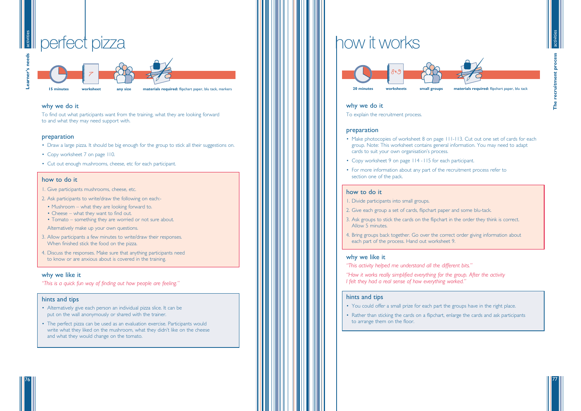



# **Example 1** perfect pizza



activities

76



### why we do it

To find out what participants want from the training, what they are looking forward to and what they may need support with.

### preparation

- Draw a large pizza. It should be big enough for the group to stick all their suggestions on.
- Copy worksheet 7 on page 110.
- Cut out enough mushrooms, cheese, etc for each participant.

### how to do it

- 1. Give participants mushrooms, cheese, etc.
- 2. Ask participants to write/draw the following on each:-
	- Mushroom what they are looking forward to.
	- Cheese what they want to find out.
	- Tomato something they are worried or not sure about.

Alternatively make up your own questions.

- 3. Allow participants a few minutes to write/draw their responses. When finished stick the food on the pizza.
- 4. Discuss the responses. Make sure that anything participants need to know or are anxious about is covered in the training.
- Make photocopies of worksheet 8 on page 111-113. Cut out one set of cards for each group. Note: This worksheet contains general information. You may need to adapt cards to suit your own organisation's process.
- Copy worksheet 9 on page 114 -115 for each participant.
- For more information about any part of the recruitment process refer to section one of the pack.

### why we like it

*"This is a quick fun way of finding out how people are feeling."*

### hints and tips

- Alternatively give each person an individual pizza slice. It can be put on the wall anonymously or shared with the trainer.
- The perfect pizza can be used as an evaluation exercise. Participants would write what they liked on the mushroom, what they didn't like on the cheese and what they would change on the tomato.
- You could offer a small prize for each part the groups have in the right place. • Rather than sticking the cards on a flipchart, enlarge the cards and ask participants
- to arrange them on the floor.

# how it works



### why we do it

To explain the recruitment process.

### preparation

### how to do it

- 1. Divide participants into small groups.
- 2. Give each group a set of cards, flipchart paper and some blu-tack.
- 3. Ask groups to stick the cards on the flipchart in the order they think is correct. Allow 5 minutes.
- 4. Bring groups back together. Go over the correct order giving information about each part of the process. Hand out worksheet 9.

### why we like it

- *"This activity helped me understand all the different bits."*
- *"How it works really simplified everything for the group. After the activity I felt they had a real sense of how everything worked."*

### hints and tips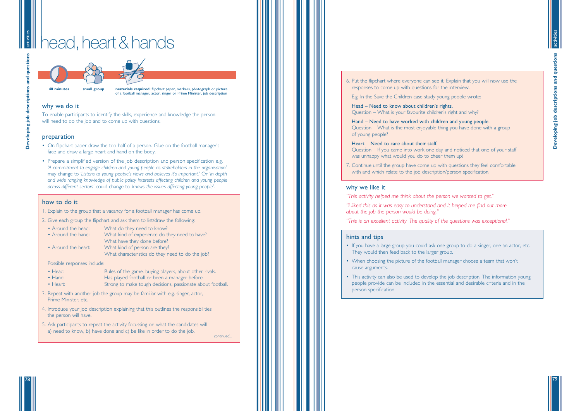**Developing job descriptions and questions** eveloping job descriptions and question ň

79

activities

### head, heart & hands activiti



**40 minutes small group materials required:** flipchart paper, markers, photograph or picture of a football manager, actor, singer or Prime Minister, job description

### why we do it

To enable participants to identify the skills, experience and knowledge the person will need to do the job and to come up with questions.

### preparation

- On flipchart paper draw the top half of a person. Glue on the football manager's ' face and draw a large heart and hand on the body.
- Prepare a simplified version of the job description and person specification e.g. *'A commitment to engage children and young people as stakeholders in the organisation '* may change to *'Listens to young people 's views and believes it 's important. '* Or *'In depth and wide ranging knowledge of public policy interests affecting children and young people across different sectors '* could change to *'knows the issues affecting young people '* .

- Around the head: What do they need to know?
- Around the hand: What kind of experience do they need to have?
	- What have they done before?
- Around the heart: What kind of person are they?
	- What characteristics do they need to do the job?

- Head: Rules of the game, buying players, about other rivals.<br>• Hand: Has played football or been a manager before.
- 
- Heart: Strong to make tough decisions, passionate about football.
- 3. Repeat with another job the group may be familiar with e.g. singer, actor, Prime Minister, etc.
- 4. Introduce your job description explaining that this outlines the responsibilities the person will have.
- 5. Ask participants to repeat the activity focussing on what the candidates will a) need to know, b) have done and c) be like in order to do the job.

### how to do it

1. Explain to the group that a vacancy for a football manager has come up.

2. Give each group the flipchart and ask them to list/draw the following:

7. Continue until the group have come up with questions they feel comfortable with and which relate to the job description/person specification.

Possible responses include:

6. Put the flipchart where everyone can see it. Explain that you will now use the responses to come up with questions for the interview.

E.g. In the Save the Children case study young people wrote:

Head – Need to know about children 's rights. Question – What is your favourite children 's right and why?

Hand – Need to have worked with children and young people. Question – What is the most enjoyable thing you have done with a group of young people?

Heart – Need to care about their staff. Question – If you came into work one day and noticed that one of your staff was unhappy what would you do to cheer them up?

### why we like it

*"This activity helped me think about the person we wanted to get. "*

*"I liked this as it was easy to understand and it helped me find out more about the job the person would be doing. "*

*"This is an excellent activity. The quality of the questions was exceptional. "*

### hints and tips

'

- If you have a large group you could ask one group to do a singer, one an actor, etc. They would then feed back to the larger group.
- When choosing the picture of the football manager choose a team that won't cause arguments.
- This activity can also be used to develop the job description. The information young people provide can be included in the essential and desirable criteria and in the person specification.

*continued...*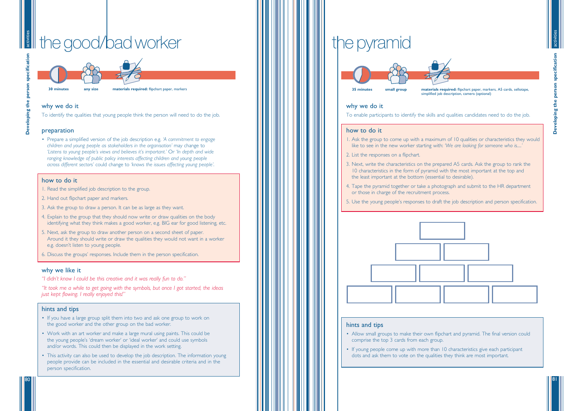# the good/bad worker

activities



81

activities

**30 minutes any size materials required:** flipchart paper, markers

### why we do it

To identify the qualities that young people think the person will need to do the job.

### preparation

• Prepare a simplified version of the job description e.g. *'A commitment to engage children and young people as stakeholders in the organisation '* may change to 'Listens to young people's views and believes it's important.' Or 'In depth and wide *ranging knowledge of public policy interests affecting children and young people across different sectors '* could change to *'knows the issues affecting young people '* .

### how to do it

- 1. Read the simplified job description to the group.
- 2. Hand out flipchart paper and markers.
- 3. Ask the group to draw a person. It can be as large as they want.
- 4. Explain to the group that they should now write or draw qualities on the body identifying what they think makes a good worker, e.g. BIG ear for good listening, etc.
- 5. Next, ask the group to draw another person on a second sheet of paper. Around it they should write or draw the qualities they would not want in a worker e.g. doesn 't listen to young people.
- 6. Discuss the groups ' responses. Include them in the person specification.

### why we like it

*"I didn't know I could be this creative and it was really fun to do. "*

*"It took me a while to get going with the symbols, but once I got started, the ideas just kept flowing. I really enjoyed this! "*

### hints and tips

- If you have a large group split them into two and ask one group to work on the good worker and the other group on the bad worker.
- Work with an art worker and make a large mural using paints. This could be the young people 's 'dream worker ' or 'ideal worker ' and could use symbols and/or words. This could then be displayed in the work setting.
- This activity can also be used to develop the job description. The information young people provide can be included in the essential and desirable criteria and in the person specification.

# the pyramid



simplified job description, camera (optional)

### why we do it

To enable participants to identify the skills and qualities candidates need to do the job.

### how to do it

1. Ask the group to come up with a maximum of 10 qualities or characteristics they would *'*

- like to see in the new worker starting with: *'We are looking for someone who is.....*
- 2. List the responses on a flipchart.
- 3. Next, write the characteristics on the prepared A5 cards. Ask the group to rank the 10 characteristics in the form of pyramid with the most important at the top and the least important at the bottom (essential to desirable).
- 4. Tape the pyramid together or take a photograph and submit to the HR department or those in charge of the recruitment process.
- 



5. Use the young people 's responses to draft the job description and person specification.

### hints and tips

- Allow small groups to make their own flipchart and pyramid. The final version could comprise the top 3 cards from each group.
- If young people come up with more than 10 characteristics give each participant dots and ask them to vote on the qualities they think are most important.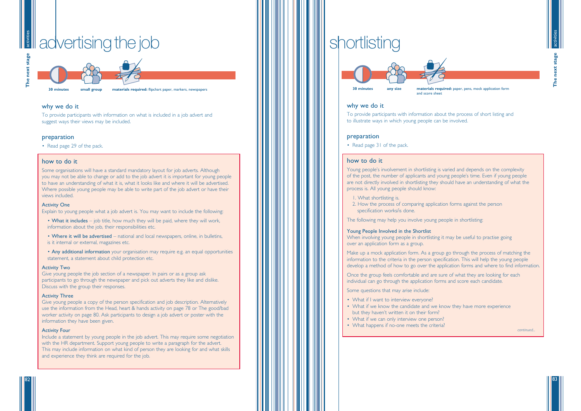



### activities **is a**dvertising the job



### why we do it

To provide participants with information on what is included in a job advert and suggest ways their views may be included.

### preparation

• Read page 29 of the pack.

### how to do it

Some organisations will have a standard mandatory layout for job adverts. Although you may not be able to change or add to the job advert it is important for young people to have an understanding of what it is, what it looks like and where it will be advertised. Where possible young people may be able to write part of the job advert or have their views included.

- What it includes job title, how much they will be paid, where they will work, information about the job, their responsibilities etc.
- Where it will be advertised national and local newspapers, online, in bulletins, is it internal or external, magazines etc.
- Any additional information your organisation may require e.g. an equal opportunities statement, a statement about child protection etc.

### Activity One

Explain to young people what a job advert is. You may want to include the following:

### Activity Two

Give young people the job section of a newspaper. In pairs or as a group ask participants to go through the newspaper and pick out adverts they like and dislike. Discuss with the group their responses.

### Activity Three

Give young people a copy of the person specification and job description. Alternatively use the information from the Head, heart & hands activity on page 78 or The good/bad worker activity on page 80. Ask participants to design a job advert or poster with the information they have been given.

### Activity Four

Include a statement by young people in the job advert. This may require some negotiation with the HR department. Support young people to write a paragraph for the advert. This may include information on what kind of person they are looking for and what skills and experience they think are required for the job.

**30 minutes any size materials required:** paper, pens, mock application form and score sheet

**30 minutes small group materials required:** flipchart paper, markers, newspapers

### why we do it

To provide participants with information about the process of short listing and to illustrate ways in which young people can be involved.

### preparation

• Read page 31 of the pack.

### how to do it

Young people's involvement in shortlisting is varied and depends on the complexity of the post, the number of applicants and young people's time. Even if young people are not directly involved in shortlisting they should have an understanding of what the process is. All young people should know:

- 1. What shortlisting is.
- 2. How the process of comparing application forms against the person specification works/is done.

The following may help you involve young people in shortlisting:

### Young People Involved in the Shortlist

When involving young people in shortlisting it may be useful to practise going over an application form as a group.

Make up a mock application form. As a group go through the process of matching the information to the criteria in the person specification. This will help the young people develop a method of how to go over the application forms and where to find information.

Once the group feels comfortable and are sure of what they are looking for each individual can go through the application forms and score each candidate.

Some questions that may arise include:

- What if I want to interview everyone?
- What if we know the candidate and we know they have more experience but they haven't written it on their form?
- What if we can only interview one person?
- What happens if no-one meets the criteria?

# shortlisting



*continued...*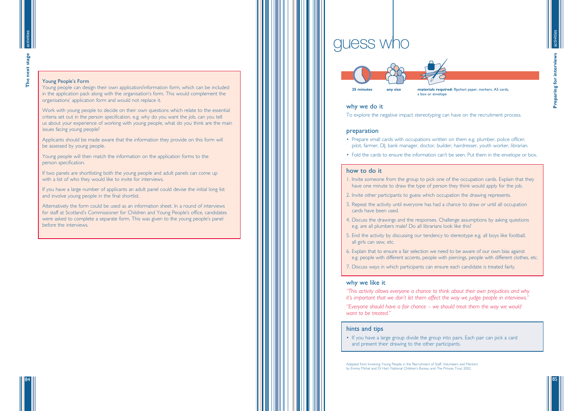



next The

84

### Young People's Form

Young people can design their own application/information form, which can be included in the application pack along with the organisation's form. This would complement the organisations' application form and would not replace it.

Work with young people to decide on their own questions which relate to the essential criteria set out in the person specification. e.g. why do you want the job, can you tell us about your experience of working with young people, what do you think are the main issues facing young people?

Applicants should be made aware that the information they provide on this form will be assessed by young people.

Young people will then match the information on the application forms to the person specification.

If two panels are shortlisting both the young people and adult panels can come up with a list of who they would like to invite for interviews.

If you have a large number of applicants an adult panel could devise the initial long list and involve young people in the final shortlist.

Alternatively the form could be used as an information sheet. In a round of interviews for staff at Scotland's Commissioner for Children and Young People's office, candidates were asked to complete a separate form. This was given to the young people's panel before the interviews.

# guess who



### why we do it

To explore the negative impact stereotyping can have on the recruitment process.

### preparation

• If you have a large group divide the group into pairs. Each pair can pick a card and present their drawing to the other participants.

- Prepare small cards with occupations written on them e.g. plumber, police officer, pilot, farmer, DJ, bank manager, doctor, builder, hairdresser, youth worker, librarian.
- Fold the cards to ensure the information can't be seen. Put them in the envelope or box.

### how to do it

- 1. Invite someone from the group to pick one of the occupation cards. Explain that they have one minute to draw the type of person they think would apply for the job.
- 2. Invite other participants to guess which occupation the drawing represents.
- 3. Repeat the activity until everyone has had a chance to draw or until all occupation cards have been used.
- 4. Discuss the drawings and the responses. Challenge assumptions by asking questions e.g. are all plumbers male? Do all librarians look like this?
- 5. End the activity by discussing our tendency to stereotype e.g. all boys like football, all girls can sew, etc.
- 6. Explain that to ensure a fair selection we need to be aware of our own bias against e.g. people with different accents, people with piercings, people with different clothes, etc.
- 7. Discuss ways in which participants can ensure each candidate is treated fairly.

### why we like it

*"This activity allows everyone a chance to think about their own prejudices and why it's important that we don't let them affect the way we judge people in interviews."*

*"Everyone should have a fair chance – we should treat them the way we would want to be treated."*

### hints and tips

Adapted from Involving Young People in the Recruitment of Staff, Volunteers and Mentors by Emma Michel and Di Hart. National Children's Bureau and The Princes Trust 2002.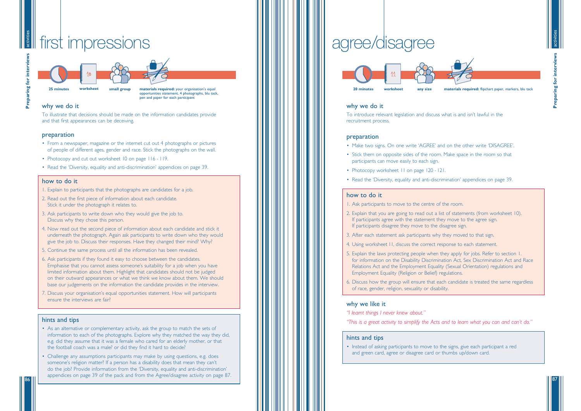



87

### activities first impressions

**25 minutes small group materials required:** your organisation 's equal opportunities statement, 4 photographs, blu tack, pen and paper for each participant

### why we do it

To illustrate that decisions should be made on the information candidates provide and that first appearances can be deceiving.

### preparation

- From a newspaper, magazine or the internet cut out 4 photographs or pictures of people of different ages, gender and race. Stick the photographs on the wall.
- Photocopy and cut out worksheet 10 on page 116 119.
- Read the 'Diversity, equality and anti-discrimination' appendices on page 39.

### how to do it

- 1. Explain to participants that the photographs are candidates for a job.
- 2. Read out the first piece of information about each candidate. Stick it under the photograph it relates to.
- 3. Ask participants to write down who they would give the job to. Discuss why they chose this person.
- 4. Now read out the second piece of information about each candidate and stick it underneath the photograph. Again ask participants to write down who they would give the job to. Discuss their responses. Have they changed their mind? Why?
- 5. Continue the same process until all the information has been revealed.
- 6. Ask participants if they found it easy to choose between the candidates. Emphasise that you cannot assess someone 's suitability for a job when you have limited information about them. Highlight that candidates should not be judged on their outward appearances or what we think we know about them. We should base our judgements on the information the candidate provides in the interview.
- 7. Discuss your organisation 's equal opportunities statement. How will participants ensure the interviews are fair?
- Make two signs. On one write 'AGREE' and on the other write 'DISAGREE
- Stick them on opposite sides of the room. Make space in the room so that participants can move easily to each sign.
- Photocopy worksheet II on page 120 121.
- Read the 'Diversity, equality and anti-discrimination ' appendices on page 39.

### hints and tips

- As an alternative or complementary activity, ask the group to match the sets of information to each of the photographs. Explore why they matched the way they did, e.g. did they assume that it was a female who cared for an elderly mother, or that the football coach was a male? or did they find it hard to decide?
- Challenge any assumptions participants may make by using questions, e.g. does someone 's religion matter? If a person has a disability does that mean they can t ' do the job? Provide information from the 'Diversity, equality and anti-discrimination ' appendices on page 39 of the pack and from the Agree/disagree activity on page 87.

**worksheet**



# agree/disagree



### why we do it

To introduce relevant legislation and discuss what is and isn 't lawful in the recruitment process.

### preparation

' .

### how to do it

- 1. Ask participants to move to the centre of the room.
- 2. Explain that you are going to read out a list of statements (from worksheet 10). If participants agree with the statement they move to the agree sign. If participants disagree they move to the disagree sign.
- 3. After each statement ask participants why they moved to that sign.
- 4. Using worksheet 11, discuss the correct response to each statement.
- 5. Explain the laws protecting people when they apply for jobs. Refer to section 1. for information on the Disability Discrimination Act, Sex Discrimination Act and Race Relations Act and the Employment Equality (Sexual Orientation) regulations and Employment Equality (Religion or Belief) regulations.
- 6. Discuss how the group will ensure that each candidate is treated the same regardless of race, gender, religion, sexuality or disability.

### why we like it

- *"I learnt things I never knew about. "*
- *"This is a great activity to simplify the Acts and to learn what you can and can 't do. "*

### hints and tips

• Instead of asking participants to move to the signs, give each participant a red and green card, agree or disagree card or thumbs up/down card.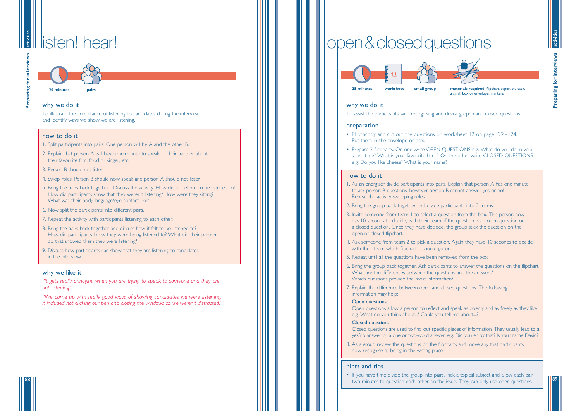**Preparing for interviews Preparing for intervi** 

### activitie listen! hear!

89

activities

88



**20 minutes pairs**

### why we do it

To illustrate the importance of listening to candidates during the interview and identify ways we show we are listening.

### how to do it

- 1. Split participants into pairs. One person will be A and the other B.
- 2. Explain that person A will have one minute to speak to their partner about their favourite film, food or singer, etc.
- 3. Person B should not listen.
- 4. Swop roles. Person B should now speak and person A should not listen.
- 5. Bring the pairs back together. Discuss the activity. How did it feel not to be listened to? How did participants show that they weren 't listening? How were they sitting? What was their body language/eye contact like?
- 6. Now split the participants into different pairs.
- 7. Repeat the activity with participants listening to each other.
- 8. Bring the pairs back together and discuss how it felt to be listened to? How did participants know they were being listened to? What did their partner do that showed them they were listening?
- 9. Discuss how participants can show that they are listening to candidates in the interview.

• Prepare 2 flipcharts. On one write OPEN QUESTIONS e.g. What do you do in your spare time? What is your favourite band? On the other write CLOSED QUESTIONS

### why we like it

*"It gets really annoying when you are trying to speak to someone and they are not listening. "*

*"We came up with really good ways of showing candidates we were listening, it included not clicking our pen and closing the windows so we weren 't distracted. "*

### why we do it

To assist the participants with recognising and devising open and closed questions.

### preparation

- Photocopy and cut out the questions on worksheet 12 on page 122 124. Put them in the envelope or box.
- e.g. Do you like cheese? What is your name?

### how to do it

- 1. As an energiser divide participants into pairs. Explain that person A has one minute to ask person B questions; however person B cannot answer yes or no! Repeat the activity swopping roles.
- 2. Bring the group back together and divide participants into 2 teams.
- 3. Invite someone from team 1 to select a question from the box. This person now has 10 seconds to decide, with their team, if the question is an open question or a closed question. Once they have decided, the group stick the question on the open or closed flipchart.
- with their team which flipchart it should go on.
- 5. Repeat until all the questions have been removed from the box.
- What are the differences between the questions and the answers? Which questions provide the most information?
- 7. Explain the difference between open and closed questions. The following information may help:

4. Ask someone from team 2 to pick a question. Again they have 10 seconds to decide

6. Bring the group back together. Ask participants to answer the questions on the flipchart.

### Open questions

Open questions allow a person to reflect and speak as openly and as freely as they like e.g. What do you think about...? Could you tell me about....?

### Closed questions

Closed questions are used to find out specific pieces of information. They usually lead to a yes/no answer or a one or two-word answer. e.g. Did you enjoy that? Is your name David?

8. As a group review the questions on the flipcharts and move any that participants now recognise as being in the wrong place.

### hints and tips

• If you have time divide the group into pairs. Pick a topical subject and allow each pair

two minutes to question each other on the issue. They can only use open questions.

# open&closedquestions



a small box or envelope, markers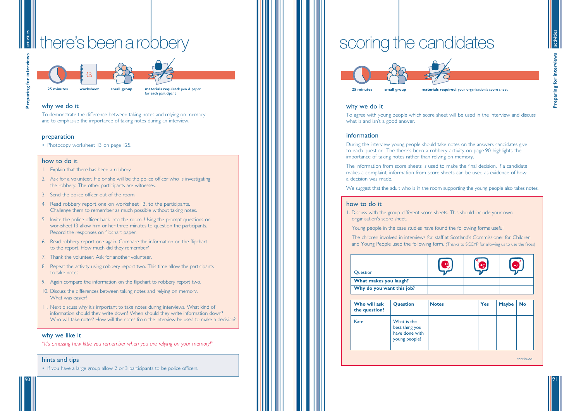**Preparing for interviews** paring for intervi

91

activities



90



# there 'sbeenarobbery

**25 minutes small group materials required:** pen & paper **worksheet**

for each participant



### why we do it

- 1. Explain that there has been a robbery.
- 2. Ask for a volunteer. He or she will be the police officer who is investigating the robbery. The other participants are witnesses.
- 3. Send the police officer out of the room.
- 4. Read robbery report one on worksheet 13, to the participants. Challenge them to remember as much possible without taking notes.
- 5. Invite the police officer back into the room. Using the prompt questions on worksheet 13 allow him or her three minutes to question the participants. Record the responses on flipchart paper.
- 6. Read robbery report one again. Compare the information on the flipchart to the report. How much did they remember?
- 7. Thank the volunteer. Ask for another volunteer.
- 8. Repeat the activity using robbery report two. This time allow the participants to take notes.
- 9. Again compare the information on the flipchart to robbery report two.
- 10. Discuss the differences between taking notes and relying on memory. What was easier?
- 11. Next discuss why it 's important to take notes during interviews. What kind of information should they write down? When should they write information down? Who will take notes? How will the notes from the interview be used to make a decision?

To demonstrate the difference between taking notes and relying on memory and to emphasise the importance of taking notes during an interview.

### preparation

• Photocopy worksheet 13 on page 125.

### how to do it

### why we like it

*"It's amazing how little you remember when you are relying on your memory! "*

### hints and tips

• If you have a large group allow 2 or 3 participants to be police officers.

# scoring the candidates



### why we do it

To agree with young people which score sheet will be used in the interview and discuss what is and isn 't a good answer.

### information

During the interview young people should take notes on the answers candidates give to each question. The there 's been a robbery activity on page 90 highlights the importance of taking notes rather than relying on memory.

| Question                      |                                                                  |              | $\left[ \bullet \right]$ | إميعا        |           |
|-------------------------------|------------------------------------------------------------------|--------------|--------------------------|--------------|-----------|
| What makes you laugh?         |                                                                  |              |                          |              |           |
| Why do you want this job?     |                                                                  |              |                          |              |           |
| Who will ask<br>the question? | <b>Question</b>                                                  | <b>Notes</b> | <b>Yes</b>               | <b>Maybe</b> | <b>No</b> |
| Kate                          | What is the<br>best thing you<br>have done with<br>young people? |              |                          |              |           |
|                               |                                                                  |              |                          |              | continued |

The information from score sheets is used to make the final decision. If a candidate makes a complaint, information from score sheets can be used as evidence of how a decision was made.

We suggest that the adult who is in the room supporting the young people also takes notes.

### how to do it

1. Discuss with the group different score sheets. This should include your own organisation 's score sheet.

Young people in the case studies have found the following forms useful.

The children involved in interviews for staff at Scotland 's Commissioner for Children and Young People used the following form. (Thanks to SCCYP for allowing us to use the faces)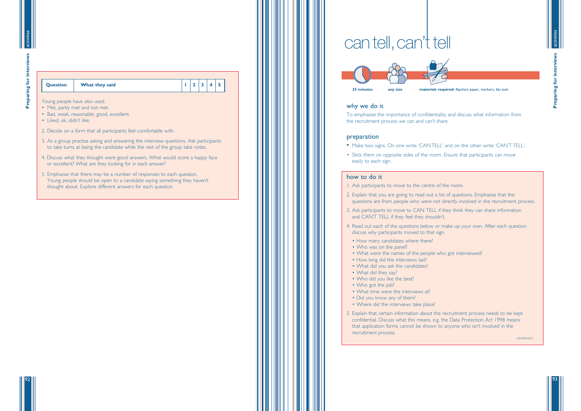### **Question** What they said 1 2 3 4 5

**Preparing for interviews**

Preparing for interview

93

92



- Young people have also used: • Met, partly met and not met.
- Bad, weak, reasonable, good, excellent.
- Liked, ok, didn't like.
- 2. Decide on a form that all participants feel comfortable with.
- 3. As a group practise asking and answering the interview questions. Ask participants to take turns at being the candidate while the rest of the group take notes.
- 4. Discuss what they thought were good answers. What would score a happy face or excellent? What are they looking for in each answer?
- 5. Emphasise that there may be a number of responses to each question. Young people should be open to a candidate saying something they haven't thought about. Explore different answers for each question.

# cantell, can't tell



### why we do it

To emphasise the importance of confidentiality and discuss what information from the recruitment process we can and can't share.

### preparation

- Make two signs. On one write 'CAN TELL' and on the other write 'CAN'T TELL'.
- Stick them on opposite sides of the room. Ensure that participants can move easily to each sign.

### how to do it

questions are from people who were not directly involved in the recruitment process.

- 1. Ask participants to move to the centre of the room.
- 2. Explain that you are going to read out a list of questions. Emphasise that the
- 3. Ask participants to move to CAN TELL if they think they can share information and CAN'T TELL if they feel they shouldn't.
- 4. Read out each of the questions below or make up your own. After each question discuss why participants moved to that sign.
	- How many candidates where there?
	- Who was on the panel?
	- What were the names of the people who got interviewed?
	- How long did the interviews last?
	- What did you ask the candidates?
	- What did they say?
	- Who did you like the best?
- Who got the job?
- What time were the interviews at?
- Did you know any of them?
- Where did the interviews take place?
- 5. Explain that certain information about the recruitment process needs to be kept confidential. Discuss what this means. e.g. the Data Protection Act 1998 means that application forms cannot be shown to anyone who isn't involved in the recruitment process.

*continued...*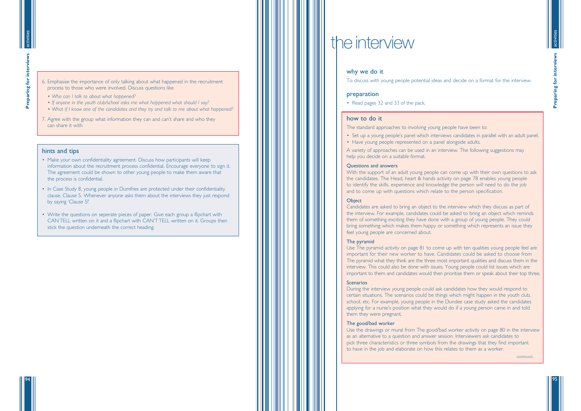**Preparing for interviews Preparing for intervio** 

95

activities

94

6. Emphasise the importance of only talking about what happened in the recruitment process to those who were involved. Discuss questions like

- *Who can I talk to about what happened?*
- *If anyone in the youth club/school asks me what happened what should I say?*
- *What if I know one of the candidates and they try and talk to me about what happened?*
- 7. Agree with the group what information they can and can 't share and who they can share it with.

### hints and tips

- Make your own confidentiality agreement. Discuss how participants will keep information about the recruitment process confidential. Encourage everyone to sign it. The agreement could be shown to other young people to make them aware that the process is confidential.
- In Case Study 8, young people in Dumfries are protected under their confidentiality clause, Clause 5. Whenever anyone asks them about the interviews they just respond by saying 'Clause 5! '
- Write the questions on seperate pieces of paper. Give each group a flipchart with CAN TELL written on it and a flipchart with CAN 'T TELL written on it. Groups then stick the question underneath the correct heading.

# the interview

### why we do it

To discuss with young people potential ideas and decide on a format for the interview.

### preparation

• Read pages 32 and 33 of the pack.

### how to do it

The standard approaches to involving young people have been to:

Use The pyramid activity on page 81 to come up with ten qualities young people feel are important for their new worker to have. Candidates could be asked to choose from The pyramid what they think are the three most important qualities and discuss them in the interview. This could also be done with issues. Young people could list issues which are important to them and candidates would then prioritise them or speak about their top three.

### **Scenarios**

- 
- Set up a young people's panel which interviews candidates in parallel with an adult panel. • Have young people represented on a panel alongside adults.

A variety of approaches can be used in an interview. The following suggestions may help you decide on a suitable format.

### Questions and answers

With the support of an adult young people can come up with their own questions to ask the candidates. The Head, heart & hands activity on page 78 enables young people to identify the skills, experience and knowledge the person will need to do the job and to come up with questions which relate to the person specification.

### **Object**

Candidates are asked to bring an object to the interview which they discuss as part of the interview. For example, candidates could be asked to bring an object which reminds them of something exciting they have done with a group of young people. They could bring something which makes them happy or something which represents an issue they feel young people are concerned about.

### The pyramid

During the interview young people could ask candidates how they would respond to certain situations. The scenarios could be things which might happen in the youth club, school, etc. For example, young people in the Dundee case study asked the candidates applying for a nurse 's position what they would do if a young person came in and told them they were pregnant.

### The good/bad worker

Use the drawings or mural from The good/bad worker activity on page 80 in the interview as an alternative to a question and answer session. Interviewers ask candidates to pick three characteristics or three symbols from the drawings that they find important to have in the job and elaborate on how this relates to them as a worker.

*continued...*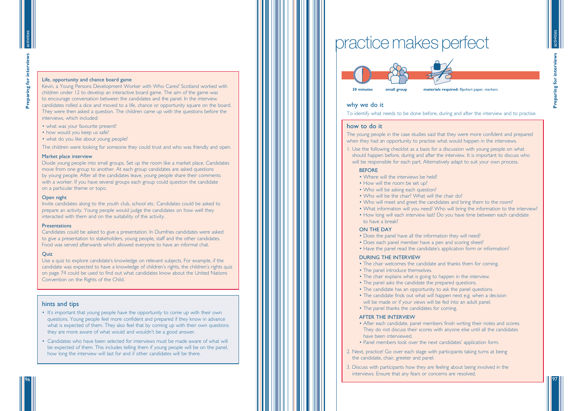### Life, opportunity and chance board game

Kevin, a Young Persons Development Worker with Who Cares? Scotland worked with children under 12 to develop an interactive board game. The aim of the game was to encourage conversation between the candidates and the panel. In the interview candidates rolled a dice and moved to a life, chance or opportunity square on the board. They were then asked a question. The children came up with the questions before the interviews, which included:

- what was your favourite present?
- how would you keep us safe?
- what do you like about young people?

The children were looking for someone they could trust and who was friendly and open.

### Market place interview

Divide young people into small groups. Set up the room like a market place. Candidates move from one group to another. At each group candidates are asked questions by young people. After all the candidates leave, young people share their comments with a worker. If you have several groups each group could question the candidate on a particular theme or topic.

Use a quiz to explore candidate's knowledge on relevant subjects. For example, if the candidate was expected to have a knowledge of children 's rights, the children 's rights quiz on page 74 could be used to find out what candidates know about the United Nations Convention on the Rights of the Child.

### Open night

Invite candidates along to the youth club, school etc. Candidates could be asked to prepare an activity. Young people would judge the candidates on how well they interacted with them and on the suitability of the activity.

### **Presentations**

**Preparing for interviews** eparing for intervi

Candidates could be asked to give a presentation. In Dumfries candidates were asked to give a presentation to stakeholders, young people, staff and the other candidates. Food was served afterwards which allowed everyone to have an informal chat.

### **Quiz**

1. Use the following checklist as a basis for a discussion with young people on what should happen before, during and after the interview. It is important to discuss who will be responsible for each part. Alternatively adapt to suit your own process.

### **REFORE**

- Where will the interviews be held?
- How will the room be set up?
- Who will be asking each question?
- Who will be the chair? What will the chair do? • Who will meet and greet the candidates and bring them to the room? • What information will you need? Who will bring the information to the interview? • How long will each interview last? Do you have time between each candidate
	-
	-
	- to have a break?

### hints and tips

- It's important that young people have the opportunity to come up with their own questions. Young people feel more confident and prepared if they know in advance what is expected of them. They also feel that by coming up with their own questions they are more aware of what would and wouldn 't be a good answer.
- Candidates who have been selected for interviews must be made aware of what will be expected of them. This includes telling them if young people will be on the panel, how long the interview will last for and if other candidates will be there.

# practice makes perfect

activities

97

activities





### why we do it

To identify what needs to be done before, during and after the interview and to practise.

### how to do it

The young people in the case studies said that they were more confident and prepared

- 
- 

when they had an opportunity to practise what would happen in the interviews.

### ON THE DAY

- Does the panel have all the information they will need? • Does each panel member have a pen and scoring sheet? • Have the panel read the candidate's application form or information?
- 
- 

### DURING THE INTERVIEW

- The chair welcomes the candidate and thanks them for coming.
- The panel introduce themselves.
- The chair explains what is going to happen in the interview.
- The panel asks the candidate the prepared questions.
- The candidate has an opportunity to ask the panel questions.
- The candidate finds out what will happen next e.g. when a decision will be made or if your views will be fed into an adult panel.
- The panel thanks the candidates for coming.

### AFTER THE INTERVIEW

- After each candidate, panel members finish writing their notes and scores. They do not discuss their scores with anyone else until all the candidates have been interviewed.
- Panel members look over the next candidates ' application form.
- 2. Next, practice! Go over each stage with participants taking turns at being the candidate, chair, greeter and panel.
- 3. Discuss with participants how they are feeling about being involved in the interviews. Ensure that any fears or concerns are resolved.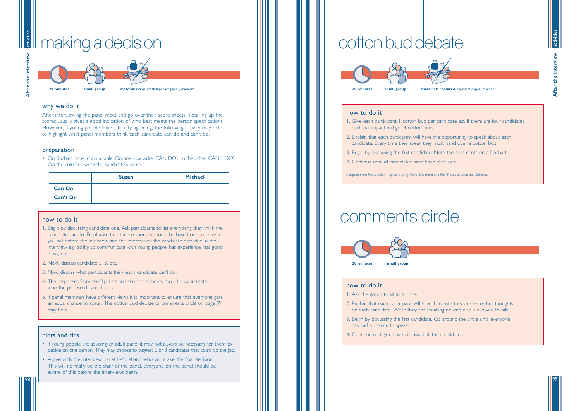**After the interview** After the intervie

99

activities



### makingadecision activit



**20 minutes small group materials required:** flipchart paper, markers

### why we do it

After interviewing the panel meet and go over their score sheets. Totalling up the scores usually gives a good indication of who best meets the person specifications. However, if young people have difficulty agreeing, the following activity may help to highlight what panel members think each candidate can do and can't do.

### preparation

• On flipchart paper draw a table. On one row write 'CAN DO', on the other 'CAN'T DO'. On the columns write the candidate's name.

### how to do it

- 1. Begin by discussing candidate one. Ask participants to list everything they think the candidate can do. Emphasise that their responses should be based on the criteria you set before the interview and the information the candidate provided in the interview e.g. ability to communicate with young people, has experience, has good ideas, etc.
- 2. Next, discuss candidate 2, 3, etc.
- 3. Now discuss what participants think each candidate can't do.
- 4. The responses from the flipchart and the score sheets should now indicate who the preferred candidate is.
- 5. If panel members have different views it is important to ensure that everyone gets an equal chance to speak. The cotton bud debate or comments circle on page 99 may help.

### hints and tips

- If young people are advising an adult panel it may not always be necessary for them to decide on one person. They may choose to suggest 2 or 3 candidates that could do the job.
- Agree with the interview panel beforehand who will make the final decision. This will normally be the chair of the panel. Everyone on the panel should be aware of this before the interviews begin.

# cotton bud debate

|                 | <b>Susan</b> | <b>Michael</b> |
|-----------------|--------------|----------------|
| <b>Can Do</b>   |              |                |
| <b>Can't Do</b> |              |                |

### how to do it

- 1. Give each participant 1 cotton bud per candidate e.g. if there are four candidates each participant will get 4 cotton buds.
- 2. Explain that each participant will have the opportunity to speak about each candidate. Every time they speak they must hand over a cotton bud.
- 3. Begin by discussing the first candidate. Note the comments on a flipchart.
- 4. Continue until all candidates have been discussed.

Adapted from Participation – Spice it up by Carol Shepherd and Phil Treseder, Save the Children.

### how to do it

- 1. Ask the group to sit in a circle.
- 2. Explain that each participant will have 1 minute to share his or her thoughts on each candidate. While they are speaking no one else is allowed to talk.
- 3. Begin by discussing the first candidate. Go around the circle until everyone has had a chance to speak.
- 4. Continue until you have discussed all the candidates.





# comments circle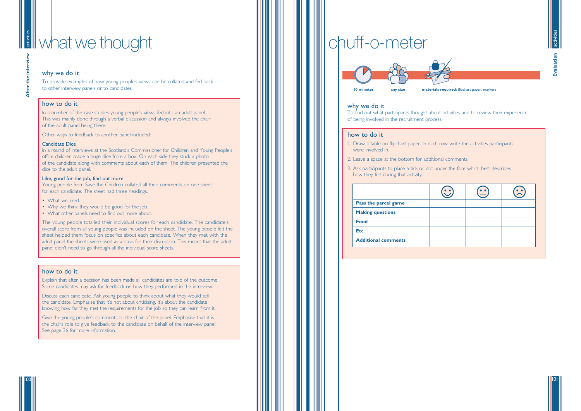# **What we thought**

101

activities

### why we do it

To provide examples of how young people's views can be collated and fed back to other interview panels or to candidates.

### how to do it

In a number of the case studies young people's views fed into an adult panel. This was mainly done through a verbal discussion and always involved the chair of the adult panel being there.

In a round of interviews at the Scotland's Commissioner for Children and Young People's office children made a huge dice from a box. On each side they stuck a photo of the candidate along with comments about each of them. The children presented the dice to the adult panel.

Other ways to feedback to another panel included:

### Candidate Dice

- What we liked.
- Why we think they would be good for the job.
- What other panels need to find out more about.

### Like, good for the job, find out more

Young people from Save the Children collated all their comments on one sheet for each candidate. The sheet had three headings.



The young people totalled their individual scores for each candidate. The candidate's overall score from all young people was included on the sheet. The young people felt the sheet helped them focus on specifics about each candidate. When they met with the adult panel the sheets were used as a basis for their discussion. This meant that the adult panel didn't need to go through all the individual score sheets.

### how to do it

Explain that after a decision has been made all candidates are told of the outcome. Some candidates may ask for feedback on how they performed in the interview.

Discuss each candidate. Ask young people to think about what they would tell the candidate. Emphasise that it's not about criticising. It's about the candidate knowing how far they met the requirements for the job so they can learn from it.

Give the young people's comments to the chair of the panel. Emphasise that it is the chair's role to give feedback to the candidate on behalf of the interview panel. See page 36 for more information.

### why we do it

To find out what participants thought about activities and to review their experience of being involved in the recruitment process.

### how to do it

- 1. Draw a table on flipchart paper. In each row write the activities participants were involved in.
- 2. Leave a space at the bottom for additional comments.
- 3. Ask participants to place a tick or dot under the face which best describes how they felt during that activity.

| Pass the parcel game       |  |  |
|----------------------------|--|--|
| <b>Making questions</b>    |  |  |
| <b>Food</b>                |  |  |
| Etc.                       |  |  |
| <b>Additional comments</b> |  |  |

# chuff-o-meter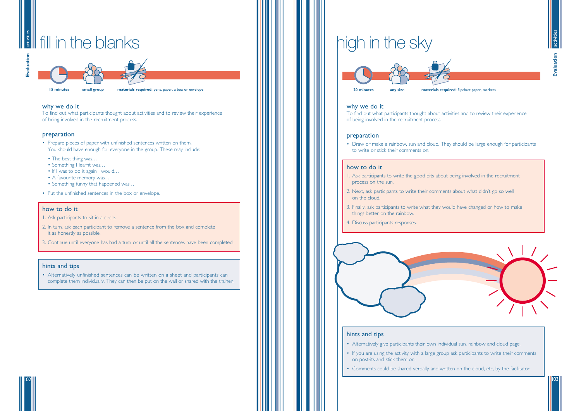

103



### activities activiti fill in the blanks

102

**15 minutes small group materials required:** pens, paper, a box or envelope

### why we do it

To find out what participants thought about activities and to review their experience of being involved in the recruitment process.

### preparation

- Prepare pieces of paper with unfinished sentences written on them. You should have enough for everyone in the group. These may include:
- The best thing was...
- Something I learnt was...
- If I was to do it again I would...
- A favourite memory was...
- Something funny that happened was. . .
- Put the unfinished sentences in the box or envelope.

### how to do it

- 1. Ask participants to sit in a circle.
- 2. In turn, ask each participant to remove a sentence from the box and complete it as honestly as possible.
- 3. Continue until everyone has had a turn or until all the sentences have been completed.

### hints and tips

• Alternatively unfinished sentences can be written on a sheet and participants can complete them individually. They can then be put on the wall or shared with the trainer.

### why we do it

To find out what participants thought about activities and to review their experience of being involved in the recruitment process.

### preparation

• Draw or make a rainbow, sun and cloud. They should be large enough for participants to write or stick their comments on.

### how to do it

- 1. Ask participants to write the good bits about being involved in the recruitment process on the sun.
- 2. Next, ask participants to write their comments about what didn't go so well on the cloud.
- 3. Finally, ask participants to write what they would have changed or how to make things better on the rainbow.
- 4. Discuss participants responses.



### hints and tips

• If you are using the activity with a large group ask participants to write their comments

- Alternatively give participants their own individual sun, rainbow and cloud page.
- on post-its and stick them on.
- Comments could be shared verbally and written on the cloud, etc, by the facilitator.

# high in the sky

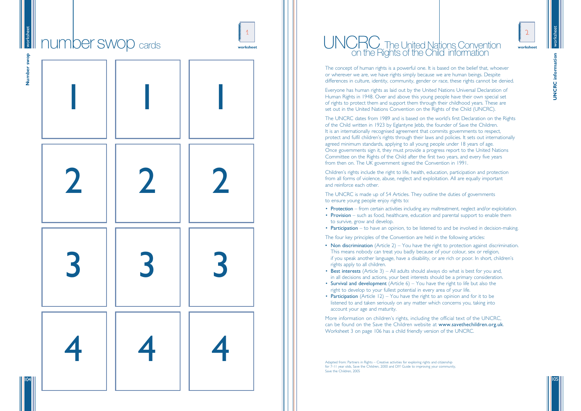worksheet

**UNCRC** information **UNCRC information**

105

104



The concept of human rights is a powerful one. It is based on the belief that, whoever or wherever we are, we have rights simply because we are human beings. Despite differences in culture, identity, community, gender or race, these rights cannot be denied.

Everyone has human rights as laid out by the United Nations Universal Declaration of Human Rights in 1948. Over and above this young people have their own special set of rights to protect them and support them through their childhood years. These are set out in the United Nations Convention on the Rights of the Child (UNCRC).

The UNCRC dates from 1989 and is based on the world 's first Declaration on the Rights of the Child written in 1923 by Eglantyne Jebb, the founder of Save the Children. It is an internationally recognised agreement that commits governments to respect, protect and fulfil children's rights through their laws and policies. It sets out internationally agreed minimum standards, applying to all young people under 18 years of age. Once governments sign it, they must provide a progress report to the United Nations Committee on the Rights of the Child after the first two years, and every five years from then on. The UK government signed the Convention in 1991.

- Non discrimination (Article  $2$ ) You have the right to protection against discrimination. This means nobody can treat you badly because of your colour, sex or religion, if you speak another language, have a disability, or are rich or poor. In short, children s ' rights apply to all children.
- in all decisions and actions, your best interests should be a primary consideration. right to develop to your fullest potential in every area of your life.
- Best interests (Article 3) All adults should always do what is best for you and, • Survival and development (Article 6) – You have the right to life but also the
- Participation (Article 12) You have the right to an opinion and for it to be listened to and taken seriously on any matter which concerns you, taking into account your age and maturity.

Children 's rights include the right to life, health, education, participation and protection from all forms of violence, abuse, neglect and exploitation. All are equally important and reinforce each other.

Adapted from: Partners in Rights – Creative activities for exploring rights and citizenship for 7-11 year olds, Save the Children, 2000 and DIY Guide to improving your community, Save the Children, 2005

The UNCRC is made up of 54 Articles. They outline the duties of governments to ensure young people enjoy rights to:

- Protection from certain activities including any maltreatment, neglect and/or exploitation.<br>• Provision such as food, healthcare, education and parental support to enable them
- to survive, grow and develop.
- Participation to have an opinion, to be listened to and be involved in decision-making.

### UNCRC The United Nations Convention on the Rights of the Child information

The four key principles of the Convention are held in the following articles:

More information on children 's rights, including the official text of the UNCRC, can be found on the Save the Children website at www.savethechildren.org.uk. Worksheet 3 on page 106 has a child friendly version of the UNCRC.

.

- 
- 
- 
- 
- 
-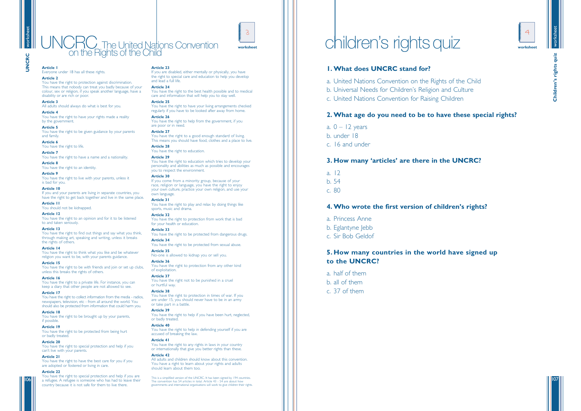

quiz **Children's rights quiz** Children's rights

107

worksheet

# **UNCRC**



**Article 1** Everyone under 18 has all these rights.

### **Article 2**

You have the right to protection against discrimination. This means that nobody can treat you badly because of your colour, sex or religion, if you speak another language, have a disability or are rich or poor.

### **Article 3**

All adults should always do what is best for you.

### **Article 4**

You have the right to have your rights made a reality by the government.

### **Article 5**

You have the right to be given guidance by your parents and family.

### **Article 6**

You have the right to life.

### **Article 7**

You have the right to have a name and a nationality. **Article 8**

You have the right to an identity.

### **Article 9**

You have the right to live with your parents, unless it is bad for you.

### **Article 10**

If you and your parents are living in separate countries, you have the right to get back together and live in the same place.

**Article 11** You should not be kidnapped.

### **Article 12**

You have the right to an opinion and for it to be listened to and taken seriously.

### **Article 13**

You have the right to find out things and say what you think, through making art, speaking and writing, unless it breaks the rights of others.

### **Article 14**

You have the right to think what you like and be whatever religion you want to be, with your parents guidance.

### **Article 15**

### You have the right to help from the government, if you are poor or in need.

You have the right to be with friends and join or set up clubs, unless this breaks the rights of others.

### **Article 16**

You have the right to a private life. For instance, you can keep a diary that other people are not allowed to see.

### **Article 17**

You have the right to collect information from the media - radios, newspapers, television, etc - from all around the world. You should also be protected from information that could harm you.

### **Article 18**

You have the right to be brought up by your parents, if possible.

### **Article 19**

You have the right to be protected from being hurt or badly treated.

### **Article 20**

You have the right to special protection and help if you can't live with your parents.

### **Article 21**

You have the right to have the best care for you if you are adopted or fostered or living in care.

### **Article 22**

You have the right to special protection and help if you are a refugee. A refugee is someone who has had to leave their country because it is not safe for them to live there.

### **Article 23**

If you are disabled, either mentally or physically, you have the right to special care and education to help you develop and lead a full life.

### **Article 24**

You have the right to the best health possible and to medical care and information that will help you to stay well.

- a.  $0 12$  years
- b. under 18
- c. 16 and under

**Article 25**

### You have the right to have your living arrangements checked

regularly if you have to be looked after away from home. **Article 26**

**Article 27** You have the right to a good enough standard of living. This means you should have food, clothes and a place to live.

### **Article 28**

You have the right to education.

### **Article 29**

You have the right to education which tries to develop your personality and abilities as much as possible and encourages you to respect the environment.

### **Article 30**

If you come from a minority group, because of your race, religion or language, you have the right to enjoy your own culture, practice your own religion, and use your own language.

**Article 31** You have the right to play and relax by doing things like sports, music and drama.

### **Article 32** You have the right to protection from work that is bad for your health or education.

**Article 33**

### You have the right to be protected from dangerous drugs. **Article 34**

You have the right to be protected from sexual abuse.

**Article 35** No-one is allowed to kidnap you or sell you.

### **Article 36** You have the right to protection from any other kind of exploitation.

**Article 37** You have the right not to be punished in a cruel or hurtful way.

### **Article 38**

You have the right to protection in times of war. If you are under 15, you should never have to be in an army or take part in a battle.

### **Article 39**

You have the right to help if you have been hurt, neglected, or badly treated.

### **Article 40**

You have the right to help in defending yourself if you are accused of breaking the law.

### **Article 41**

You have the right to any rights in laws in your country or internationally that give you better rights than these.

### **Article 42**

All adults and children should know about this convention. You have a right to learn about your rights and adults should learn about them too.

This is a simplified version of the UNCRC. It has been signed by 194 countries. The convention has 54 articles in total. Article 43 - 54 are about how governments and international organisations will work to give children their rights.

# children's rights quiz **Exerchange Children's**



### UNCRC The United Nations Convention on the Rights of the Child

### **1. What does UNCRC stand for?**

a. United Nations Convention on the Rights of the Child

- b. Universal Needs for Children's Religion and Culture
- c. United Nations Convention for Raising Children

### **2. What age do you need to be to have these special rights?**

### **3. How many 'articles' are there in the UNCRC?**

- a. 12
- b. 54
- c. 80

### **4. Who wrote the first version of children's rights?**

- a. Princess Anne
- b. Eglantyne Jebb
- c. Sir Bob Geldof

### **5. How many countries in the world have signed up to the UNCRC?**

a. half of them b. all of them c. 37 of them

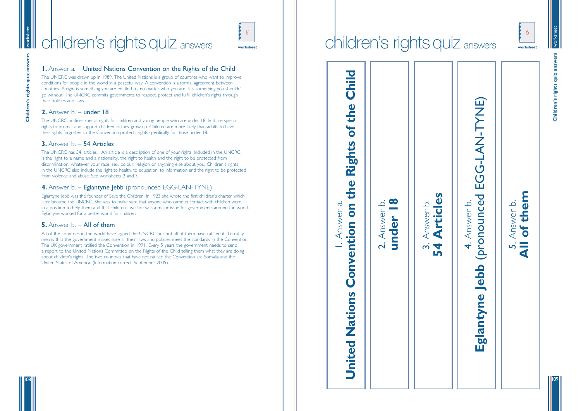

**Children's rights quiz answers** quiz Children's rights

them **All of them** Answer b. 5. Answer b. bf  $\frac{5}{4}$ 

109

worksheet

**Children's rights quiz answers**

Children's rights quiz

108

### **1.** Answer a. – United Nations Convention on the Rights of the Child

The UNCRC was drawn up in 1989. The United Nations is a group of countries who want to improve conditions for people in the world in a peaceful way. A convention is a formal agreement between countries. A right is something you are entitled to, no matter who you are. It is something you shouldn t ' go without. The UNCRC commits governments to respect, protect and fulfill children 's rights through their policies and laws.

### **2.** Answer b. – under 18

The UNCRC has 54 'articles'. An article is a description of one of your rights. Included in the UNCRC is the right to a name and a nationality, the right to health and the right to be protected from discrimination, whatever your race, sex, colour, religion or anything else about you. Children 's rights in the UNCRC also include the right to health, to education, to information and the right to be protected from violence and abuse. See worksheets 2 and 3.

The UNCRC outlines special rights for children and young people who are under 18. In it are special rights to protect and support children as they grow up. Children are more likely than adults to have their rights forgotten so the Convention protects rights specifically for those under 18.

### **3.** Answer b. – 54 Articles

**54 Articles** rticles <u>ت</u> 3. Answer b. Answer I  $\bar{\mathbf{A}}$  $\vec{r}$ LO

### $\bullet$ **under 18** <u>تہ</u> 2. Answer b. Answer under  $\overline{N}$



### **4.** Answer b. – Eglantyne Jebb (pronounced EGG-LAN-TYNE)

Eglantyne Jebb was the founder of Save the Children. In 1923 she wrote the first children 's charter which later became the UNCRC. She was to make sure that anyone who came in contact with children were in a position to help them and that children 's welfare was a major issue for governments around the world. Eglantyne worked for a better world for children.

### **5.** Answer b. - **All of them**

All of the countries in the world have signed the UNCRC but not all of them have ratified it. To ratify means that the government makes sure all their laws and policies meet the standards in the Convention. The UK government ratified the Convention in 1991. Every 5 years the government needs to send a report to the United Nations Committee on the Rights of the Child telling them what they are doing about children 's rights. The two countries that have not ratified the Convention are Somalia and the United States of America. (Information correct, September 2005).

# children's rights quiz answers

# Child **United Nations Convention on the Rights of the Child** the bf Rights the S 1. Answer a.  $\mathfrak{S}$ Answer onvention Ŭ  $\mathbf{v}$ Nation United



### $\frac{1}{\sqrt{2}}$ children's rights quiz answers



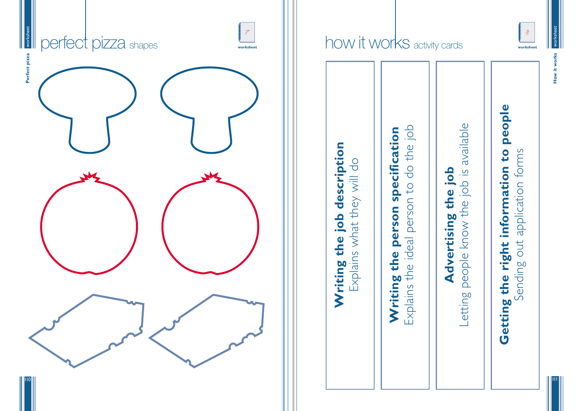How it works **How it works**



111



# how it works activity cards **Langle 3**





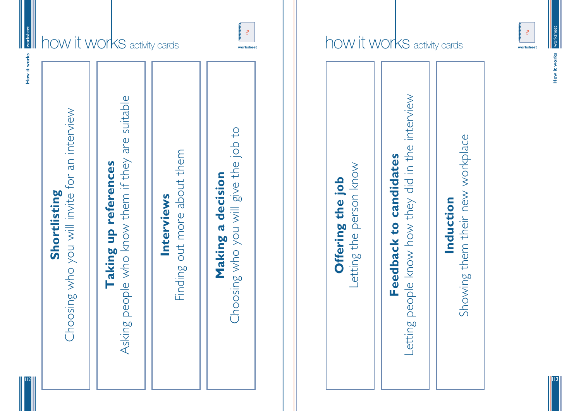

How it works **How it works**

113

worksheet works How it works **How it works**

# how it works activity cards



# Choosing who you will give the job to Choosing who you will give the job toout more about them Finding out more about them person know Letting the person know Making a decision **Making a decision** Offering the job **Offering the job** Interviews **Interviews** etting the Finding

how it works activity cards **L**<sup>8</sup>

112

# Induction **Induction**

# Showing them their new workplace Showing them their new workplace



**Feedback to candidates**

Feedback to

candidates

Letting people know how they did in the interview

Letting people know how they did in the interview

**Shortlisting**

Shortlisting

Choosing who you will invite for an interview

Choosing who you will invite for an interview

**Taking up references**

Taking up references

Asking people who know them if they are suitable

Asking people who know them if they are suitable

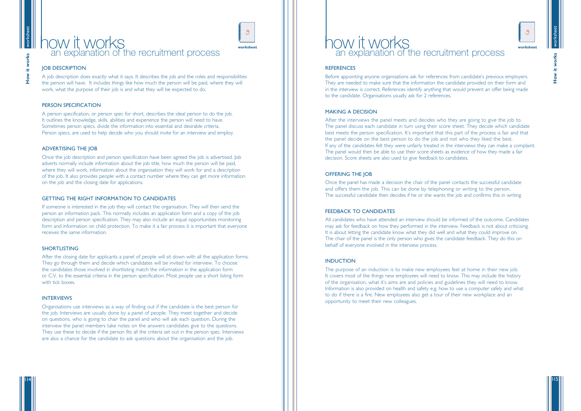worksheet

it works **How it works**

115

# worksheet it works **How it works**

 $How$ 

### how it works an explanation of the recruitment process

**worksheet**

### **JOB DESCRIPTION**



A job description does exactly what it says. It describes the job and the roles and responsibilities the person will have. It includes things like how much the person will be paid, where they will work, what the purpose of their job is and what they will be expected to do.

### PERSON SPECIFICATION

A person specification, or person spec for short, describes the ideal person to do the job. It outlines the knowledge, skills, abilities and experience the person will need to have. Sometimes person specs. divide the information into essential and desirable criteria. Person specs. are used to help decide who you should invite for an interview and employ.

### ADVERTISING THE JOB

Once the job description and person specification have been agreed the job is advertised. Job adverts normally include information about the job title, how much the person will be paid, where they will work, information about the organisation they will work for and a description of the job. It also provides people with a contact number where they can get more information on the job and the closing date for applications.

### GETTING THE RIGHT INFORMATION TO CANDIDATES

If someone is interested in the job they will contact the organisation. They will then send the person an information pack. This normally includes an application form and a copy of the job description and person specification. They may also include an equal opportunities monitoring form and information on child protection. To make it a fair process it is important that everyone receives the same information.

### SHORTLISTING

After the closing date for applicants a panel of people will sit down with all the application forms. They go through them and decide which candidates will be invited for interview. To choose the candidates those involved in shortlisting match the information in the application form or C.V. to the essential criteria in the person specification. Most people use a short listing form with tick boxes.

### INTERVIEWS

Organisations use interviews as a way of finding out if the candidate is the best person for the job. Interviews are usually done by a panel of people. They meet together and decide on questions, who is going to chair the panel and who will ask each question. During the interview the panel members take notes on the answers candidates give to the questions. They use these to decide if the person fits all the criteria set out in the person spec. Interviews are also a chance for the candidate to ask questions about the organisation and the job.

### how it works an explanation of the recruitment process

### **REFERENCES**



Before appointing anyone organisations ask for references from candidate's previous employers. They are needed to make sure that the information the candidate provided on their form and in the interview is correct. References identify anything that would prevent an offer being made to the candidate. Organisations usually ask for 2 references.

### MAKING A DECISION

After the interviews the panel meets and decides who they are going to give the job to. The panel discuss each candidate in turn using their score sheet. They decide which candidate best meets the person specification. It's important that this part of the process is fair and that the panel decide on the best person to do the job and not who they liked the best. If any of the candidates felt they were unfairly treated in the interviews they can make a complaint. The panel would then be able to use their score sheets as evidence of how they made a fair decision. Score sheets are also used to give feedback to candidates.

### OFFERING THE JOB

Once the panel has made a decision the chair of the panel contacts the successful candidate and offers them the job. This can be done by telephoning or writing to the person. The successful candidate then decides if he or she wants the job and confirms this in writing.

### FEEDBACK TO CANDIDATES

All candidates who have attended an interview should be informed of the outcome. Candidates may ask for feedback on how they performed in the interview. Feedback is not about criticising. It is about letting the candidate know what they did well and what they could improve on. The chair of the panel is the only person who gives the candidate feedback. They do this on behalf of everyone involved in the interview process.

### **INDUCTION**

The purpose of an induction is to make new employees feel at home in their new job. It covers most of the things new employees will need to know. This may include the history of the organisation, what it's aims are and policies and guidelines they will need to know. Information is also provided on health and safety e.g. how to use a computer safely and what to do if there is a fire. New employees also get a tour of their new workplace and an opportunity to meet their new colleagues.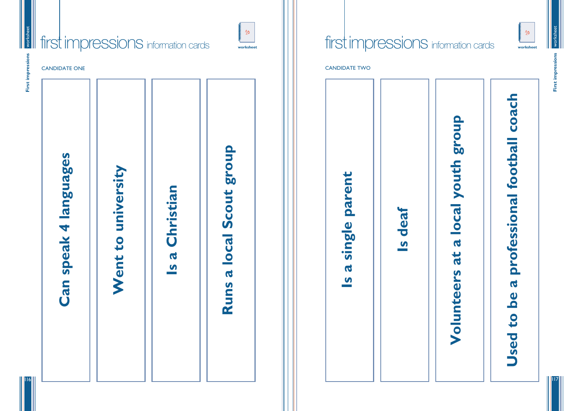

**First impressions** First im

a local youth group **Volunteers at a local youth group** at Volunteers

117

116



| First impressions<br><b>CANDIDATE ONE</b>                                                               |                                |
|---------------------------------------------------------------------------------------------------------|--------------------------------|
| <b>4 languages</b><br>university<br>Christian<br>Went to<br><b>Can spea</b><br>$\mathbf Q$<br>$\bullet$ | Scout group<br>a local<br>Runs |

CANDIDATE TWO



# Used to be a professional football coach **Used to be a professional football coach**

**Is deaf**

a single parent **Is a single parent**  $\overline{a}$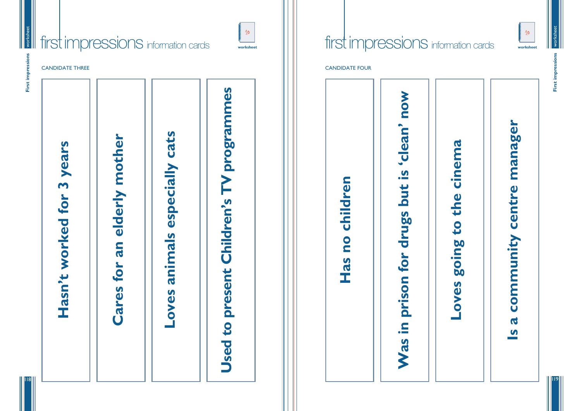

**First impressions** First in

119



First imp

118



CANDIDATE THREE CANDIDATE FOUR CANDIDATE FOUR





**Loves going to the cinema** going to the cinema **Loves** 

# community centre manager **Is a community centre manager** $\mathbf{Q}$  $\bullet$



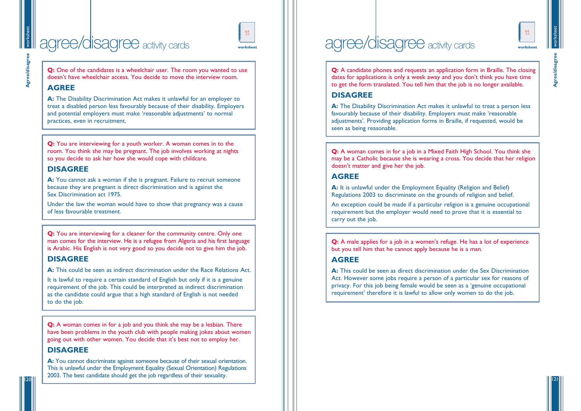

**Agree/disagree Agree/disagre** 

121

worksheet

workst

# agree/disagree activity cards





**Q:** One of the candidates is a wheelchair user. The room you wanted to use doesn't have wheelchair access. You decide to move the interview room.

### **AGREE**

**A:** The Disability Discrimination Act makes it unlawful for an employer to treat a disabled person less favourably because of their disability. Employers and potential employers must make 'reasonable adjustments' to normal practices, even in recruitment.

A: You cannot ask a woman if she is pregnant. Failure to recruit someone because they are pregnant is direct discrimination and is against the Sex Discrimination act 1975.

**Q:** You are interviewing for a cleaner for the community centre. Only one man comes for the interview. He is a refugee from Algeria and his first language is Arabic. His English is not very good so you decide not to give him the job.

**Q:** You are interviewing for a youth worker. A woman comes in to the room. You think she may be pregnant. The job involves working at nights so you decide to ask her how she would cope with childcare.

### **DISAGREE**

**Q:** A candidate phones and requests an application form in Braille. The closing dates for applications is only a week away and you don't think you have time to get the form translated. You tell him that the job is no longer available.

Under the law the woman would have to show that pregnancy was a cause of less favourable treatment.

**Q:** A woman comes in for a job in a Mixed Faith High School. You think she may be a Catholic because she is wearing a cross. You decide that her religion doesn't matter and give her the job.

### **DISAGREE**

**A:** This could be seen as indirect discrimination under the Race Relations Act.

**Q:** A male applies for a job in a women's refuge. He has a lot of experience but you tell him that he cannot apply because he is a man.

It is lawful to require a certain standard of English but only if it is a genuine requirement of the job. This could be interpreted as indirect discrimination as the candidate could argue that a high standard of English is not needed to do the job.

**Q:** A woman comes in for a job and you think she may be a lesbian. There have been problems in the youth club with people making jokes about women going out with other women. You decide that it's best not to employ her.

A: You cannot discriminate against someone because of their sexual orientation. This is unlawful under the Employment Equality (Sexual Orientation) Regulations 2003. The best candidate should get the job regardless of their sexuality.

# agree/disagree activity cards

### **DISAGREE**

**A:** The Disability Discrimination Act makes it unlawful to treat a person less favourably because of their disability. Employers must make 'reasonable adjustments'. Providing application forms in Braille, if requested, would be seen as being reasonable.

### **AGREE**

**A:** It is unlawful under the Employment Equality (Religion and Belief) Regulations 2003 to discriminate on the grounds of religion and belief.

An exception could be made if a particular religion is a genuine occupational requirement but the employer would need to prove that it is essential to carry out the job.

### **AGREE**

**A:** This could be seen as direct discrimination under the Sex Discrimination Act. However some jobs require a person of a particular sex for reasons of privacy. For this job being female would be seen as a 'genuine occupational requirement' therefore it is lawful to allow only women to do the job.

### **DISAGREE**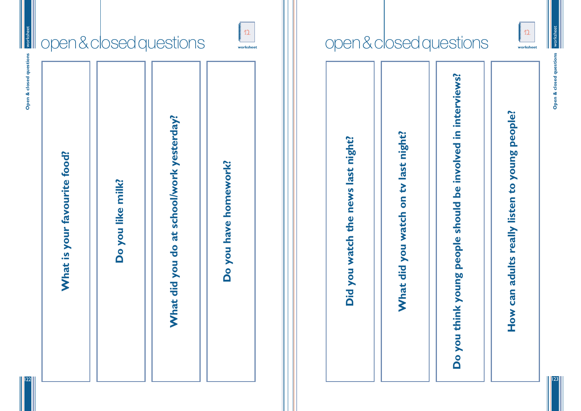

**Open & closed questions** Open & closed question

123





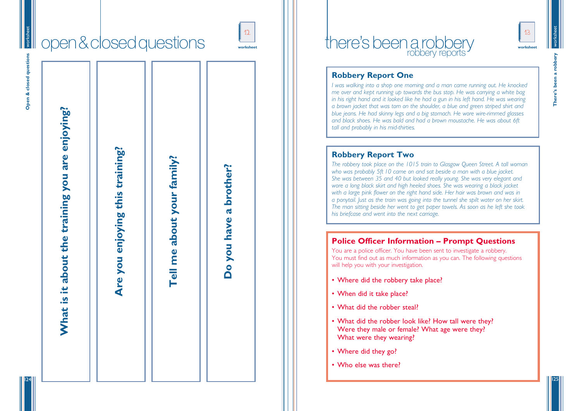

**There's been a robbery** robbery There's been

125

124

# there's been a robbery

### **Robbery Report One**

*I was walking into a shop one morning and a man came running out. He knocked me over and kept running up towards the bus stop. He was carrying a white bag in his right hand and it looked like he had a gun in his left hand. He was wearing a brown jacket that was torn on the shoulder, a blue and green striped shirt and blue jeans. He had skinny legs and a big stomach. He wore wire-rimmed glasses and black shoes. He was bald and had a brown moustache. He was about 6ft tall and probably in his mid-thirties.*

### **Robbery Report Two**

- Where did the robbery take place?
- When did it take place?
- What did the robber steal?
- What did the robber look like? How tall were they? Were they male or female? What age were they? What were they wearing?
- Where did they go?
- Who else was there?



*The robbery took place on the 1015 train to Glasgow Queen Street. A tall woman who was probably 5ft 10 came on and sat beside a man with a blue jacket. She was between 35 and 40 but looked really young. She was very elegant and wore a long black skirt and high heeled shoes. She was wearing a black jacket with a large pink flower on the right hand side. Her hair was brown and was in a ponytail. Just as the train was going into the tunnel she spilt water on her skirt. The man sitting beside her went to get paper towels. As soon as he left she took his briefcase and went into the next carriage.* 

### **Police Officer Information – Prompt Questions**

You are a police officer. You have been sent to investigate a robbery. You must find out as much information as you can. The following questions will help you with your investigation.



| worksheet<br>Open & closed questions |                                                 | open & closed questions         |                            | 12<br>worksheet           |
|--------------------------------------|-------------------------------------------------|---------------------------------|----------------------------|---------------------------|
|                                      | What is it about the training you are enjoying? | Are you enjoying this training? | Tell me about your family? | have a brother?<br>Do you |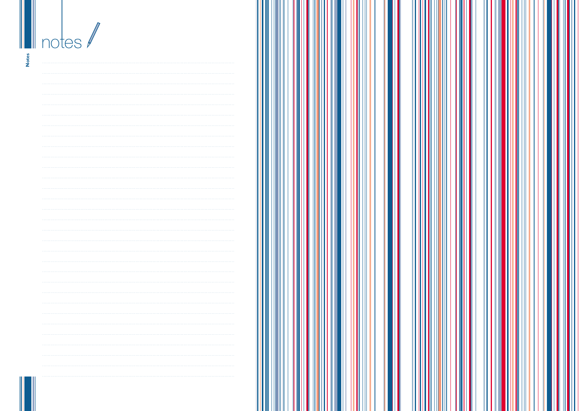